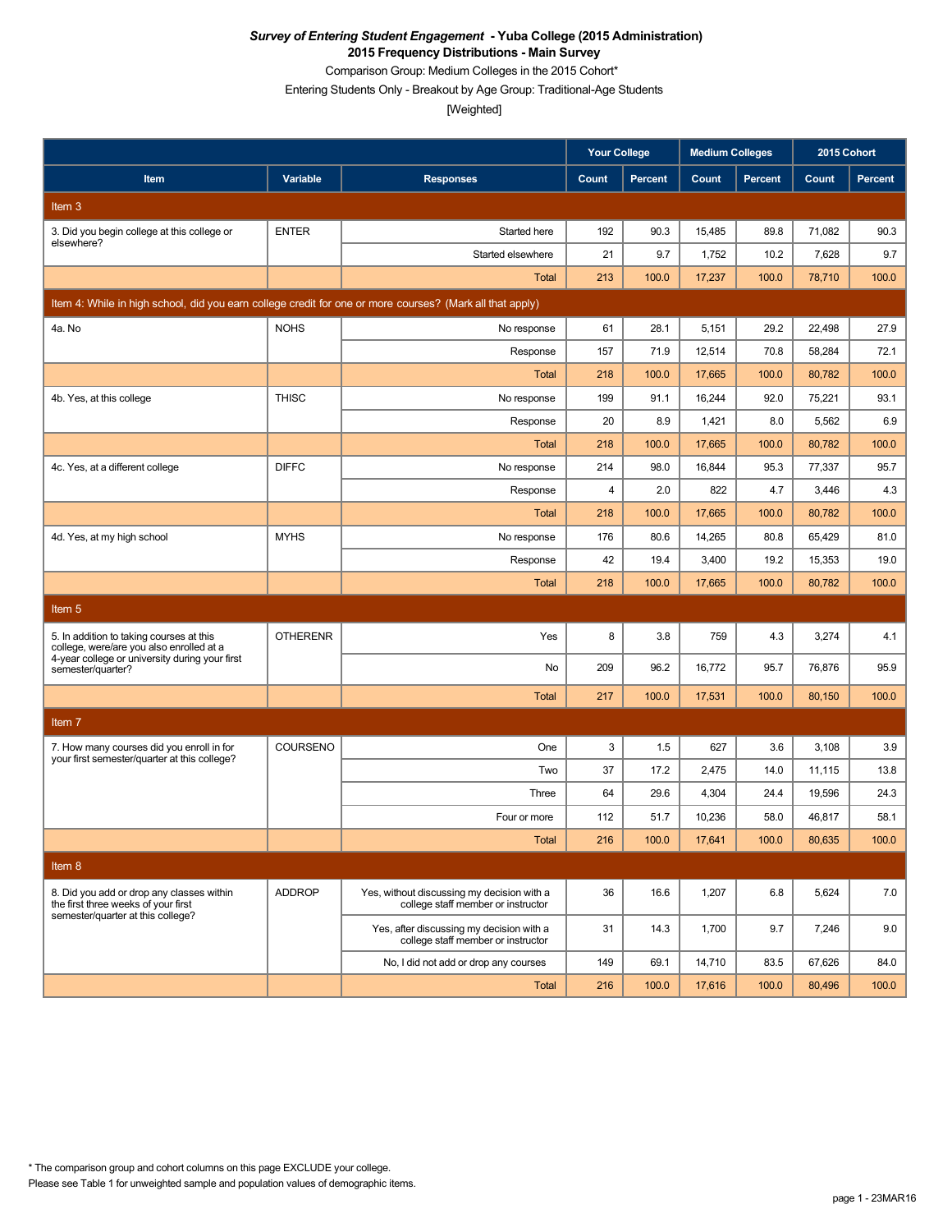Comparison Group: Medium Colleges in the 2015 Cohort\*

Entering Students Only - Breakout by Age Group: Traditional-Age Students

|                                                                                                          |                 |                                                                                  | <b>Your College</b> |                | <b>Medium Colleges</b> |                | 2015 Cohort |                |
|----------------------------------------------------------------------------------------------------------|-----------------|----------------------------------------------------------------------------------|---------------------|----------------|------------------------|----------------|-------------|----------------|
| Item                                                                                                     | Variable        | <b>Responses</b>                                                                 | Count               | <b>Percent</b> | Count                  | <b>Percent</b> | Count       | <b>Percent</b> |
| Item <sub>3</sub>                                                                                        |                 |                                                                                  |                     |                |                        |                |             |                |
| 3. Did you begin college at this college or                                                              | <b>ENTER</b>    | Started here                                                                     | 192                 | 90.3           | 15,485                 | 89.8           | 71.082      | 90.3           |
| elsewhere?                                                                                               |                 | Started elsewhere                                                                | 21                  | 9.7            | 1,752                  | 10.2           | 7,628       | 9.7            |
|                                                                                                          |                 | Total                                                                            | 213                 | 100.0          | 17,237                 | 100.0          | 78,710      | 100.0          |
| Item 4: While in high school, did you earn college credit for one or more courses? (Mark all that apply) |                 |                                                                                  |                     |                |                        |                |             |                |
| 4a. No                                                                                                   | <b>NOHS</b>     | No response                                                                      | 61                  | 28.1           | 5,151                  | 29.2           | 22,498      | 27.9           |
|                                                                                                          |                 | Response                                                                         | 157                 | 71.9           | 12,514                 | 70.8           | 58,284      | 72.1           |
|                                                                                                          |                 | Total                                                                            | 218                 | 100.0          | 17,665                 | 100.0          | 80,782      | 100.0          |
| 4b. Yes, at this college                                                                                 | <b>THISC</b>    | No response                                                                      | 199                 | 91.1           | 16,244                 | 92.0           | 75,221      | 93.1           |
|                                                                                                          |                 | Response                                                                         | 20                  | 8.9            | 1,421                  | 8.0            | 5,562       | 6.9            |
|                                                                                                          |                 | <b>Total</b>                                                                     | 218                 | 100.0          | 17,665                 | 100.0          | 80,782      | 100.0          |
| 4c. Yes, at a different college                                                                          | <b>DIFFC</b>    | No response                                                                      | 214                 | 98.0           | 16,844                 | 95.3           | 77,337      | 95.7           |
|                                                                                                          |                 | Response                                                                         | 4                   | 2.0            | 822                    | 4.7            | 3,446       | 4.3            |
|                                                                                                          |                 | <b>Total</b>                                                                     | 218                 | 100.0          | 17,665                 | 100.0          | 80,782      | 100.0          |
| 4d. Yes, at my high school                                                                               | <b>MYHS</b>     | No response                                                                      | 176                 | 80.6           | 14,265                 | 80.8           | 65,429      | 81.0           |
|                                                                                                          |                 | Response                                                                         | 42                  | 19.4           | 3,400                  | 19.2           | 15,353      | 19.0           |
|                                                                                                          |                 | <b>Total</b>                                                                     | 218                 | 100.0          | 17.665                 | 100.0          | 80,782      | 100.0          |
| Item 5                                                                                                   |                 |                                                                                  |                     |                |                        |                |             |                |
| 5. In addition to taking courses at this<br>college, were/are you also enrolled at a                     | <b>OTHERENR</b> | Yes                                                                              | 8                   | 3.8            | 759                    | 4.3            | 3,274       | 4.1            |
| 4-year college or university during your first<br>semester/quarter?                                      |                 | No                                                                               | 209                 | 96.2           | 16,772                 | 95.7           | 76,876      | 95.9           |
|                                                                                                          |                 | <b>Total</b>                                                                     | 217                 | 100.0          | 17,531                 | 100.0          | 80,150      | 100.0          |
| Item <sub>7</sub>                                                                                        |                 |                                                                                  |                     |                |                        |                |             |                |
| 7. How many courses did you enroll in for                                                                | COURSENO        | One                                                                              | 3                   | 1.5            | 627                    | 3.6            | 3,108       | 3.9            |
| your first semester/quarter at this college?                                                             |                 | Two                                                                              | 37                  | 17.2           | 2,475                  | 14.0           | 11,115      | 13.8           |
|                                                                                                          |                 | Three                                                                            | 64                  | 29.6           | 4,304                  | 24.4           | 19,596      | 24.3           |
|                                                                                                          |                 | Four or more                                                                     | 112                 | 51.7           | 10,236                 | 58.0           | 46,817      | 58.1           |
|                                                                                                          |                 | Total                                                                            | 216                 | 100.0          | 17,641                 | 100.0          | 80,635      | 100.0          |
| Item 8                                                                                                   |                 |                                                                                  |                     |                |                        |                |             |                |
| 8. Did you add or drop any classes within<br>the first three weeks of your first                         | <b>ADDROP</b>   | Yes, without discussing my decision with a<br>college staff member or instructor | 36                  | 16.6           | 1,207                  | 6.8            | 5,624       | 7.0            |
| semester/quarter at this college?                                                                        |                 | Yes, after discussing my decision with a<br>college staff member or instructor   | 31                  | 14.3           | 1,700                  | 9.7            | 7,246       | 9.0            |
|                                                                                                          |                 | No, I did not add or drop any courses                                            | 149                 | 69.1           | 14,710                 | 83.5           | 67,626      | 84.0           |
|                                                                                                          |                 | Total                                                                            | 216                 | 100.0          | 17,616                 | 100.0          | 80,496      | 100.0          |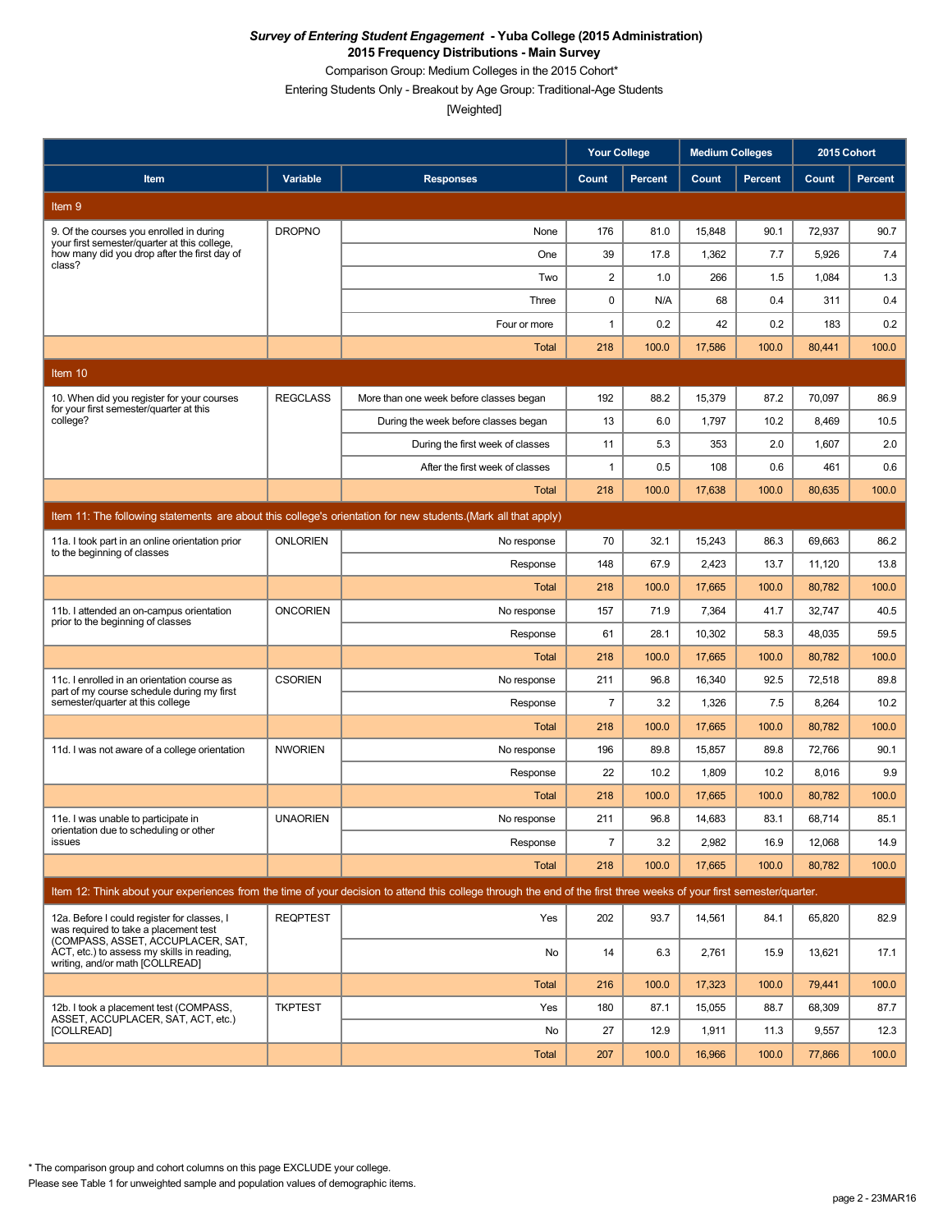Comparison Group: Medium Colleges in the 2015 Cohort\*

Entering Students Only - Breakout by Age Group: Traditional-Age Students

[Weighted]

|                                                                                                                           |                 |                                                                                                                                                                      | <b>Your College</b> |                | <b>Medium Colleges</b> |                | 2015 Cohort |         |
|---------------------------------------------------------------------------------------------------------------------------|-----------------|----------------------------------------------------------------------------------------------------------------------------------------------------------------------|---------------------|----------------|------------------------|----------------|-------------|---------|
| Item                                                                                                                      | Variable        | <b>Responses</b>                                                                                                                                                     | Count               | <b>Percent</b> | Count                  | <b>Percent</b> | Count       | Percent |
| Item 9                                                                                                                    |                 |                                                                                                                                                                      |                     |                |                        |                |             |         |
| 9. Of the courses you enrolled in during                                                                                  | <b>DROPNO</b>   | None                                                                                                                                                                 | 176                 | 81.0           | 15,848                 | 90.1           | 72,937      | 90.7    |
| your first semester/quarter at this college,<br>how many did you drop after the first day of<br>class?                    |                 | One                                                                                                                                                                  | 39                  | 17.8           | 1,362                  | 7.7            | 5,926       | 7.4     |
|                                                                                                                           |                 | Two                                                                                                                                                                  | 2                   | 1.0            | 266                    | 1.5            | 1,084       | 1.3     |
|                                                                                                                           |                 | Three                                                                                                                                                                | 0                   | N/A            | 68                     | 0.4            | 311         | 0.4     |
|                                                                                                                           |                 | Four or more                                                                                                                                                         | $\mathbf{1}$        | 0.2            | 42                     | 0.2            | 183         | 0.2     |
|                                                                                                                           |                 | Total                                                                                                                                                                | 218                 | 100.0          | 17,586                 | 100.0          | 80,441      | 100.0   |
| Item 10                                                                                                                   |                 |                                                                                                                                                                      |                     |                |                        |                |             |         |
| 10. When did you register for your courses<br>for your first semester/quarter at this                                     | <b>REGCLASS</b> | More than one week before classes began                                                                                                                              | 192                 | 88.2           | 15,379                 | 87.2           | 70,097      | 86.9    |
| college?                                                                                                                  |                 | During the week before classes began                                                                                                                                 | 13                  | 6.0            | 1,797                  | 10.2           | 8,469       | 10.5    |
|                                                                                                                           |                 | During the first week of classes                                                                                                                                     | 11                  | 5.3            | 353                    | 2.0            | 1,607       | 2.0     |
|                                                                                                                           |                 | After the first week of classes                                                                                                                                      | 1                   | 0.5            | 108                    | 0.6            | 461         | 0.6     |
|                                                                                                                           |                 | Total                                                                                                                                                                | 218                 | 100.0          | 17,638                 | 100.0          | 80,635      | 100.0   |
|                                                                                                                           |                 | Item 11: The following statements are about this college's orientation for new students. (Mark all that apply)                                                       |                     |                |                        |                |             |         |
| 11a. I took part in an online orientation prior<br>to the beginning of classes                                            | <b>ONLORIEN</b> | No response                                                                                                                                                          | 70                  | 32.1           | 15,243                 | 86.3           | 69,663      | 86.2    |
|                                                                                                                           |                 | Response                                                                                                                                                             | 148                 | 67.9           | 2,423                  | 13.7           | 11,120      | 13.8    |
|                                                                                                                           |                 | Total                                                                                                                                                                | 218                 | 100.0          | 17,665                 | 100.0          | 80,782      | 100.0   |
| 11b. I attended an on-campus orientation<br>prior to the beginning of classes                                             | <b>ONCORIEN</b> | No response                                                                                                                                                          | 157                 | 71.9           | 7,364                  | 41.7           | 32,747      | 40.5    |
|                                                                                                                           |                 | Response                                                                                                                                                             | 61                  | 28.1           | 10,302                 | 58.3           | 48,035      | 59.5    |
|                                                                                                                           |                 | <b>Total</b>                                                                                                                                                         | 218                 | 100.0          | 17,665                 | 100.0          | 80,782      | 100.0   |
| 11c. I enrolled in an orientation course as<br>part of my course schedule during my first                                 | <b>CSORIEN</b>  | No response                                                                                                                                                          | 211                 | 96.8           | 16,340                 | 92.5           | 72,518      | 89.8    |
| semester/quarter at this college                                                                                          |                 | Response                                                                                                                                                             | 7                   | 3.2            | 1,326                  | 7.5            | 8,264       | 10.2    |
|                                                                                                                           |                 | Total                                                                                                                                                                | 218                 | 100.0          | 17,665                 | 100.0          | 80,782      | 100.0   |
| 11d. I was not aware of a college orientation                                                                             | <b>NWORIEN</b>  | No response                                                                                                                                                          | 196                 | 89.8           | 15,857                 | 89.8           | 72,766      | 90.1    |
|                                                                                                                           |                 | Response                                                                                                                                                             | 22                  | 10.2           | 1,809                  | 10.2           | 8,016       | 9.9     |
|                                                                                                                           |                 | <b>Total</b>                                                                                                                                                         | 218                 | 100.0          | 17,665                 | 100.0          | 80,782      | 100.0   |
| 11e. I was unable to participate in<br>orientation due to scheduling or other                                             | <b>UNAORIEN</b> | No response                                                                                                                                                          | 211                 | 96.8           | 14,683                 | 83.1           | 68,714      | 85.1    |
| issues                                                                                                                    |                 | Response                                                                                                                                                             | $\overline{7}$      | 3.2            | 2,982                  | 16.9           | 12,068      | 14.9    |
|                                                                                                                           |                 | Total                                                                                                                                                                | 218                 | 100.0          | 17,665                 | 100.0          | 80,782      | 100.0   |
|                                                                                                                           |                 | Item 12: Think about your experiences from the time of your decision to attend this college through the end of the first three weeks of your first semester/quarter. |                     |                |                        |                |             |         |
| 12a. Before I could register for classes, I<br>was required to take a placement test<br>(COMPASS, ASSET, ACCUPLACER, SAT, | <b>REQPTEST</b> | Yes                                                                                                                                                                  | 202                 | 93.7           | 14,561                 | 84.1           | 65,820      | 82.9    |
| ACT, etc.) to assess my skills in reading,<br>writing, and/or math [COLLREAD]                                             |                 | No                                                                                                                                                                   | 14                  | 6.3            | 2,761                  | 15.9           | 13,621      | 17.1    |
|                                                                                                                           |                 | Total                                                                                                                                                                | 216                 | 100.0          | 17,323                 | 100.0          | 79,441      | 100.0   |
| 12b. I took a placement test (COMPASS,<br>ASSET, ACCUPLACER, SAT, ACT, etc.)                                              | <b>TKPTEST</b>  | Yes                                                                                                                                                                  | 180                 | 87.1           | 15,055                 | 88.7           | 68,309      | 87.7    |
| <b>ICOLLREAD1</b>                                                                                                         |                 | No                                                                                                                                                                   | 27                  | 12.9           | 1,911                  | 11.3           | 9,557       | 12.3    |
|                                                                                                                           |                 | Total                                                                                                                                                                | 207                 | 100.0          | 16,966                 | 100.0          | 77,866      | 100.0   |

\* The comparison group and cohort columns on this page EXCLUDE your college.

Please see Table 1 for unweighted sample and population values of demographic items.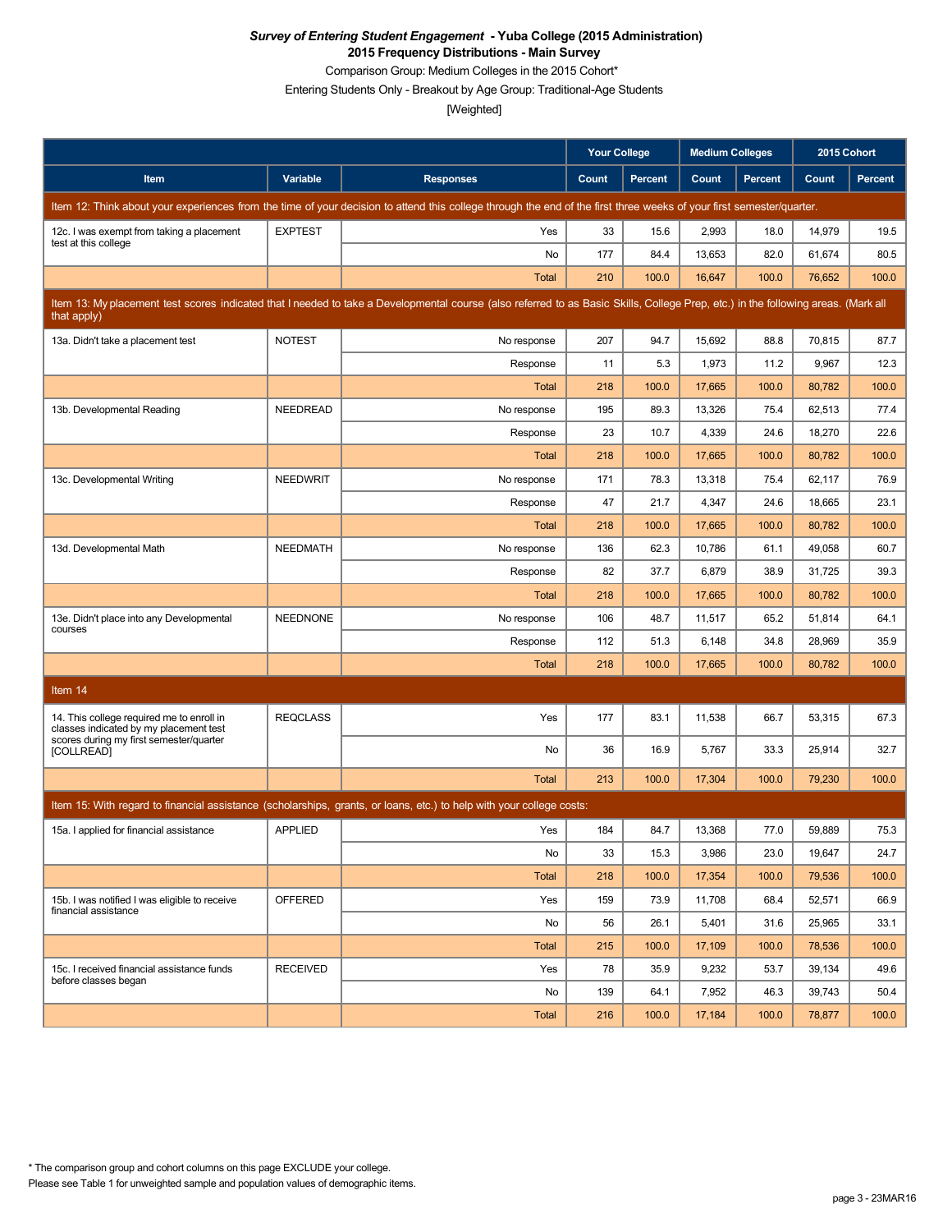Comparison Group: Medium Colleges in the 2015 Cohort\*

Entering Students Only - Breakout by Age Group: Traditional-Age Students

|                                                                                     |                 |                                                                                                                                                                                   | <b>Your College</b> |                | <b>Medium Colleges</b> |         | 2015 Cohort |                |
|-------------------------------------------------------------------------------------|-----------------|-----------------------------------------------------------------------------------------------------------------------------------------------------------------------------------|---------------------|----------------|------------------------|---------|-------------|----------------|
| Item                                                                                | Variable        | <b>Responses</b>                                                                                                                                                                  | Count               | <b>Percent</b> | Count                  | Percent | Count       | <b>Percent</b> |
|                                                                                     |                 | Item 12: Think about your experiences from the time of your decision to attend this college through the end of the first three weeks of your first semester/quarter.              |                     |                |                        |         |             |                |
| 12c. I was exempt from taking a placement<br>test at this college                   | <b>EXPTEST</b>  | Yes                                                                                                                                                                               | 33                  | 15.6           | 2,993                  | 18.0    | 14,979      | 19.5           |
|                                                                                     |                 | No                                                                                                                                                                                | 177                 | 84.4           | 13,653                 | 82.0    | 61,674      | 80.5           |
|                                                                                     |                 | <b>Total</b>                                                                                                                                                                      | 210                 | 100.0          | 16,647                 | 100.0   | 76,652      | 100.0          |
| that apply)                                                                         |                 | Item 13: My placement test scores indicated that I needed to take a Developmental course (also referred to as Basic Skills, College Prep, etc.) in the following areas. (Mark all |                     |                |                        |         |             |                |
| 13a. Didn't take a placement test                                                   | <b>NOTEST</b>   | No response                                                                                                                                                                       | 207                 | 94.7           | 15,692                 | 88.8    | 70,815      | 87.7           |
|                                                                                     |                 | Response                                                                                                                                                                          | 11                  | 5.3            | 1,973                  | 11.2    | 9,967       | 12.3           |
|                                                                                     |                 | Total                                                                                                                                                                             | 218                 | 100.0          | 17,665                 | 100.0   | 80,782      | 100.0          |
| 13b. Developmental Reading                                                          | <b>NEEDREAD</b> | No response                                                                                                                                                                       | 195                 | 89.3           | 13,326                 | 75.4    | 62,513      | 77.4           |
|                                                                                     |                 | Response                                                                                                                                                                          | 23                  | 10.7           | 4,339                  | 24.6    | 18,270      | 22.6           |
|                                                                                     |                 | Total                                                                                                                                                                             | 218                 | 100.0          | 17,665                 | 100.0   | 80,782      | 100.0          |
| 13c. Developmental Writing                                                          | <b>NEEDWRIT</b> | No response                                                                                                                                                                       | 171                 | 78.3           | 13,318                 | 75.4    | 62,117      | 76.9           |
|                                                                                     |                 | Response                                                                                                                                                                          | 47                  | 21.7           | 4,347                  | 24.6    | 18,665      | 23.1           |
|                                                                                     |                 | <b>Total</b>                                                                                                                                                                      | 218                 | 100.0          | 17,665                 | 100.0   | 80,782      | 100.0          |
| 13d. Developmental Math                                                             | <b>NEEDMATH</b> | No response                                                                                                                                                                       | 136                 | 62.3           | 10,786                 | 61.1    | 49,058      | 60.7           |
|                                                                                     |                 | Response                                                                                                                                                                          | 82                  | 37.7           | 6,879                  | 38.9    | 31,725      | 39.3           |
|                                                                                     |                 | Total                                                                                                                                                                             | 218                 | 100.0          | 17,665                 | 100.0   | 80,782      | 100.0          |
| 13e. Didn't place into any Developmental                                            | <b>NEEDNONE</b> | No response                                                                                                                                                                       | 106                 | 48.7           | 11,517                 | 65.2    | 51,814      | 64.1           |
| courses                                                                             |                 | Response                                                                                                                                                                          | 112                 | 51.3           | 6,148                  | 34.8    | 28,969      | 35.9           |
|                                                                                     |                 | <b>Total</b>                                                                                                                                                                      | 218                 | 100.0          | 17,665                 | 100.0   | 80,782      | 100.0          |
| Item 14                                                                             |                 |                                                                                                                                                                                   |                     |                |                        |         |             |                |
| 14. This college required me to enroll in<br>classes indicated by my placement test | <b>REQCLASS</b> | Yes                                                                                                                                                                               | 177                 | 83.1           | 11,538                 | 66.7    | 53,315      | 67.3           |
| scores during my first semester/quarter<br>[COLLREAD]                               |                 | No                                                                                                                                                                                | 36                  | 16.9           | 5,767                  | 33.3    | 25,914      | 32.7           |
|                                                                                     |                 | <b>Total</b>                                                                                                                                                                      | 213                 | 100.0          | 17,304                 | 100.0   | 79,230      | 100.0          |
|                                                                                     |                 | Item 15: With regard to financial assistance (scholarships, grants, or loans, etc.) to help with your college costs:                                                              |                     |                |                        |         |             |                |
| 15a. I applied for financial assistance                                             | <b>APPLIED</b>  | Yes                                                                                                                                                                               | 184                 | 84.7           | 13,368                 | 77.0    | 59,889      | 75.3           |
|                                                                                     |                 | No                                                                                                                                                                                | 33                  | 15.3           | 3,986                  | 23.0    | 19,647      | 24.7           |
|                                                                                     |                 | Total                                                                                                                                                                             | 218                 | 100.0          | 17,354                 | 100.0   | 79,536      | 100.0          |
| 15b. I was notified I was eligible to receive                                       | <b>OFFERED</b>  | Yes                                                                                                                                                                               | 159                 | 73.9           | 11,708                 | 68.4    | 52,571      | 66.9           |
| financial assistance                                                                |                 | No                                                                                                                                                                                | 56                  | 26.1           | 5,401                  | 31.6    | 25,965      | 33.1           |
|                                                                                     |                 | <b>Total</b>                                                                                                                                                                      | 215                 | 100.0          | 17,109                 | 100.0   | 78,536      | 100.0          |
| 15c. I received financial assistance funds                                          | <b>RECEIVED</b> | Yes                                                                                                                                                                               | 78                  | 35.9           | 9,232                  | 53.7    | 39,134      | 49.6           |
| before classes began                                                                |                 | No                                                                                                                                                                                | 139                 | 64.1           | 7,952                  | 46.3    | 39,743      | 50.4           |
|                                                                                     |                 | Total                                                                                                                                                                             | 216                 | 100.0          | 17,184                 | 100.0   | 78,877      | 100.0          |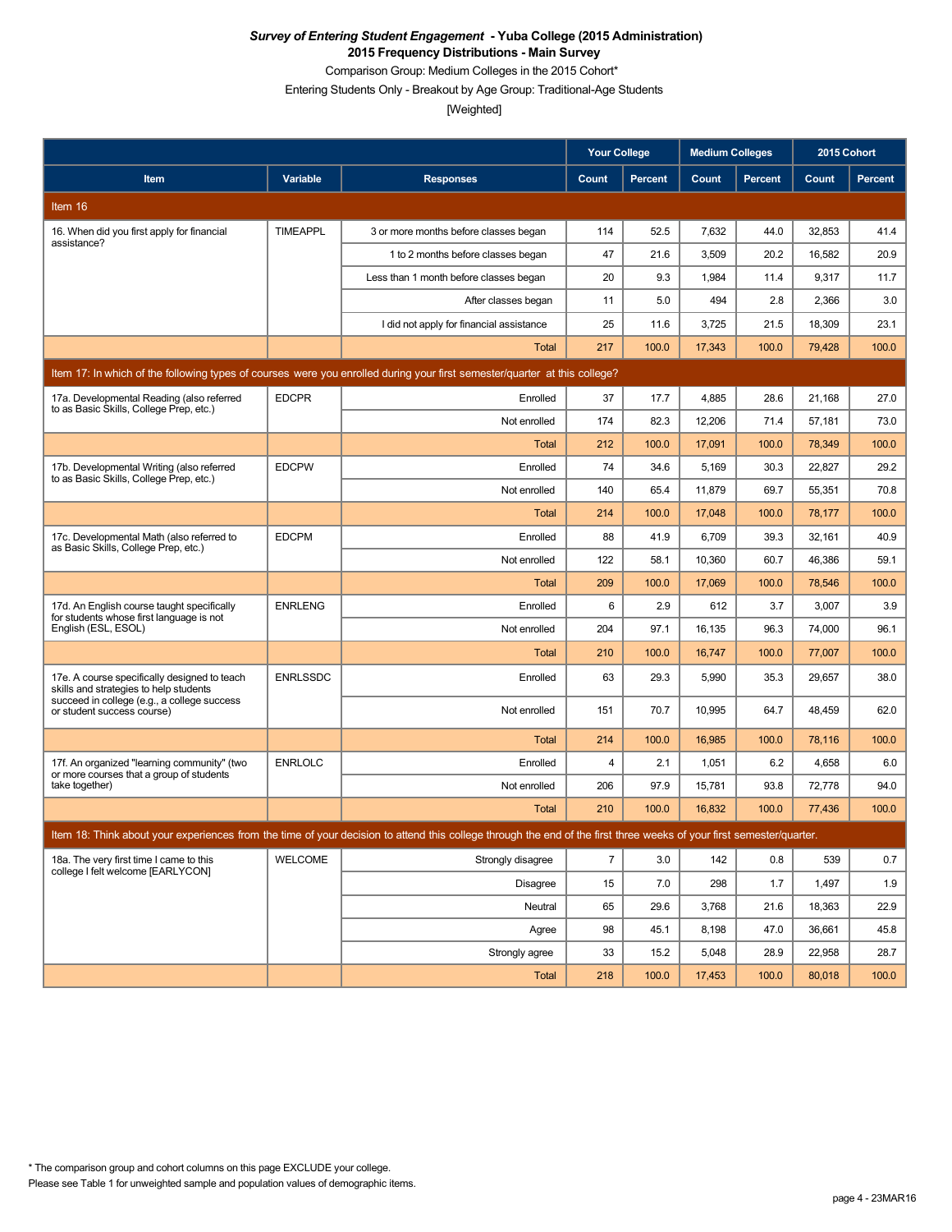Comparison Group: Medium Colleges in the 2015 Cohort\*

Entering Students Only - Breakout by Age Group: Traditional-Age Students

|                                                                                                                           |                 |                                                                                                                                                                      | <b>Your College</b> |                | <b>Medium Colleges</b> |                | 2015 Cohort |                |  |
|---------------------------------------------------------------------------------------------------------------------------|-----------------|----------------------------------------------------------------------------------------------------------------------------------------------------------------------|---------------------|----------------|------------------------|----------------|-------------|----------------|--|
| Item                                                                                                                      | Variable        | <b>Responses</b>                                                                                                                                                     | Count               | <b>Percent</b> | Count                  | <b>Percent</b> | Count       | <b>Percent</b> |  |
| Item 16                                                                                                                   |                 |                                                                                                                                                                      |                     |                |                        |                |             |                |  |
| 16. When did you first apply for financial                                                                                | <b>TIMEAPPL</b> | 3 or more months before classes began                                                                                                                                | 114                 | 52.5           | 7,632                  | 44.0           | 32,853      | 41.4           |  |
| assistance?                                                                                                               |                 | 1 to 2 months before classes began                                                                                                                                   | 47                  | 21.6           | 3,509                  | 20.2           | 16,582      | 20.9           |  |
|                                                                                                                           |                 | Less than 1 month before classes began                                                                                                                               | 20                  | 9.3            | 1,984                  | 11.4           | 9.317       | 11.7           |  |
|                                                                                                                           |                 | After classes began                                                                                                                                                  | 11                  | 5.0            | 494                    | 2.8            | 2,366       | 3.0            |  |
|                                                                                                                           |                 | I did not apply for financial assistance                                                                                                                             | 25                  | 11.6           | 3,725                  | 21.5           | 18,309      | 23.1           |  |
|                                                                                                                           |                 | <b>Total</b>                                                                                                                                                         | 217                 | 100.0          | 17,343                 | 100.0          | 79,428      | 100.0          |  |
| Item 17: In which of the following types of courses were you enrolled during your first semester/quarter at this college? |                 |                                                                                                                                                                      |                     |                |                        |                |             |                |  |
| 17a. Developmental Reading (also referred<br>to as Basic Skills, College Prep, etc.)                                      | <b>EDCPR</b>    | Enrolled                                                                                                                                                             | 37                  | 17.7           | 4,885                  | 28.6           | 21,168      | 27.0           |  |
|                                                                                                                           |                 | Not enrolled                                                                                                                                                         | 174                 | 82.3           | 12,206                 | 71.4           | 57,181      | 73.0           |  |
|                                                                                                                           |                 | Total                                                                                                                                                                | 212                 | 100.0          | 17,091                 | 100.0          | 78,349      | 100.0          |  |
| 17b. Developmental Writing (also referred<br>to as Basic Skills, College Prep, etc.)                                      | <b>EDCPW</b>    | Enrolled                                                                                                                                                             | 74                  | 34.6           | 5,169                  | 30.3           | 22,827      | 29.2           |  |
|                                                                                                                           |                 | Not enrolled                                                                                                                                                         | 140                 | 65.4           | 11,879                 | 69.7           | 55,351      | 70.8           |  |
|                                                                                                                           |                 | Total                                                                                                                                                                | 214                 | 100.0          | 17,048                 | 100.0          | 78,177      | 100.0          |  |
| 17c. Developmental Math (also referred to<br>as Basic Skills, College Prep, etc.)                                         | <b>EDCPM</b>    | Enrolled                                                                                                                                                             | 88                  | 41.9           | 6,709                  | 39.3           | 32,161      | 40.9           |  |
|                                                                                                                           |                 | Not enrolled                                                                                                                                                         | 122                 | 58.1           | 10,360                 | 60.7           | 46,386      | 59.1           |  |
|                                                                                                                           |                 | Total                                                                                                                                                                | 209                 | 100.0          | 17,069                 | 100.0          | 78,546      | 100.0          |  |
| 17d. An English course taught specifically<br>for students whose first language is not                                    | <b>ENRLENG</b>  | Enrolled                                                                                                                                                             | 6                   | 2.9            | 612                    | 3.7            | 3,007       | 3.9            |  |
| English (ESL, ESOL)                                                                                                       |                 | Not enrolled                                                                                                                                                         | 204                 | 97.1           | 16,135                 | 96.3           | 74,000      | 96.1           |  |
|                                                                                                                           |                 | <b>Total</b>                                                                                                                                                         | 210                 | 100.0          | 16,747                 | 100.0          | 77,007      | 100.0          |  |
| 17e. A course specifically designed to teach<br>skills and strategies to help students                                    | <b>ENRLSSDC</b> | Enrolled                                                                                                                                                             | 63                  | 29.3           | 5,990                  | 35.3           | 29,657      | 38.0           |  |
| succeed in college (e.g., a college success<br>or student success course)                                                 |                 | Not enrolled                                                                                                                                                         | 151                 | 70.7           | 10,995                 | 64.7           | 48,459      | 62.0           |  |
|                                                                                                                           |                 | <b>Total</b>                                                                                                                                                         | 214                 | 100.0          | 16,985                 | 100.0          | 78,116      | 100.0          |  |
| 17f. An organized "learning community" (two<br>or more courses that a group of students                                   | <b>ENRLOLC</b>  | Enrolled                                                                                                                                                             | 4                   | 2.1            | 1,051                  | 6.2            | 4,658       | 6.0            |  |
| take together)                                                                                                            |                 | Not enrolled                                                                                                                                                         | 206                 | 97.9           | 15,781                 | 93.8           | 72,778      | 94.0           |  |
|                                                                                                                           |                 | <b>Total</b>                                                                                                                                                         | 210                 | 100.0          | 16,832                 | 100.0          | 77,436      | 100.0          |  |
|                                                                                                                           |                 | Item 18: Think about your experiences from the time of your decision to attend this college through the end of the first three weeks of your first semester/quarter. |                     |                |                        |                |             |                |  |
| 18a. The very first time I came to this<br>college I felt welcome [EARLYCON]                                              | <b>WELCOME</b>  | Strongly disagree                                                                                                                                                    | $\overline{7}$      | 3.0            | 142                    | 0.8            | 539         | 0.7            |  |
|                                                                                                                           |                 | <b>Disagree</b>                                                                                                                                                      | 15                  | 7.0            | 298                    | 1.7            | 1,497       | 1.9            |  |
|                                                                                                                           |                 | Neutral                                                                                                                                                              | 65                  | 29.6           | 3,768                  | 21.6           | 18,363      | 22.9           |  |
|                                                                                                                           |                 | Agree                                                                                                                                                                | 98                  | 45.1           | 8,198                  | 47.0           | 36,661      | 45.8           |  |
|                                                                                                                           |                 | Strongly agree                                                                                                                                                       | 33                  | 15.2           | 5,048                  | 28.9           | 22,958      | 28.7           |  |
|                                                                                                                           |                 | Total                                                                                                                                                                | 218                 | 100.0          | 17,453                 | 100.0          | 80,018      | 100.0          |  |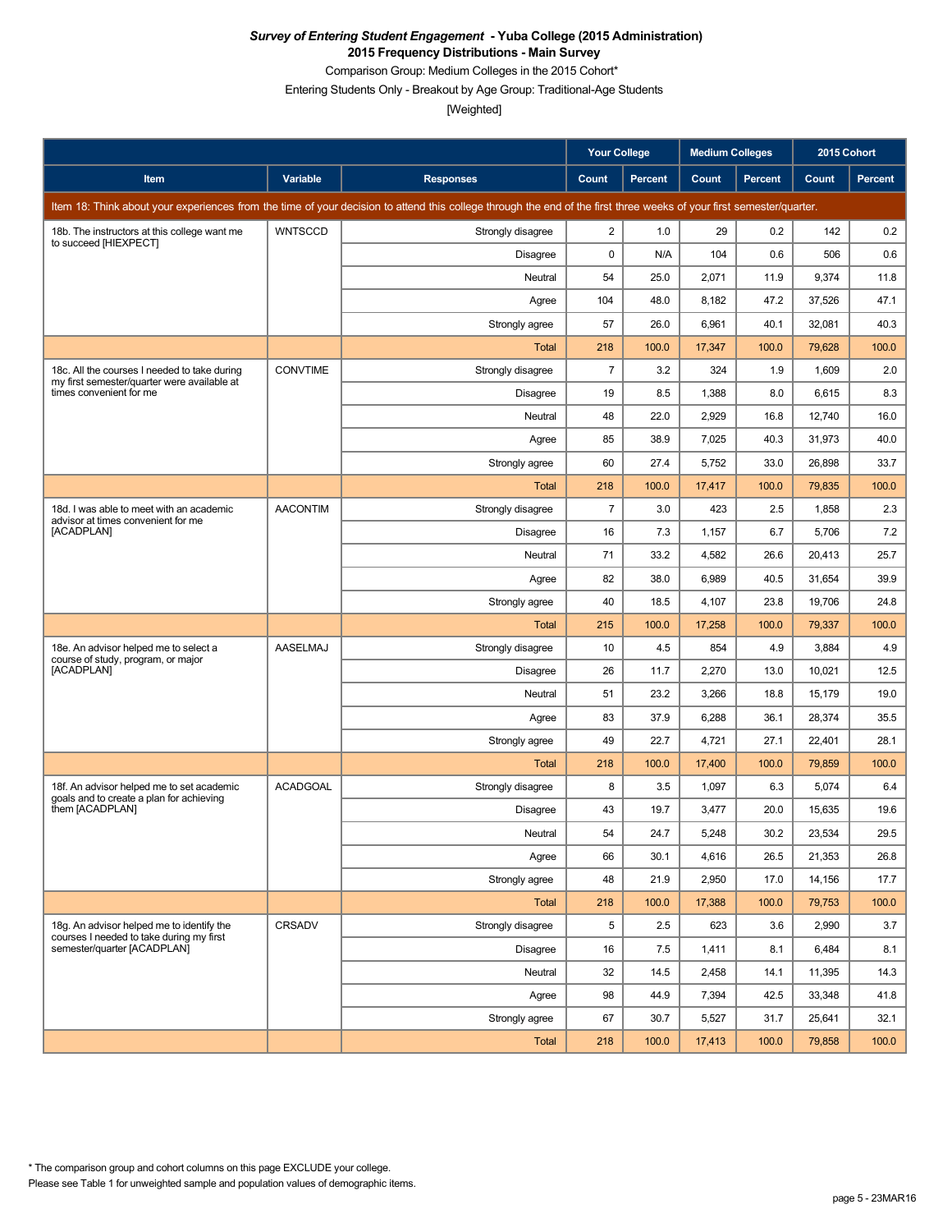Comparison Group: Medium Colleges in the 2015 Cohort\*

Entering Students Only - Breakout by Age Group: Traditional-Age Students

|                                                                                             |                 |                                                                                                                                                                      | <b>Your College</b> |                | <b>Medium Colleges</b> |         | 2015 Cohort |         |
|---------------------------------------------------------------------------------------------|-----------------|----------------------------------------------------------------------------------------------------------------------------------------------------------------------|---------------------|----------------|------------------------|---------|-------------|---------|
| Item                                                                                        | Variable        | <b>Responses</b>                                                                                                                                                     | Count               | <b>Percent</b> | Count                  | Percent | Count       | Percent |
|                                                                                             |                 | Item 18: Think about your experiences from the time of your decision to attend this college through the end of the first three weeks of your first semester/quarter. |                     |                |                        |         |             |         |
| 18b. The instructors at this college want me                                                | <b>WNTSCCD</b>  | Strongly disagree                                                                                                                                                    | $\overline{2}$      | 1.0            | 29                     | 0.2     | 142         | 0.2     |
| to succeed [HIEXPECT]                                                                       |                 | Disagree                                                                                                                                                             | 0                   | N/A            | 104                    | 0.6     | 506         | 0.6     |
|                                                                                             |                 | Neutral                                                                                                                                                              | 54                  | 25.0           | 2,071                  | 11.9    | 9,374       | 11.8    |
|                                                                                             |                 | Agree                                                                                                                                                                | 104                 | 48.0           | 8,182                  | 47.2    | 37,526      | 47.1    |
|                                                                                             |                 | Strongly agree                                                                                                                                                       | 57                  | 26.0           | 6,961                  | 40.1    | 32,081      | 40.3    |
|                                                                                             |                 | Total                                                                                                                                                                | 218                 | 100.0          | 17,347                 | 100.0   | 79,628      | 100.0   |
| 18c. All the courses I needed to take during<br>my first semester/quarter were available at | <b>CONVTIME</b> | Strongly disagree                                                                                                                                                    | $\overline{7}$      | 3.2            | 324                    | 1.9     | 1,609       | 2.0     |
| times convenient for me                                                                     |                 | <b>Disagree</b>                                                                                                                                                      | 19                  | 8.5            | 1,388                  | 8.0     | 6,615       | 8.3     |
|                                                                                             |                 | Neutral                                                                                                                                                              | 48                  | 22.0           | 2,929                  | 16.8    | 12,740      | 16.0    |
|                                                                                             |                 | Agree                                                                                                                                                                | 85                  | 38.9           | 7,025                  | 40.3    | 31,973      | 40.0    |
|                                                                                             |                 | Strongly agree                                                                                                                                                       | 60                  | 27.4           | 5,752                  | 33.0    | 26.898      | 33.7    |
|                                                                                             |                 | Total                                                                                                                                                                | 218                 | 100.0          | 17,417                 | 100.0   | 79,835      | 100.0   |
| 18d. I was able to meet with an academic<br>advisor at times convenient for me              | <b>AACONTIM</b> | Strongly disagree                                                                                                                                                    | $\overline{7}$      | 3.0            | 423                    | 2.5     | 1,858       | 2.3     |
| [ACADPLAN]                                                                                  |                 | <b>Disagree</b>                                                                                                                                                      | 16                  | 7.3            | 1,157                  | 6.7     | 5,706       | 7.2     |
|                                                                                             |                 | Neutral                                                                                                                                                              | 71                  | 33.2           | 4,582                  | 26.6    | 20,413      | 25.7    |
|                                                                                             |                 | Agree                                                                                                                                                                | 82                  | 38.0           | 6,989                  | 40.5    | 31,654      | 39.9    |
|                                                                                             |                 | Strongly agree                                                                                                                                                       | 40                  | 18.5           | 4,107                  | 23.8    | 19,706      | 24.8    |
|                                                                                             |                 | Total                                                                                                                                                                | 215                 | 100.0          | 17,258                 | 100.0   | 79,337      | 100.0   |
| 18e. An advisor helped me to select a<br>course of study, program, or major                 | AASELMAJ        | Strongly disagree                                                                                                                                                    | 10                  | 4.5            | 854                    | 4.9     | 3,884       | 4.9     |
| [ACADPLAN]                                                                                  |                 | <b>Disagree</b>                                                                                                                                                      | 26                  | 11.7           | 2,270                  | 13.0    | 10,021      | 12.5    |
|                                                                                             |                 | Neutral                                                                                                                                                              | 51                  | 23.2           | 3,266                  | 18.8    | 15,179      | 19.0    |
|                                                                                             |                 | Agree                                                                                                                                                                | 83                  | 37.9           | 6,288                  | 36.1    | 28,374      | 35.5    |
|                                                                                             |                 | Strongly agree                                                                                                                                                       | 49                  | 22.7           | 4,721                  | 27.1    | 22,401      | 28.1    |
|                                                                                             |                 | Total                                                                                                                                                                | 218                 | 100.0          | 17,400                 | 100.0   | 79,859      | 100.0   |
| 18f. An advisor helped me to set academic<br>goals and to create a plan for achieving       | <b>ACADGOAL</b> | Strongly disagree                                                                                                                                                    | 8                   | 3.5            | 1,097                  | 6.3     | 5,074       | 6.4     |
| them [ACADPLAN]                                                                             |                 | Disagree                                                                                                                                                             | 43                  | 19.7           | 3,477                  | 20.0    | 15,635      | 19.6    |
|                                                                                             |                 | Neutral                                                                                                                                                              | 54                  | 24.7           | 5,248                  | 30.2    | 23,534      | 29.5    |
|                                                                                             |                 | Agree                                                                                                                                                                | 66                  | 30.1           | 4,616                  | 26.5    | 21,353      | 26.8    |
|                                                                                             |                 | Strongly agree                                                                                                                                                       | 48                  | 21.9           | 2,950                  | 17.0    | 14,156      | 17.7    |
|                                                                                             |                 | Total                                                                                                                                                                | 218                 | 100.0          | 17,388                 | 100.0   | 79,753      | 100.0   |
| 18g. An advisor helped me to identify the<br>courses I needed to take during my first       | CRSADV          | Strongly disagree                                                                                                                                                    | 5                   | 2.5            | 623                    | 3.6     | 2,990       | 3.7     |
| semester/quarter [ACADPLAN]                                                                 |                 | Disagree                                                                                                                                                             | 16                  | 7.5            | 1,411                  | 8.1     | 6,484       | 8.1     |
|                                                                                             |                 | Neutral                                                                                                                                                              | 32                  | 14.5           | 2,458                  | 14.1    | 11,395      | 14.3    |
|                                                                                             |                 | Agree                                                                                                                                                                | 98                  | 44.9           | 7,394                  | 42.5    | 33,348      | 41.8    |
|                                                                                             |                 | Strongly agree                                                                                                                                                       | 67                  | 30.7           | 5,527                  | 31.7    | 25,641      | 32.1    |
|                                                                                             |                 | Total                                                                                                                                                                | 218                 | 100.0          | 17,413                 | 100.0   | 79,858      | 100.0   |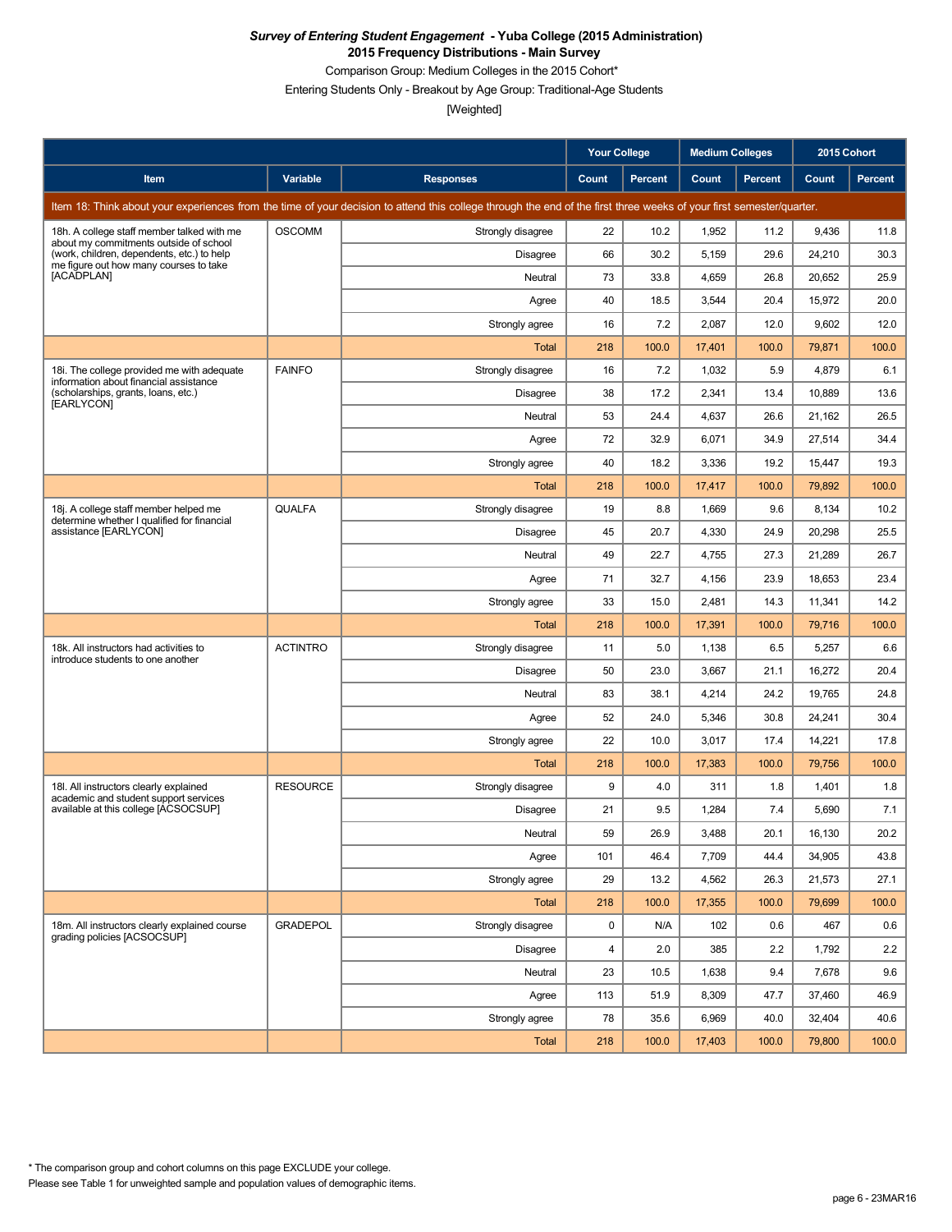Comparison Group: Medium Colleges in the 2015 Cohort\*

Entering Students Only - Breakout by Age Group: Traditional-Age Students

|                                                                                      |                 |                                                                                                                                                                      | <b>Your College</b> |                | <b>Medium Colleges</b> |                | 2015 Cohort |         |
|--------------------------------------------------------------------------------------|-----------------|----------------------------------------------------------------------------------------------------------------------------------------------------------------------|---------------------|----------------|------------------------|----------------|-------------|---------|
| Item                                                                                 | Variable        | <b>Responses</b>                                                                                                                                                     | <b>Count</b>        | <b>Percent</b> | Count                  | <b>Percent</b> | Count       | Percent |
|                                                                                      |                 | Item 18: Think about your experiences from the time of your decision to attend this college through the end of the first three weeks of your first semester/quarter. |                     |                |                        |                |             |         |
| 18h. A college staff member talked with me<br>about my commitments outside of school | <b>OSCOMM</b>   | Strongly disagree                                                                                                                                                    | 22                  | 10.2           | 1,952                  | 11.2           | 9,436       | 11.8    |
| (work, children, dependents, etc.) to help<br>me figure out how many courses to take |                 | Disagree                                                                                                                                                             | 66                  | 30.2           | 5,159                  | 29.6           | 24,210      | 30.3    |
| [ACADPLAN]                                                                           |                 | Neutral                                                                                                                                                              | 73                  | 33.8           | 4,659                  | 26.8           | 20,652      | 25.9    |
|                                                                                      |                 | Agree                                                                                                                                                                | 40                  | 18.5           | 3,544                  | 20.4           | 15,972      | 20.0    |
|                                                                                      |                 | Strongly agree                                                                                                                                                       | 16                  | 7.2            | 2,087                  | 12.0           | 9,602       | 12.0    |
|                                                                                      |                 | Total                                                                                                                                                                | 218                 | 100.0          | 17,401                 | 100.0          | 79,871      | 100.0   |
| 18i. The college provided me with adequate<br>information about financial assistance | <b>FAINFO</b>   | Strongly disagree                                                                                                                                                    | 16                  | 7.2            | 1,032                  | 5.9            | 4,879       | 6.1     |
| (scholarships, grants, loans, etc.)<br>[EARLYCON]                                    |                 | Disagree                                                                                                                                                             | 38                  | 17.2           | 2,341                  | 13.4           | 10,889      | 13.6    |
|                                                                                      |                 | Neutral                                                                                                                                                              | 53                  | 24.4           | 4,637                  | 26.6           | 21,162      | 26.5    |
|                                                                                      |                 | Agree                                                                                                                                                                | 72                  | 32.9           | 6,071                  | 34.9           | 27,514      | 34.4    |
|                                                                                      |                 | Strongly agree                                                                                                                                                       | 40                  | 18.2           | 3,336                  | 19.2           | 15,447      | 19.3    |
|                                                                                      |                 | Total                                                                                                                                                                | 218                 | 100.0          | 17,417                 | 100.0          | 79,892      | 100.0   |
| 18j. A college staff member helped me<br>determine whether I qualified for financial | QUALFA          | Strongly disagree                                                                                                                                                    | 19                  | 8.8            | 1,669                  | 9.6            | 8,134       | 10.2    |
| assistance [EARLYCON]                                                                |                 | <b>Disagree</b>                                                                                                                                                      | 45                  | 20.7           | 4,330                  | 24.9           | 20,298      | 25.5    |
|                                                                                      |                 | Neutral                                                                                                                                                              | 49                  | 22.7           | 4,755                  | 27.3           | 21,289      | 26.7    |
|                                                                                      |                 | Agree                                                                                                                                                                | 71                  | 32.7           | 4,156                  | 23.9           | 18.653      | 23.4    |
|                                                                                      |                 | Strongly agree                                                                                                                                                       | 33                  | 15.0           | 2,481                  | 14.3           | 11,341      | 14.2    |
|                                                                                      |                 | Total                                                                                                                                                                | 218                 | 100.0          | 17,391                 | 100.0          | 79,716      | 100.0   |
| 18k. All instructors had activities to<br>introduce students to one another          | <b>ACTINTRO</b> | Strongly disagree                                                                                                                                                    | 11                  | 5.0            | 1,138                  | 6.5            | 5,257       | 6.6     |
|                                                                                      |                 | <b>Disagree</b>                                                                                                                                                      | 50                  | 23.0           | 3.667                  | 21.1           | 16,272      | 20.4    |
|                                                                                      |                 | Neutral                                                                                                                                                              | 83                  | 38.1           | 4,214                  | 24.2           | 19,765      | 24.8    |
|                                                                                      |                 | Agree                                                                                                                                                                | 52                  | 24.0           | 5,346                  | 30.8           | 24,241      | 30.4    |
|                                                                                      |                 | Strongly agree                                                                                                                                                       | 22                  | 10.0           | 3,017                  | 17.4           | 14,221      | 17.8    |
|                                                                                      |                 | Total                                                                                                                                                                | 218                 | 100.0          | 17,383                 | 100.0          | 79,756      | 100.0   |
| 18I. All instructors clearly explained<br>academic and student support services      | <b>RESOURCE</b> | Strongly disagree                                                                                                                                                    | 9                   | 4.0            | 311                    | 1.8            | 1,401       | 1.8     |
| available at this college [ACSOCSUP]                                                 |                 | Disagree                                                                                                                                                             | 21                  | 9.5            | 1,284                  | 7.4            | 5,690       | 7.1     |
|                                                                                      |                 | Neutral                                                                                                                                                              | 59                  | 26.9           | 3,488                  | 20.1           | 16,130      | 20.2    |
|                                                                                      |                 | Agree                                                                                                                                                                | 101                 | 46.4           | 7,709                  | 44.4           | 34,905      | 43.8    |
|                                                                                      |                 | Strongly agree                                                                                                                                                       | 29                  | 13.2           | 4,562                  | 26.3           | 21,573      | 27.1    |
|                                                                                      |                 | Total                                                                                                                                                                | 218                 | 100.0          | 17,355                 | 100.0          | 79,699      | 100.0   |
| 18m. All instructors clearly explained course<br>grading policies [ACSOCSUP]         | <b>GRADEPOL</b> | Strongly disagree                                                                                                                                                    | 0                   | N/A            | 102                    | 0.6            | 467         | 0.6     |
|                                                                                      |                 | <b>Disagree</b>                                                                                                                                                      | 4                   | 2.0            | 385                    | 2.2            | 1,792       | 2.2     |
|                                                                                      |                 | Neutral                                                                                                                                                              | 23                  | 10.5           | 1,638                  | 9.4            | 7,678       | 9.6     |
|                                                                                      |                 | Agree                                                                                                                                                                | 113                 | 51.9           | 8,309                  | 47.7           | 37,460      | 46.9    |
|                                                                                      |                 | Strongly agree                                                                                                                                                       | 78                  | 35.6           | 6,969                  | 40.0           | 32,404      | 40.6    |
|                                                                                      |                 | Total                                                                                                                                                                | 218                 | 100.0          | 17,403                 | 100.0          | 79,800      | 100.0   |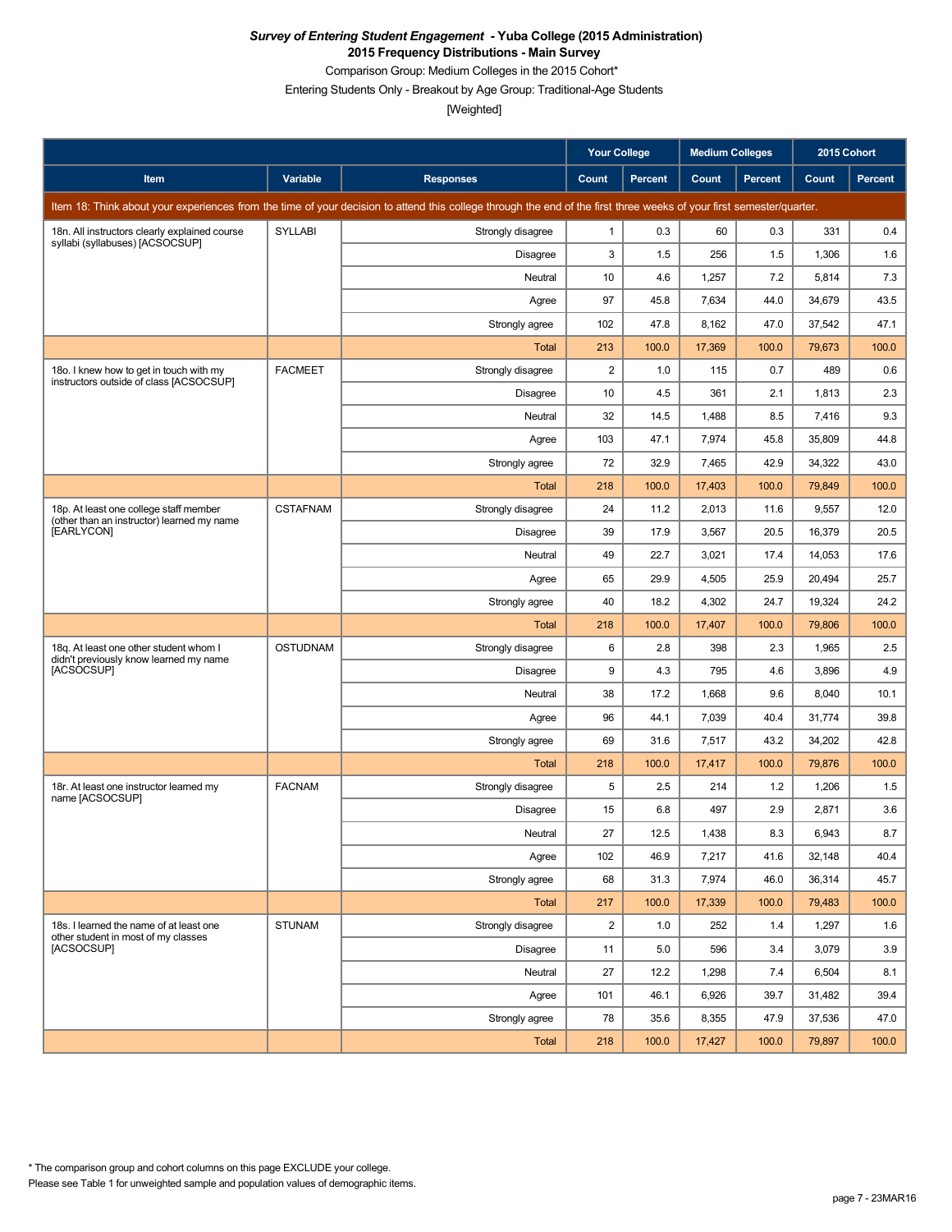Comparison Group: Medium Colleges in the 2015 Cohort\*

Entering Students Only - Breakout by Age Group: Traditional-Age Students

|                                                                                      |                 |                                                                                                                                                                      | <b>Your College</b>     |                | <b>Medium Colleges</b> |                | 2015 Cohort |         |
|--------------------------------------------------------------------------------------|-----------------|----------------------------------------------------------------------------------------------------------------------------------------------------------------------|-------------------------|----------------|------------------------|----------------|-------------|---------|
| Item                                                                                 | Variable        | <b>Responses</b>                                                                                                                                                     | Count                   | <b>Percent</b> | Count                  | <b>Percent</b> | Count       | Percent |
|                                                                                      |                 | Item 18: Think about your experiences from the time of your decision to attend this college through the end of the first three weeks of your first semester/quarter. |                         |                |                        |                |             |         |
| 18n. All instructors clearly explained course                                        | <b>SYLLABI</b>  | Strongly disagree                                                                                                                                                    | 1                       | 0.3            | 60                     | 0.3            | 331         | 0.4     |
| syllabi (syllabuses) [ACSOCSUP]                                                      |                 | Disagree                                                                                                                                                             | 3                       | 1.5            | 256                    | 1.5            | 1,306       | 1.6     |
|                                                                                      |                 | Neutral                                                                                                                                                              | 10                      | 4.6            | 1,257                  | 7.2            | 5,814       | 7.3     |
|                                                                                      |                 | Agree                                                                                                                                                                | 97                      | 45.8           | 7,634                  | 44.0           | 34,679      | 43.5    |
|                                                                                      |                 | Strongly agree                                                                                                                                                       | 102                     | 47.8           | 8,162                  | 47.0           | 37,542      | 47.1    |
|                                                                                      |                 | <b>Total</b>                                                                                                                                                         | 213                     | 100.0          | 17,369                 | 100.0          | 79,673      | 100.0   |
| 18o. I knew how to get in touch with my<br>instructors outside of class [ACSOCSUP]   | <b>FACMEET</b>  | Strongly disagree                                                                                                                                                    | $\overline{\mathbf{c}}$ | 1.0            | 115                    | 0.7            | 489         | 0.6     |
|                                                                                      |                 | <b>Disagree</b>                                                                                                                                                      | 10                      | 4.5            | 361                    | 2.1            | 1,813       | 2.3     |
|                                                                                      |                 | Neutral                                                                                                                                                              | 32                      | 14.5           | 1,488                  | 8.5            | 7,416       | 9.3     |
|                                                                                      |                 | Agree                                                                                                                                                                | 103                     | 47.1           | 7,974                  | 45.8           | 35,809      | 44.8    |
|                                                                                      |                 | Strongly agree                                                                                                                                                       | 72                      | 32.9           | 7,465                  | 42.9           | 34,322      | 43.0    |
|                                                                                      |                 | Total                                                                                                                                                                | 218                     | 100.0          | 17,403                 | 100.0          | 79,849      | 100.0   |
| 18p. At least one college staff member<br>(other than an instructor) learned my name | <b>CSTAFNAM</b> | Strongly disagree                                                                                                                                                    | 24                      | 11.2           | 2,013                  | 11.6           | 9,557       | 12.0    |
| [EARLYCON]                                                                           |                 | <b>Disagree</b>                                                                                                                                                      | 39                      | 17.9           | 3,567                  | 20.5           | 16,379      | 20.5    |
|                                                                                      |                 | Neutral                                                                                                                                                              | 49                      | 22.7           | 3,021                  | 17.4           | 14,053      | 17.6    |
|                                                                                      |                 | Agree                                                                                                                                                                | 65                      | 29.9           | 4,505                  | 25.9           | 20,494      | 25.7    |
|                                                                                      |                 | Strongly agree                                                                                                                                                       | 40                      | 18.2           | 4,302                  | 24.7           | 19,324      | 24.2    |
|                                                                                      |                 | <b>Total</b>                                                                                                                                                         | 218                     | 100.0          | 17,407                 | 100.0          | 79,806      | 100.0   |
| 18q. At least one other student whom I<br>didn't previously know learned my name     | <b>OSTUDNAM</b> | Strongly disagree                                                                                                                                                    | 6                       | 2.8            | 398                    | 2.3            | 1,965       | 2.5     |
| [ACSOCSUP]                                                                           |                 | <b>Disagree</b>                                                                                                                                                      | 9                       | 4.3            | 795                    | 4.6            | 3,896       | 4.9     |
|                                                                                      |                 | Neutral                                                                                                                                                              | 38                      | 17.2           | 1,668                  | 9.6            | 8,040       | 10.1    |
|                                                                                      |                 | Agree                                                                                                                                                                | 96                      | 44.1           | 7,039                  | 40.4           | 31,774      | 39.8    |
|                                                                                      |                 | Strongly agree                                                                                                                                                       | 69                      | 31.6           | 7,517                  | 43.2           | 34,202      | 42.8    |
|                                                                                      |                 | Total                                                                                                                                                                | 218                     | 100.0          | 17,417                 | 100.0          | 79,876      | 100.0   |
| 18r. At least one instructor learned my<br>name [ACSOCSUP]                           | <b>FACNAM</b>   | Strongly disagree                                                                                                                                                    | 5                       | 2.5            | 214                    | 1.2            | 1,206       | 1.5     |
|                                                                                      |                 | Disagree                                                                                                                                                             | 15                      | 6.8            | 497                    | 2.9            | 2,871       | 3.6     |
|                                                                                      |                 | Neutral                                                                                                                                                              | 27                      | 12.5           | 1,438                  | $8.3\,$        | 6,943       | 8.7     |
|                                                                                      |                 | Agree                                                                                                                                                                | 102                     | 46.9           | 7,217                  | 41.6           | 32,148      | 40.4    |
|                                                                                      |                 | Strongly agree                                                                                                                                                       | 68                      | 31.3           | 7,974                  | 46.0           | 36,314      | 45.7    |
|                                                                                      |                 | Total                                                                                                                                                                | 217                     | 100.0          | 17,339                 | 100.0          | 79,483      | 100.0   |
| 18s. I learned the name of at least one<br>other student in most of my classes       | <b>STUNAM</b>   | Strongly disagree                                                                                                                                                    | $\overline{2}$          | 1.0            | 252                    | 1.4            | 1,297       | 1.6     |
| [ACSOCSUP]                                                                           |                 | <b>Disagree</b>                                                                                                                                                      | 11                      | 5.0            | 596                    | 3.4            | 3,079       | 3.9     |
|                                                                                      |                 | Neutral                                                                                                                                                              | 27                      | 12.2           | 1,298                  | 7.4            | 6,504       | 8.1     |
|                                                                                      |                 | Agree                                                                                                                                                                | 101                     | 46.1           | 6,926                  | 39.7           | 31,482      | 39.4    |
|                                                                                      |                 | Strongly agree                                                                                                                                                       | 78                      | 35.6           | 8,355                  | 47.9           | 37,536      | 47.0    |
|                                                                                      |                 | Total                                                                                                                                                                | 218                     | 100.0          | 17,427                 | 100.0          | 79,897      | 100.0   |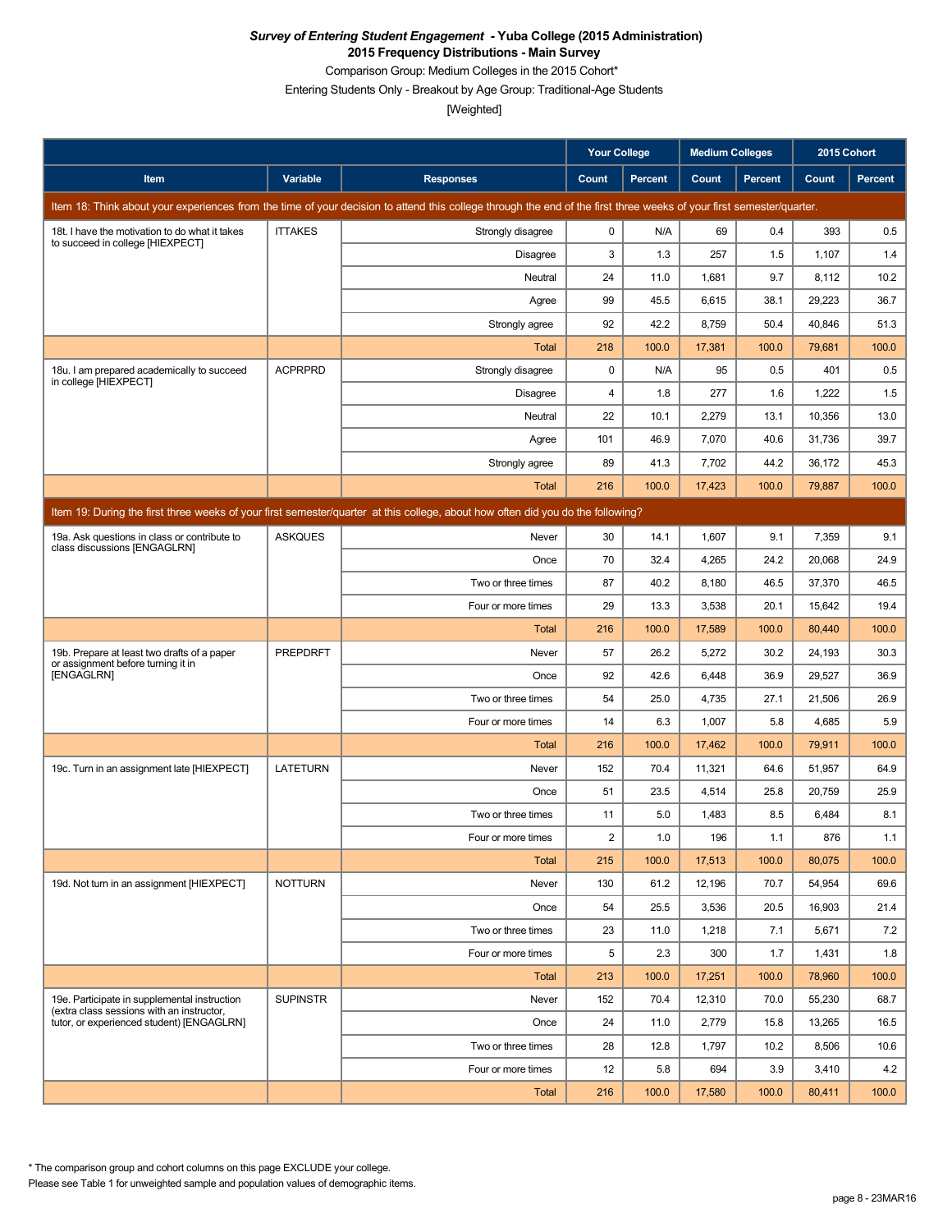Comparison Group: Medium Colleges in the 2015 Cohort\*

Entering Students Only - Breakout by Age Group: Traditional-Age Students

[Weighted]

|                                                                                           |                 |                                                                                                                                                                      | <b>Your College</b> |                | <b>Medium Colleges</b> |         | 2015 Cohort |                |
|-------------------------------------------------------------------------------------------|-----------------|----------------------------------------------------------------------------------------------------------------------------------------------------------------------|---------------------|----------------|------------------------|---------|-------------|----------------|
| Item                                                                                      | Variable        | <b>Responses</b>                                                                                                                                                     | Count               | <b>Percent</b> | Count                  | Percent | Count       | <b>Percent</b> |
|                                                                                           |                 | Item 18: Think about your experiences from the time of your decision to attend this college through the end of the first three weeks of your first semester/quarter. |                     |                |                        |         |             |                |
| 18t. I have the motivation to do what it takes<br>to succeed in college [HIEXPECT]        | <b>ITTAKES</b>  | Strongly disagree                                                                                                                                                    | 0                   | N/A            | 69                     | 0.4     | 393         | 0.5            |
|                                                                                           |                 | Disagree                                                                                                                                                             | 3                   | 1.3            | 257                    | 1.5     | 1,107       | 1.4            |
|                                                                                           |                 | Neutral                                                                                                                                                              | 24                  | 11.0           | 1,681                  | 9.7     | 8,112       | 10.2           |
|                                                                                           |                 | Agree                                                                                                                                                                | 99                  | 45.5           | 6,615                  | 38.1    | 29,223      | 36.7           |
|                                                                                           |                 | Strongly agree                                                                                                                                                       | 92                  | 42.2           | 8,759                  | 50.4    | 40,846      | 51.3           |
|                                                                                           |                 | <b>Total</b>                                                                                                                                                         | 218                 | 100.0          | 17,381                 | 100.0   | 79,681      | 100.0          |
| 18u. I am prepared academically to succeed<br>in college [HIEXPECT]                       | <b>ACPRPRD</b>  | Strongly disagree                                                                                                                                                    | 0                   | N/A            | 95                     | 0.5     | 401         | 0.5            |
|                                                                                           |                 | <b>Disagree</b>                                                                                                                                                      | 4                   | 1.8            | 277                    | 1.6     | 1,222       | 1.5            |
|                                                                                           |                 | Neutral                                                                                                                                                              | 22                  | 10.1           | 2,279                  | 13.1    | 10,356      | 13.0           |
|                                                                                           |                 | Agree                                                                                                                                                                | 101                 | 46.9           | 7,070                  | 40.6    | 31,736      | 39.7           |
|                                                                                           |                 | Strongly agree                                                                                                                                                       | 89                  | 41.3           | 7,702                  | 44.2    | 36,172      | 45.3           |
|                                                                                           |                 | Total                                                                                                                                                                | 216                 | 100.0          | 17,423                 | 100.0   | 79,887      | 100.0          |
|                                                                                           |                 | Item 19: During the first three weeks of your first semester/guarter at this college, about how often did you do the following?                                      |                     |                |                        |         |             |                |
| 19a. Ask questions in class or contribute to<br>class discussions [ENGAGLRN]              | <b>ASKQUES</b>  | Never                                                                                                                                                                | 30                  | 14.1           | 1,607                  | 9.1     | 7,359       | 9.1            |
|                                                                                           |                 | Once                                                                                                                                                                 | 70                  | 32.4           | 4,265                  | 24.2    | 20,068      | 24.9           |
|                                                                                           |                 | Two or three times                                                                                                                                                   | 87                  | 40.2           | 8,180                  | 46.5    | 37,370      | 46.5           |
|                                                                                           |                 | Four or more times                                                                                                                                                   | 29                  | 13.3           | 3,538                  | 20.1    | 15,642      | 19.4           |
|                                                                                           |                 | Total                                                                                                                                                                | 216                 | 100.0          | 17,589                 | 100.0   | 80,440      | 100.0          |
| 19b. Prepare at least two drafts of a paper<br>or assignment before turning it in         | <b>PREPDRFT</b> | Never                                                                                                                                                                | 57                  | 26.2           | 5,272                  | 30.2    | 24,193      | 30.3           |
| [ENGAGLRN]                                                                                |                 | Once                                                                                                                                                                 | 92                  | 42.6           | 6,448                  | 36.9    | 29,527      | 36.9           |
|                                                                                           |                 | Two or three times                                                                                                                                                   | 54                  | 25.0           | 4,735                  | 27.1    | 21,506      | 26.9           |
|                                                                                           |                 | Four or more times                                                                                                                                                   | 14                  | 6.3            | 1,007                  | 5.8     | 4,685       | 5.9            |
|                                                                                           |                 | Total                                                                                                                                                                | 216                 | 100.0          | 17,462                 | 100.0   | 79,911      | 100.0          |
| 19c. Turn in an assignment late [HIEXPECT]                                                | <b>LATETURN</b> | Never                                                                                                                                                                | 152                 | 70.4           | 11,321                 | 64.6    | 51,957      | 64.9           |
|                                                                                           |                 | Once                                                                                                                                                                 | 51                  | 23.5           | 4,514                  | 25.8    | 20,759      | 25.9           |
|                                                                                           |                 | Two or three times                                                                                                                                                   | 11                  | 5.0            | 1,483                  | 8.5     | 6,484       | 8.1            |
|                                                                                           |                 | Four or more times                                                                                                                                                   | 2                   | 1.0            | 196                    | 1.1     | 876         | 1.1            |
|                                                                                           |                 | Total                                                                                                                                                                | 215                 | 100.0          | 17,513                 | 100.0   | 80,075      | 100.0          |
| 19d. Not turn in an assignment [HIEXPECT]                                                 | <b>NOTTURN</b>  | Never                                                                                                                                                                | 130                 | 61.2           | 12,196                 | 70.7    | 54,954      | 69.6           |
|                                                                                           |                 | Once                                                                                                                                                                 | 54                  | 25.5           | 3,536                  | 20.5    | 16,903      | 21.4           |
|                                                                                           |                 | Two or three times                                                                                                                                                   | 23                  | 11.0           | 1,218                  | 7.1     | 5,671       | 7.2            |
|                                                                                           |                 | Four or more times                                                                                                                                                   | 5                   | 2.3            | 300                    | 1.7     | 1,431       | 1.8            |
|                                                                                           |                 | Total                                                                                                                                                                | 213                 | 100.0          | 17,251                 | 100.0   | 78,960      | 100.0          |
| 19e. Participate in supplemental instruction<br>(extra class sessions with an instructor, | <b>SUPINSTR</b> | Never                                                                                                                                                                | 152                 | 70.4           | 12,310                 | 70.0    | 55,230      | 68.7           |
| tutor, or experienced student) [ENGAGLRN]                                                 |                 | Once                                                                                                                                                                 | 24                  | 11.0           | 2,779                  | 15.8    | 13,265      | 16.5           |
|                                                                                           |                 | Two or three times                                                                                                                                                   | 28                  | 12.8           | 1,797                  | 10.2    | 8,506       | 10.6           |
|                                                                                           |                 | Four or more times                                                                                                                                                   | 12                  | 5.8            | 694                    | 3.9     | 3,410       | 4.2            |
|                                                                                           |                 | Total                                                                                                                                                                | 216                 | 100.0          | 17,580                 | 100.0   | 80,411      | 100.0          |

Please see Table 1 for unweighted sample and population values of demographic items. \* The comparison group and cohort columns on this page EXCLUDE your college.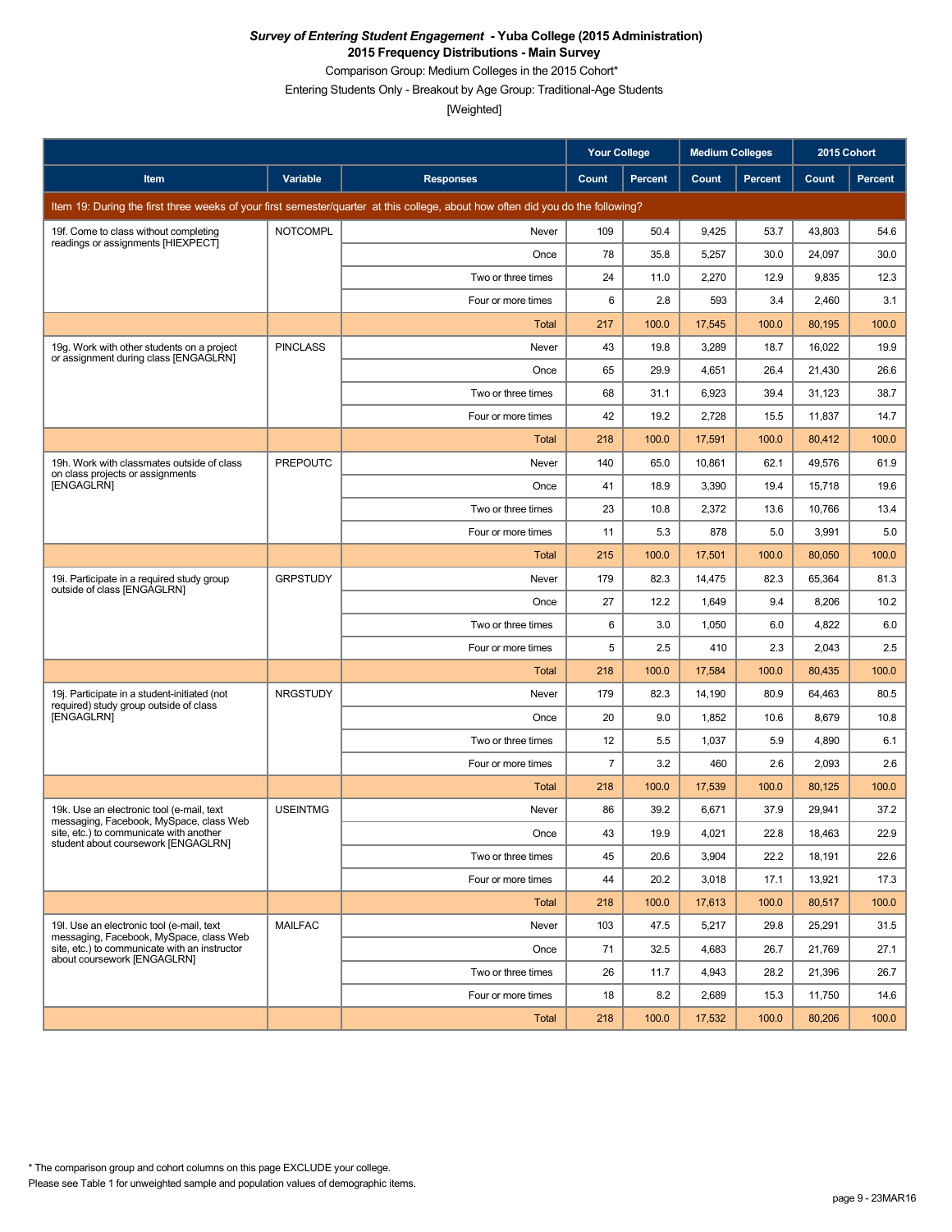Comparison Group: Medium Colleges in the 2015 Cohort\*

Entering Students Only - Breakout by Age Group: Traditional-Age Students

|                                                                                        |                 |                                                                                                                                 | <b>Your College</b> |                | <b>Medium Colleges</b> |         | 2015 Cohort |         |
|----------------------------------------------------------------------------------------|-----------------|---------------------------------------------------------------------------------------------------------------------------------|---------------------|----------------|------------------------|---------|-------------|---------|
| Item                                                                                   | Variable        | <b>Responses</b>                                                                                                                | Count               | <b>Percent</b> | Count                  | Percent | Count       | Percent |
|                                                                                        |                 | Item 19: During the first three weeks of your first semester/quarter at this college, about how often did you do the following? |                     |                |                        |         |             |         |
| 19f. Come to class without completing<br>readings or assignments [HIEXPECT]            | <b>NOTCOMPL</b> | Never                                                                                                                           | 109                 | 50.4           | 9,425                  | 53.7    | 43,803      | 54.6    |
|                                                                                        |                 | Once                                                                                                                            | 78                  | 35.8           | 5,257                  | 30.0    | 24,097      | 30.0    |
|                                                                                        |                 | Two or three times                                                                                                              | 24                  | 11.0           | 2,270                  | 12.9    | 9,835       | 12.3    |
|                                                                                        |                 | Four or more times                                                                                                              | 6                   | 2.8            | 593                    | 3.4     | 2,460       | 3.1     |
|                                                                                        |                 | Total                                                                                                                           | 217                 | 100.0          | 17,545                 | 100.0   | 80,195      | 100.0   |
| 19g. Work with other students on a project<br>or assignment during class [ENGAGLRN]    | <b>PINCLASS</b> | Never                                                                                                                           | 43                  | 19.8           | 3,289                  | 18.7    | 16,022      | 19.9    |
|                                                                                        |                 | Once                                                                                                                            | 65                  | 29.9           | 4,651                  | 26.4    | 21,430      | 26.6    |
|                                                                                        |                 | Two or three times                                                                                                              | 68                  | 31.1           | 6,923                  | 39.4    | 31,123      | 38.7    |
|                                                                                        |                 | Four or more times                                                                                                              | 42                  | 19.2           | 2,728                  | 15.5    | 11,837      | 14.7    |
|                                                                                        |                 | Total                                                                                                                           | 218                 | 100.0          | 17,591                 | 100.0   | 80,412      | 100.0   |
| 19h. Work with classmates outside of class<br>on class projects or assignments         | <b>PREPOUTC</b> | Never                                                                                                                           | 140                 | 65.0           | 10,861                 | 62.1    | 49,576      | 61.9    |
| [ENGAGLRN]                                                                             |                 | Once                                                                                                                            | 41                  | 18.9           | 3,390                  | 19.4    | 15,718      | 19.6    |
|                                                                                        |                 | Two or three times                                                                                                              | 23                  | 10.8           | 2,372                  | 13.6    | 10,766      | 13.4    |
|                                                                                        |                 | Four or more times                                                                                                              | 11                  | 5.3            | 878                    | 5.0     | 3,991       | 5.0     |
|                                                                                        |                 | Total                                                                                                                           | 215                 | 100.0          | 17,501                 | 100.0   | 80,050      | 100.0   |
| 19i. Participate in a required study group<br>outside of class [ENGAGLRN]              | <b>GRPSTUDY</b> | Never                                                                                                                           | 179                 | 82.3           | 14,475                 | 82.3    | 65,364      | 81.3    |
|                                                                                        |                 | Once                                                                                                                            | 27                  | 12.2           | 1,649                  | 9.4     | 8,206       | 10.2    |
|                                                                                        |                 | Two or three times                                                                                                              | 6                   | 3.0            | 1,050                  | 6.0     | 4,822       | 6.0     |
|                                                                                        |                 | Four or more times                                                                                                              | 5                   | 2.5            | 410                    | 2.3     | 2,043       | 2.5     |
|                                                                                        |                 | Total                                                                                                                           | 218                 | 100.0          | 17,584                 | 100.0   | 80,435      | 100.0   |
| 19j. Participate in a student-initiated (not<br>required) study group outside of class | <b>NRGSTUDY</b> | Never                                                                                                                           | 179                 | 82.3           | 14,190                 | 80.9    | 64,463      | 80.5    |
| [ENGAGLRN]                                                                             |                 | Once                                                                                                                            | 20                  | 9.0            | 1,852                  | 10.6    | 8,679       | 10.8    |
|                                                                                        |                 | Two or three times                                                                                                              | 12                  | 5.5            | 1,037                  | 5.9     | 4,890       | 6.1     |
|                                                                                        |                 | Four or more times                                                                                                              | $\overline{7}$      | 3.2            | 460                    | 2.6     | 2,093       | 2.6     |
|                                                                                        |                 | <b>Total</b>                                                                                                                    | 218                 | 100.0          | 17,539                 | 100.0   | 80,125      | 100.0   |
| 19k. Use an electronic tool (e-mail, text<br>messaging, Facebook, MySpace, class Web   | <b>USEINTMG</b> | Never                                                                                                                           | 86                  | 39.2           | 6,671                  | 37.9    | 29,941      | 37.2    |
| site, etc.) to communicate with another<br>student about coursework [ENGAGLRN]         |                 | Once                                                                                                                            | 43                  | 19.9           | 4,021                  | 22.8    | 18,463      | 22.9    |
|                                                                                        |                 | Two or three times                                                                                                              | 45                  | 20.6           | 3,904                  | 22.2    | 18,191      | 22.6    |
|                                                                                        |                 | Four or more times                                                                                                              | 44                  | 20.2           | 3,018                  | 17.1    | 13,921      | 17.3    |
|                                                                                        |                 | Total                                                                                                                           | 218                 | 100.0          | 17,613                 | 100.0   | 80,517      | 100.0   |
| 19I. Use an electronic tool (e-mail, text<br>messaging, Facebook, MySpace, class Web   | <b>MAILFAC</b>  | Never                                                                                                                           | 103                 | 47.5           | 5,217                  | 29.8    | 25,291      | 31.5    |
| site, etc.) to communicate with an instructor<br>about coursework [ENGAGLRN]           |                 | Once                                                                                                                            | 71                  | 32.5           | 4,683                  | 26.7    | 21,769      | 27.1    |
|                                                                                        |                 | Two or three times                                                                                                              | 26                  | 11.7           | 4,943                  | 28.2    | 21,396      | 26.7    |
|                                                                                        |                 | Four or more times                                                                                                              | 18                  | 8.2            | 2,689                  | 15.3    | 11,750      | 14.6    |
|                                                                                        |                 | Total                                                                                                                           | 218                 | 100.0          | 17,532                 | 100.0   | 80,206      | 100.0   |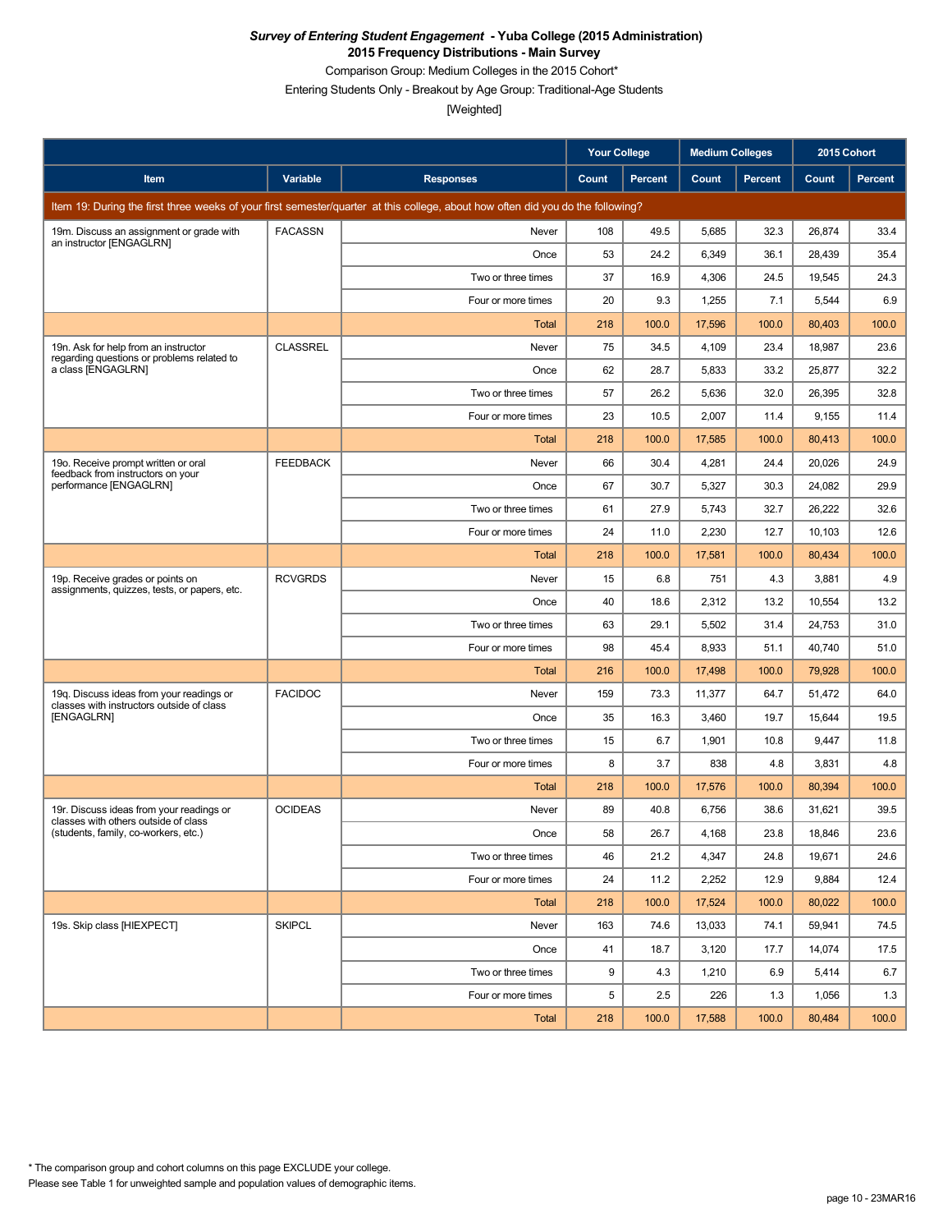Comparison Group: Medium Colleges in the 2015 Cohort\*

Entering Students Only - Breakout by Age Group: Traditional-Age Students

|                                                                                       |                 |                                                                                                                                 | <b>Your College</b> |                | <b>Medium Colleges</b> |         | 2015 Cohort |                |
|---------------------------------------------------------------------------------------|-----------------|---------------------------------------------------------------------------------------------------------------------------------|---------------------|----------------|------------------------|---------|-------------|----------------|
| Item                                                                                  | Variable        | <b>Responses</b>                                                                                                                | Count               | <b>Percent</b> | Count                  | Percent | Count       | <b>Percent</b> |
|                                                                                       |                 | Item 19: During the first three weeks of your first semester/quarter at this college, about how often did you do the following? |                     |                |                        |         |             |                |
| 19m. Discuss an assignment or grade with<br>an instructor [ENGAGLRN]                  | <b>FACASSN</b>  | Never                                                                                                                           | 108                 | 49.5           | 5,685                  | 32.3    | 26,874      | 33.4           |
|                                                                                       |                 | Once                                                                                                                            | 53                  | 24.2           | 6,349                  | 36.1    | 28,439      | 35.4           |
|                                                                                       |                 | Two or three times                                                                                                              | 37                  | 16.9           | 4,306                  | 24.5    | 19,545      | 24.3           |
|                                                                                       |                 | Four or more times                                                                                                              | 20                  | 9.3            | 1,255                  | 7.1     | 5,544       | 6.9            |
|                                                                                       |                 | Total                                                                                                                           | 218                 | 100.0          | 17,596                 | 100.0   | 80,403      | 100.0          |
| 19n. Ask for help from an instructor<br>regarding questions or problems related to    | <b>CLASSREL</b> | Never                                                                                                                           | 75                  | 34.5           | 4,109                  | 23.4    | 18,987      | 23.6           |
| a class [ENGAGLRN]                                                                    |                 | Once                                                                                                                            | 62                  | 28.7           | 5,833                  | 33.2    | 25,877      | 32.2           |
|                                                                                       |                 | Two or three times                                                                                                              | 57                  | 26.2           | 5,636                  | 32.0    | 26,395      | 32.8           |
|                                                                                       |                 | Four or more times                                                                                                              | 23                  | 10.5           | 2,007                  | 11.4    | 9,155       | 11.4           |
|                                                                                       |                 | Total                                                                                                                           | 218                 | 100.0          | 17,585                 | 100.0   | 80,413      | 100.0          |
| 19o. Receive prompt written or oral<br>feedback from instructors on your              | <b>FEEDBACK</b> | Never                                                                                                                           | 66                  | 30.4           | 4,281                  | 24.4    | 20,026      | 24.9           |
| performance [ENGAGLRN]                                                                |                 | Once                                                                                                                            | 67                  | 30.7           | 5,327                  | 30.3    | 24,082      | 29.9           |
|                                                                                       |                 | Two or three times                                                                                                              | 61                  | 27.9           | 5,743                  | 32.7    | 26,222      | 32.6           |
|                                                                                       |                 | Four or more times                                                                                                              | 24                  | 11.0           | 2,230                  | 12.7    | 10,103      | 12.6           |
|                                                                                       |                 | Total                                                                                                                           | 218                 | 100.0          | 17,581                 | 100.0   | 80,434      | 100.0          |
| 19p. Receive grades or points on<br>assignments, quizzes, tests, or papers, etc.      | <b>RCVGRDS</b>  | Never                                                                                                                           | 15                  | 6.8            | 751                    | 4.3     | 3,881       | 4.9            |
|                                                                                       |                 | Once                                                                                                                            | 40                  | 18.6           | 2,312                  | 13.2    | 10,554      | 13.2           |
|                                                                                       |                 | Two or three times                                                                                                              | 63                  | 29.1           | 5,502                  | 31.4    | 24,753      | 31.0           |
|                                                                                       |                 | Four or more times                                                                                                              | 98                  | 45.4           | 8,933                  | 51.1    | 40,740      | 51.0           |
|                                                                                       |                 | Total                                                                                                                           | 216                 | 100.0          | 17,498                 | 100.0   | 79,928      | 100.0          |
| 19g. Discuss ideas from your readings or<br>classes with instructors outside of class | <b>FACIDOC</b>  | Never                                                                                                                           | 159                 | 73.3           | 11,377                 | 64.7    | 51,472      | 64.0           |
| [ENGAGLRN]                                                                            |                 | Once                                                                                                                            | 35                  | 16.3           | 3,460                  | 19.7    | 15,644      | 19.5           |
|                                                                                       |                 | Two or three times                                                                                                              | 15                  | 6.7            | 1,901                  | 10.8    | 9,447       | 11.8           |
|                                                                                       |                 | Four or more times                                                                                                              | 8                   | 3.7            | 838                    | 4.8     | 3,831       | 4.8            |
|                                                                                       |                 | Total                                                                                                                           | 218                 | 100.0          | 17,576                 | 100.0   | 80,394      | 100.0          |
| 19r. Discuss ideas from your readings or<br>classes with others outside of class      | <b>OCIDEAS</b>  | Never                                                                                                                           | 89                  | 40.8           | 6,756                  | 38.6    | 31,621      | 39.5           |
| (students, family, co-workers, etc.)                                                  |                 | Once                                                                                                                            | 58                  | 26.7           | 4,168                  | 23.8    | 18,846      | 23.6           |
|                                                                                       |                 | Two or three times                                                                                                              | 46                  | 21.2           | 4,347                  | 24.8    | 19,671      | 24.6           |
|                                                                                       |                 | Four or more times                                                                                                              | 24                  | 11.2           | 2,252                  | 12.9    | 9,884       | 12.4           |
|                                                                                       |                 | Total                                                                                                                           | 218                 | 100.0          | 17,524                 | 100.0   | 80,022      | 100.0          |
| 19s. Skip class [HIEXPECT]                                                            | <b>SKIPCL</b>   | Never                                                                                                                           | 163                 | 74.6           | 13,033                 | 74.1    | 59,941      | 74.5           |
|                                                                                       |                 | Once                                                                                                                            | 41                  | 18.7           | 3,120                  | 17.7    | 14,074      | 17.5           |
|                                                                                       |                 | Two or three times                                                                                                              | 9                   | 4.3            | 1,210                  | 6.9     | 5,414       | 6.7            |
|                                                                                       |                 | Four or more times                                                                                                              | 5                   | 2.5            | 226                    | 1.3     | 1,056       | 1.3            |
|                                                                                       |                 | Total                                                                                                                           | 218                 | 100.0          | 17,588                 | 100.0   | 80,484      | 100.0          |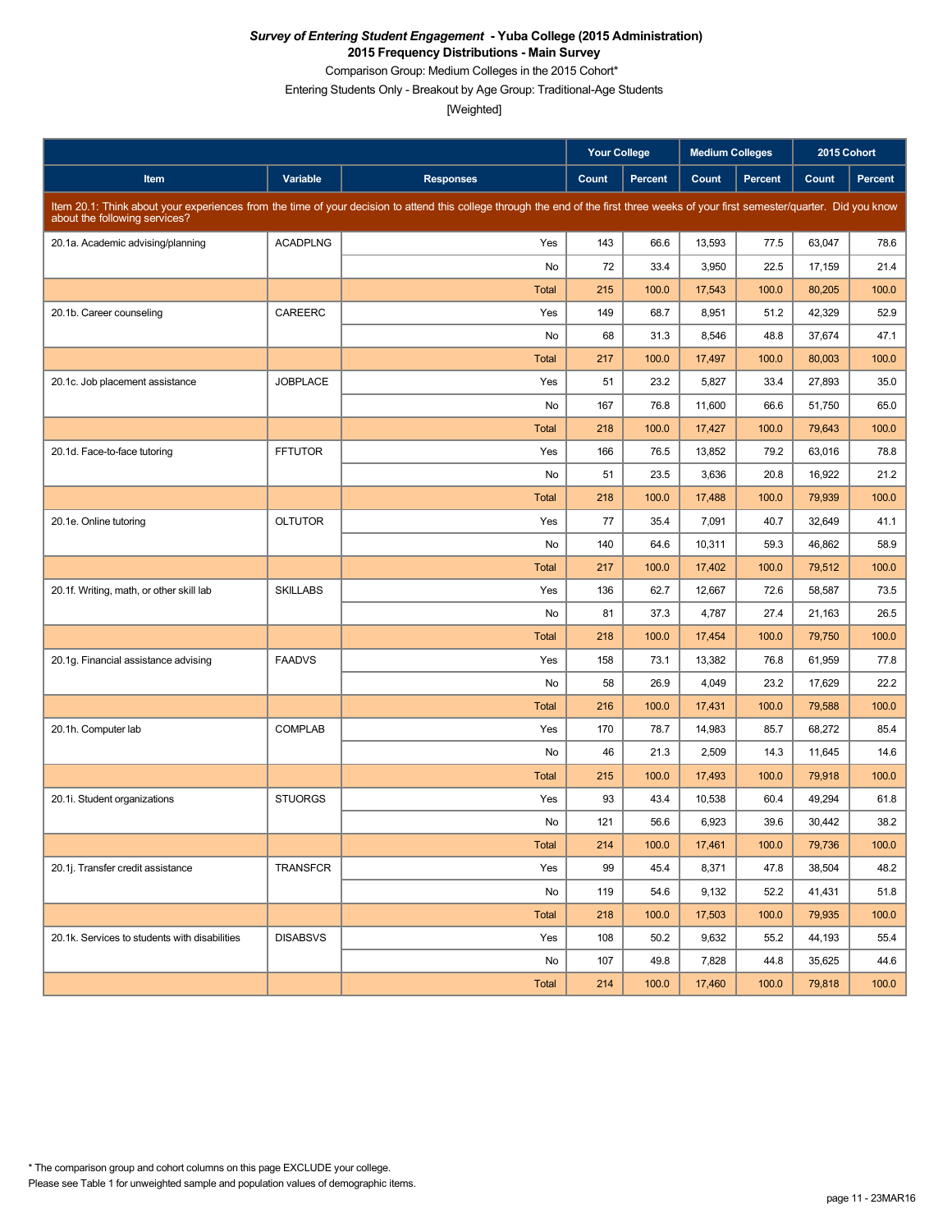Comparison Group: Medium Colleges in the 2015 Cohort\*

Entering Students Only - Breakout by Age Group: Traditional-Age Students

|                                               |                 |                                                                                                                                                                                     | <b>Your College</b> |                | <b>Medium Colleges</b> |         | 2015 Cohort |         |
|-----------------------------------------------|-----------------|-------------------------------------------------------------------------------------------------------------------------------------------------------------------------------------|---------------------|----------------|------------------------|---------|-------------|---------|
| Item                                          | Variable        | <b>Responses</b>                                                                                                                                                                    | Count               | <b>Percent</b> | Count                  | Percent | Count       | Percent |
| about the following services?                 |                 | Item 20.1: Think about your experiences from the time of your decision to attend this college through the end of the first three weeks of your first semester/quarter. Did you know |                     |                |                        |         |             |         |
| 20.1a. Academic advising/planning             | <b>ACADPLNG</b> | Yes                                                                                                                                                                                 | 143                 | 66.6           | 13,593                 | 77.5    | 63,047      | 78.6    |
|                                               |                 | No                                                                                                                                                                                  | 72                  | 33.4           | 3,950                  | 22.5    | 17,159      | 21.4    |
|                                               |                 | <b>Total</b>                                                                                                                                                                        | 215                 | 100.0          | 17,543                 | 100.0   | 80,205      | 100.0   |
| 20.1b. Career counseling                      | CAREERC         | Yes                                                                                                                                                                                 | 149                 | 68.7           | 8,951                  | 51.2    | 42,329      | 52.9    |
|                                               |                 | No                                                                                                                                                                                  | 68                  | 31.3           | 8,546                  | 48.8    | 37,674      | 47.1    |
|                                               |                 | <b>Total</b>                                                                                                                                                                        | 217                 | 100.0          | 17,497                 | 100.0   | 80,003      | 100.0   |
| 20.1c. Job placement assistance               | <b>JOBPLACE</b> | Yes                                                                                                                                                                                 | 51                  | 23.2           | 5,827                  | 33.4    | 27,893      | 35.0    |
|                                               |                 | No                                                                                                                                                                                  | 167                 | 76.8           | 11,600                 | 66.6    | 51,750      | 65.0    |
|                                               |                 | <b>Total</b>                                                                                                                                                                        | 218                 | 100.0          | 17,427                 | 100.0   | 79,643      | 100.0   |
| 20.1d. Face-to-face tutoring                  | <b>FFTUTOR</b>  | Yes                                                                                                                                                                                 | 166                 | 76.5           | 13,852                 | 79.2    | 63,016      | 78.8    |
|                                               |                 | No                                                                                                                                                                                  | 51                  | 23.5           | 3,636                  | 20.8    | 16,922      | 21.2    |
|                                               |                 | <b>Total</b>                                                                                                                                                                        | 218                 | 100.0          | 17,488                 | 100.0   | 79,939      | 100.0   |
| 20.1e. Online tutoring                        | <b>OLTUTOR</b>  | Yes                                                                                                                                                                                 | 77                  | 35.4           | 7,091                  | 40.7    | 32,649      | 41.1    |
|                                               |                 | No                                                                                                                                                                                  | 140                 | 64.6           | 10,311                 | 59.3    | 46,862      | 58.9    |
|                                               |                 | <b>Total</b>                                                                                                                                                                        | 217                 | 100.0          | 17,402                 | 100.0   | 79,512      | 100.0   |
| 20.1f. Writing, math, or other skill lab      | <b>SKILLABS</b> | Yes                                                                                                                                                                                 | 136                 | 62.7           | 12,667                 | 72.6    | 58,587      | 73.5    |
|                                               |                 | No                                                                                                                                                                                  | 81                  | 37.3           | 4,787                  | 27.4    | 21,163      | 26.5    |
|                                               |                 | Total                                                                                                                                                                               | 218                 | 100.0          | 17,454                 | 100.0   | 79,750      | 100.0   |
| 20.1g. Financial assistance advising          | <b>FAADVS</b>   | Yes                                                                                                                                                                                 | 158                 | 73.1           | 13,382                 | 76.8    | 61,959      | 77.8    |
|                                               |                 | No                                                                                                                                                                                  | 58                  | 26.9           | 4,049                  | 23.2    | 17,629      | 22.2    |
|                                               |                 | Total                                                                                                                                                                               | 216                 | 100.0          | 17,431                 | 100.0   | 79,588      | 100.0   |
| 20.1h. Computer lab                           | <b>COMPLAB</b>  | Yes                                                                                                                                                                                 | 170                 | 78.7           | 14,983                 | 85.7    | 68,272      | 85.4    |
|                                               |                 | No                                                                                                                                                                                  | 46                  | 21.3           | 2,509                  | 14.3    | 11,645      | 14.6    |
|                                               |                 | <b>Total</b>                                                                                                                                                                        | 215                 | 100.0          | 17,493                 | 100.0   | 79,918      | 100.0   |
| 20.1i. Student organizations                  | <b>STUORGS</b>  | Yes                                                                                                                                                                                 | 93                  | 43.4           | 10,538                 | 60.4    | 49,294      | 61.8    |
|                                               |                 | No                                                                                                                                                                                  | 121                 | 56.6           | 6,923                  | 39.6    | 30,442      | 38.2    |
|                                               |                 | Total                                                                                                                                                                               | 214                 | 100.0          | 17,461                 | 100.0   | 79,736      | 100.0   |
| 20.1j. Transfer credit assistance             | TRANSFCR        | Yes                                                                                                                                                                                 | 99                  | 45.4           | 8,371                  | 47.8    | 38,504      | 48.2    |
|                                               |                 | No                                                                                                                                                                                  | 119                 | 54.6           | 9,132                  | 52.2    | 41,431      | 51.8    |
|                                               |                 | Total                                                                                                                                                                               | 218                 | 100.0          | 17,503                 | 100.0   | 79,935      | 100.0   |
| 20.1k. Services to students with disabilities | <b>DISABSVS</b> | Yes                                                                                                                                                                                 | 108                 | 50.2           | 9,632                  | 55.2    | 44,193      | 55.4    |
|                                               |                 | No                                                                                                                                                                                  | 107                 | 49.8           | 7,828                  | 44.8    | 35,625      | 44.6    |
|                                               |                 | Total                                                                                                                                                                               | 214                 | 100.0          | 17,460                 | 100.0   | 79,818      | 100.0   |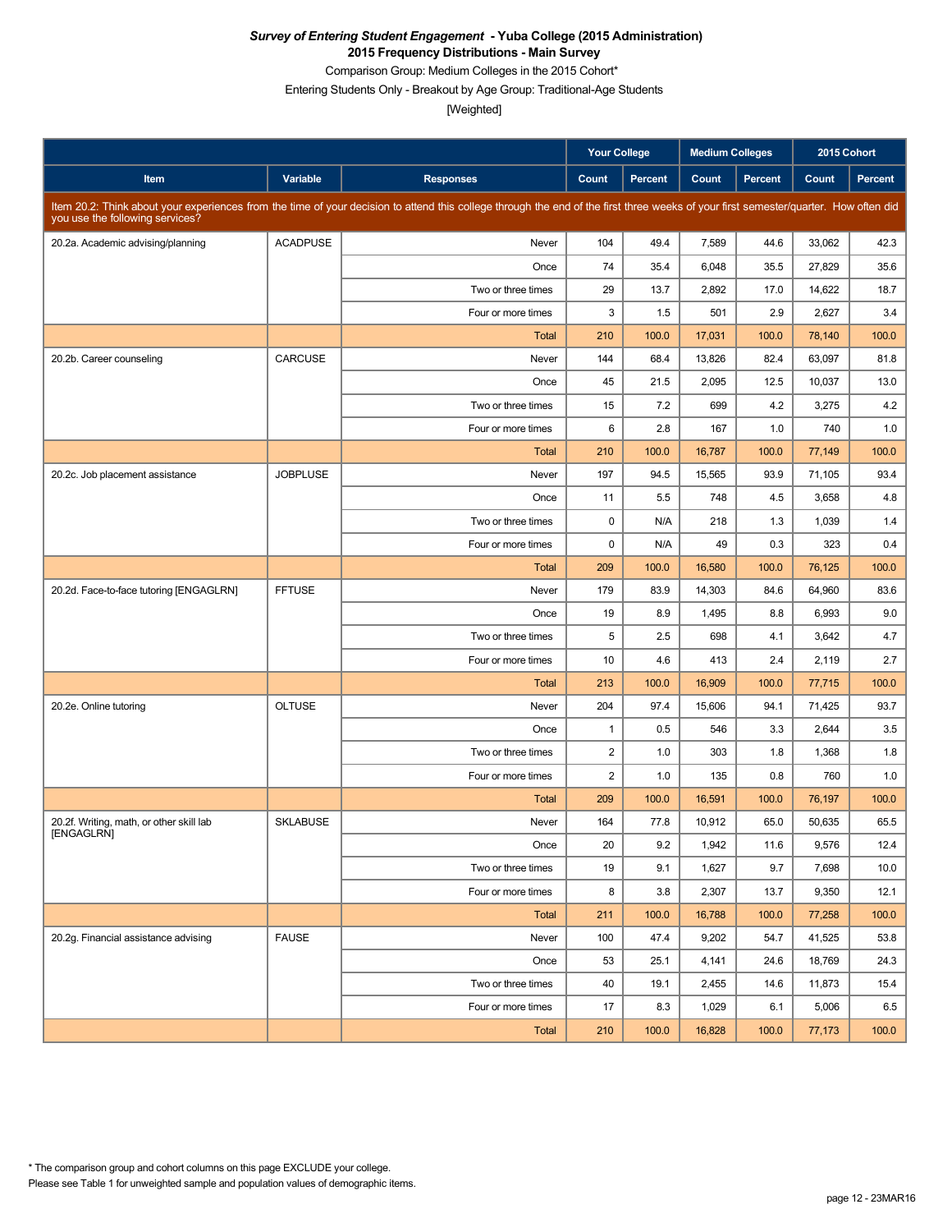Comparison Group: Medium Colleges in the 2015 Cohort\*

Entering Students Only - Breakout by Age Group: Traditional-Age Students

|                                          |                 |                                                                                                                                                                                      | <b>Your College</b>     |         | <b>Medium Colleges</b> |         | 2015 Cohort |                |
|------------------------------------------|-----------------|--------------------------------------------------------------------------------------------------------------------------------------------------------------------------------------|-------------------------|---------|------------------------|---------|-------------|----------------|
| Item                                     | Variable        | <b>Responses</b>                                                                                                                                                                     | Count                   | Percent | Count                  | Percent | Count       | <b>Percent</b> |
| you use the following services?          |                 | Item 20.2: Think about your experiences from the time of your decision to attend this college through the end of the first three weeks of your first semester/quarter. How often did |                         |         |                        |         |             |                |
| 20.2a. Academic advising/planning        | <b>ACADPUSE</b> | Never                                                                                                                                                                                | 104                     | 49.4    | 7,589                  | 44.6    | 33,062      | 42.3           |
|                                          |                 | Once                                                                                                                                                                                 | 74                      | 35.4    | 6,048                  | 35.5    | 27,829      | 35.6           |
|                                          |                 | Two or three times                                                                                                                                                                   | 29                      | 13.7    | 2,892                  | 17.0    | 14,622      | 18.7           |
|                                          |                 | Four or more times                                                                                                                                                                   | 3                       | 1.5     | 501                    | 2.9     | 2,627       | 3.4            |
|                                          |                 | Total                                                                                                                                                                                | 210                     | 100.0   | 17,031                 | 100.0   | 78,140      | 100.0          |
| 20.2b. Career counseling                 | <b>CARCUSE</b>  | Never                                                                                                                                                                                | 144                     | 68.4    | 13,826                 | 82.4    | 63,097      | 81.8           |
|                                          |                 | Once                                                                                                                                                                                 | 45                      | 21.5    | 2,095                  | 12.5    | 10,037      | 13.0           |
|                                          |                 | Two or three times                                                                                                                                                                   | 15                      | 7.2     | 699                    | 4.2     | 3,275       | 4.2            |
|                                          |                 | Four or more times                                                                                                                                                                   | 6                       | 2.8     | 167                    | 1.0     | 740         | 1.0            |
|                                          |                 | Total                                                                                                                                                                                | 210                     | 100.0   | 16,787                 | 100.0   | 77,149      | 100.0          |
| 20.2c. Job placement assistance          | <b>JOBPLUSE</b> | Never                                                                                                                                                                                | 197                     | 94.5    | 15,565                 | 93.9    | 71,105      | 93.4           |
|                                          |                 | Once                                                                                                                                                                                 | 11                      | 5.5     | 748                    | 4.5     | 3,658       | 4.8            |
|                                          |                 | Two or three times                                                                                                                                                                   | 0                       | N/A     | 218                    | 1.3     | 1,039       | 1.4            |
|                                          |                 | Four or more times                                                                                                                                                                   | 0                       | N/A     | 49                     | 0.3     | 323         | 0.4            |
|                                          |                 | <b>Total</b>                                                                                                                                                                         | 209                     | 100.0   | 16,580                 | 100.0   | 76,125      | 100.0          |
| 20.2d. Face-to-face tutoring [ENGAGLRN]  | <b>FFTUSE</b>   | Never                                                                                                                                                                                | 179                     | 83.9    | 14,303                 | 84.6    | 64,960      | 83.6           |
|                                          |                 | Once                                                                                                                                                                                 | 19                      | 8.9     | 1,495                  | 8.8     | 6,993       | 9.0            |
|                                          |                 | Two or three times                                                                                                                                                                   | 5                       | 2.5     | 698                    | 4.1     | 3,642       | 4.7            |
|                                          |                 | Four or more times                                                                                                                                                                   | 10                      | 4.6     | 413                    | 2.4     | 2,119       | 2.7            |
|                                          |                 | Total                                                                                                                                                                                | 213                     | 100.0   | 16,909                 | 100.0   | 77,715      | 100.0          |
| 20.2e. Online tutoring                   | <b>OLTUSE</b>   | Never                                                                                                                                                                                | 204                     | 97.4    | 15,606                 | 94.1    | 71,425      | 93.7           |
|                                          |                 | Once                                                                                                                                                                                 | $\mathbf{1}$            | 0.5     | 546                    | 3.3     | 2,644       | 3.5            |
|                                          |                 | Two or three times                                                                                                                                                                   | $\overline{\mathbf{c}}$ | 1.0     | 303                    | 1.8     | 1,368       | 1.8            |
|                                          |                 | Four or more times                                                                                                                                                                   | $\overline{2}$          | 1.0     | 135                    | 0.8     | 760         | 1.0            |
|                                          |                 | <b>Total</b>                                                                                                                                                                         | 209                     | 100.0   | 16,591                 | 100.0   | 76,197      | 100.0          |
| 20.2f. Writing, math, or other skill lab | <b>SKLABUSE</b> | Never                                                                                                                                                                                | 164                     | 77.8    | 10,912                 | 65.0    | 50,635      | 65.5           |
| [ENGAGLRN]                               |                 | Once                                                                                                                                                                                 | 20                      | 9.2     | 1,942                  | 11.6    | 9,576       | 12.4           |
|                                          |                 | Two or three times                                                                                                                                                                   | 19                      | 9.1     | 1,627                  | 9.7     | 7,698       | 10.0           |
|                                          |                 | Four or more times                                                                                                                                                                   | 8                       | 3.8     | 2,307                  | 13.7    | 9,350       | 12.1           |
|                                          |                 | Total                                                                                                                                                                                | 211                     | 100.0   | 16,788                 | 100.0   | 77,258      | 100.0          |
| 20.2g. Financial assistance advising     | <b>FAUSE</b>    | Never                                                                                                                                                                                | 100                     | 47.4    | 9,202                  | 54.7    | 41,525      | 53.8           |
|                                          |                 | Once                                                                                                                                                                                 | 53                      | 25.1    | 4,141                  | 24.6    | 18,769      | 24.3           |
|                                          |                 | Two or three times                                                                                                                                                                   | 40                      | 19.1    | 2,455                  | 14.6    | 11,873      | 15.4           |
|                                          |                 | Four or more times                                                                                                                                                                   | 17                      | 8.3     | 1,029                  | 6.1     | 5,006       | 6.5            |
|                                          |                 | Total                                                                                                                                                                                | 210                     | 100.0   | 16,828                 | 100.0   | 77,173      | 100.0          |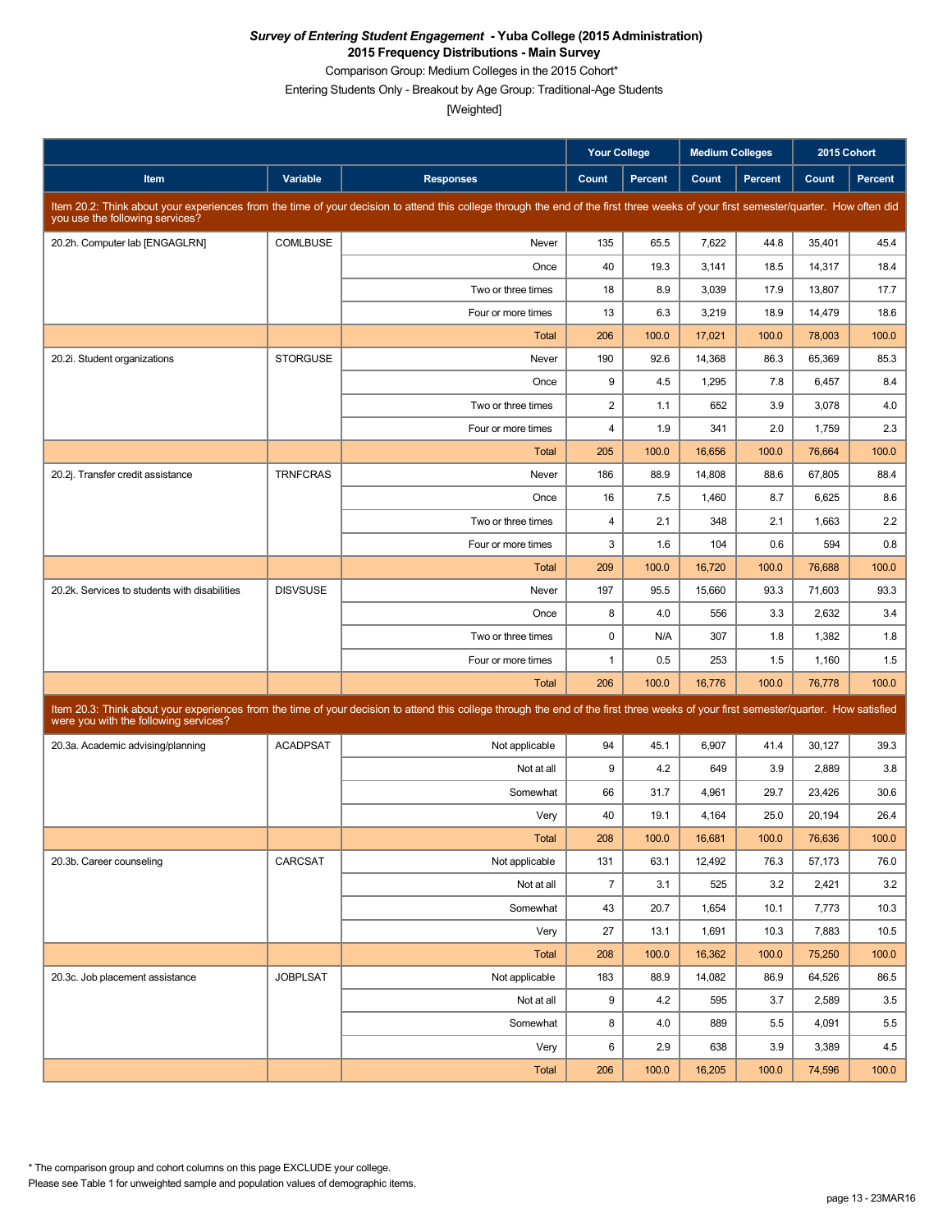Comparison Group: Medium Colleges in the 2015 Cohort\*

Entering Students Only - Breakout by Age Group: Traditional-Age Students

|                                               |                 |                                                                                                                                                                                      | <b>Your College</b>     |                | <b>Medium Colleges</b> |         | 2015 Cohort |         |
|-----------------------------------------------|-----------------|--------------------------------------------------------------------------------------------------------------------------------------------------------------------------------------|-------------------------|----------------|------------------------|---------|-------------|---------|
| Item                                          | Variable        | <b>Responses</b>                                                                                                                                                                     | Count                   | <b>Percent</b> | Count                  | Percent | Count       | Percent |
| you use the following services?               |                 | Item 20.2: Think about your experiences from the time of your decision to attend this college through the end of the first three weeks of your first semester/quarter. How often did |                         |                |                        |         |             |         |
| 20.2h. Computer lab [ENGAGLRN]                | <b>COMLBUSE</b> | Never                                                                                                                                                                                | 135                     | 65.5           | 7,622                  | 44.8    | 35,401      | 45.4    |
|                                               |                 | Once                                                                                                                                                                                 | 40                      | 19.3           | 3,141                  | 18.5    | 14,317      | 18.4    |
|                                               |                 | Two or three times                                                                                                                                                                   | 18                      | 8.9            | 3,039                  | 17.9    | 13,807      | 17.7    |
|                                               |                 | Four or more times                                                                                                                                                                   | 13                      | 6.3            | 3,219                  | 18.9    | 14,479      | 18.6    |
|                                               |                 | <b>Total</b>                                                                                                                                                                         | 206                     | 100.0          | 17,021                 | 100.0   | 78,003      | 100.0   |
| 20.2i. Student organizations                  | <b>STORGUSE</b> | Never                                                                                                                                                                                | 190                     | 92.6           | 14,368                 | 86.3    | 65,369      | 85.3    |
|                                               |                 | Once                                                                                                                                                                                 | 9                       | 4.5            | 1,295                  | 7.8     | 6,457       | 8.4     |
|                                               |                 | Two or three times                                                                                                                                                                   | $\overline{2}$          | 1.1            | 652                    | 3.9     | 3,078       | 4.0     |
|                                               |                 | Four or more times                                                                                                                                                                   | $\overline{\mathbf{4}}$ | 1.9            | 341                    | 2.0     | 1,759       | 2.3     |
|                                               |                 | Total                                                                                                                                                                                | 205                     | 100.0          | 16,656                 | 100.0   | 76,664      | 100.0   |
| 20.2j. Transfer credit assistance             | <b>TRNFCRAS</b> | Never                                                                                                                                                                                | 186                     | 88.9           | 14,808                 | 88.6    | 67,805      | 88.4    |
|                                               |                 | Once                                                                                                                                                                                 | 16                      | 7.5            | 1,460                  | 8.7     | 6,625       | 8.6     |
|                                               |                 | Two or three times                                                                                                                                                                   | $\overline{\mathbf{4}}$ | 2.1            | 348                    | 2.1     | 1,663       | 2.2     |
|                                               |                 | Four or more times                                                                                                                                                                   | 3                       | 1.6            | 104                    | 0.6     | 594         | 0.8     |
|                                               |                 | <b>Total</b>                                                                                                                                                                         | 209                     | 100.0          | 16,720                 | 100.0   | 76,688      | 100.0   |
| 20.2k. Services to students with disabilities | <b>DISVSUSE</b> | Never                                                                                                                                                                                | 197                     | 95.5           | 15,660                 | 93.3    | 71,603      | 93.3    |
|                                               |                 | Once                                                                                                                                                                                 | 8                       | 4.0            | 556                    | 3.3     | 2,632       | 3.4     |
|                                               |                 | Two or three times                                                                                                                                                                   | 0                       | N/A            | 307                    | 1.8     | 1,382       | 1.8     |
|                                               |                 | Four or more times                                                                                                                                                                   | $\mathbf{1}$            | 0.5            | 253                    | 1.5     | 1,160       | 1.5     |
|                                               |                 | <b>Total</b>                                                                                                                                                                         | 206                     | 100.0          | 16,776                 | 100.0   | 76,778      | 100.0   |
| were you with the following services?         |                 | Item 20.3: Think about your experiences from the time of your decision to attend this college through the end of the first three weeks of your first semester/quarter. How satisfied |                         |                |                        |         |             |         |
| 20.3a. Academic advising/planning             | <b>ACADPSAT</b> | Not applicable                                                                                                                                                                       | 94                      | 45.1           | 6,907                  | 41.4    | 30,127      | 39.3    |
|                                               |                 | Not at all                                                                                                                                                                           | 9                       | 4.2            | 649                    | 3.9     | 2,889       | 3.8     |
|                                               |                 | Somewhat                                                                                                                                                                             | 66                      | 31.7           | 4,961                  | 29.7    | 23,426      | 30.6    |
|                                               |                 | Very                                                                                                                                                                                 | 40                      | 19.1           | 4,164                  | 25.0    | 20,194      | 26.4    |
|                                               |                 | Total                                                                                                                                                                                | 208                     | 100.0          | 16,681                 | 100.0   | 76,636      | 100.0   |
| 20.3b. Career counseling                      | CARCSAT         | Not applicable                                                                                                                                                                       | 131                     | 63.1           | 12,492                 | 76.3    | 57,173      | 76.0    |
|                                               |                 | Not at all                                                                                                                                                                           | $\bf 7$                 | 3.1            | 525                    | 3.2     | 2,421       | 3.2     |
|                                               |                 | Somewhat                                                                                                                                                                             | 43                      | 20.7           | 1,654                  | 10.1    | 7,773       | 10.3    |
|                                               |                 | Very                                                                                                                                                                                 | 27                      | 13.1           | 1,691                  | 10.3    | 7,883       | 10.5    |
|                                               |                 | Total                                                                                                                                                                                | 208                     | 100.0          | 16,362                 | 100.0   | 75,250      | 100.0   |
| 20.3c. Job placement assistance               | <b>JOBPLSAT</b> | Not applicable                                                                                                                                                                       | 183                     | 88.9           | 14,082                 | 86.9    | 64,526      | 86.5    |
|                                               |                 | Not at all                                                                                                                                                                           | 9                       | 4.2            | 595                    | 3.7     | 2,589       | 3.5     |
|                                               |                 | Somewhat                                                                                                                                                                             | 8                       | 4.0            | 889                    | 5.5     | 4,091       | 5.5     |
|                                               |                 | Very                                                                                                                                                                                 | 6                       | 2.9            | 638                    | 3.9     | 3,389       | 4.5     |
|                                               |                 | Total                                                                                                                                                                                | 206                     | 100.0          | 16,205                 | 100.0   | 74,596      | 100.0   |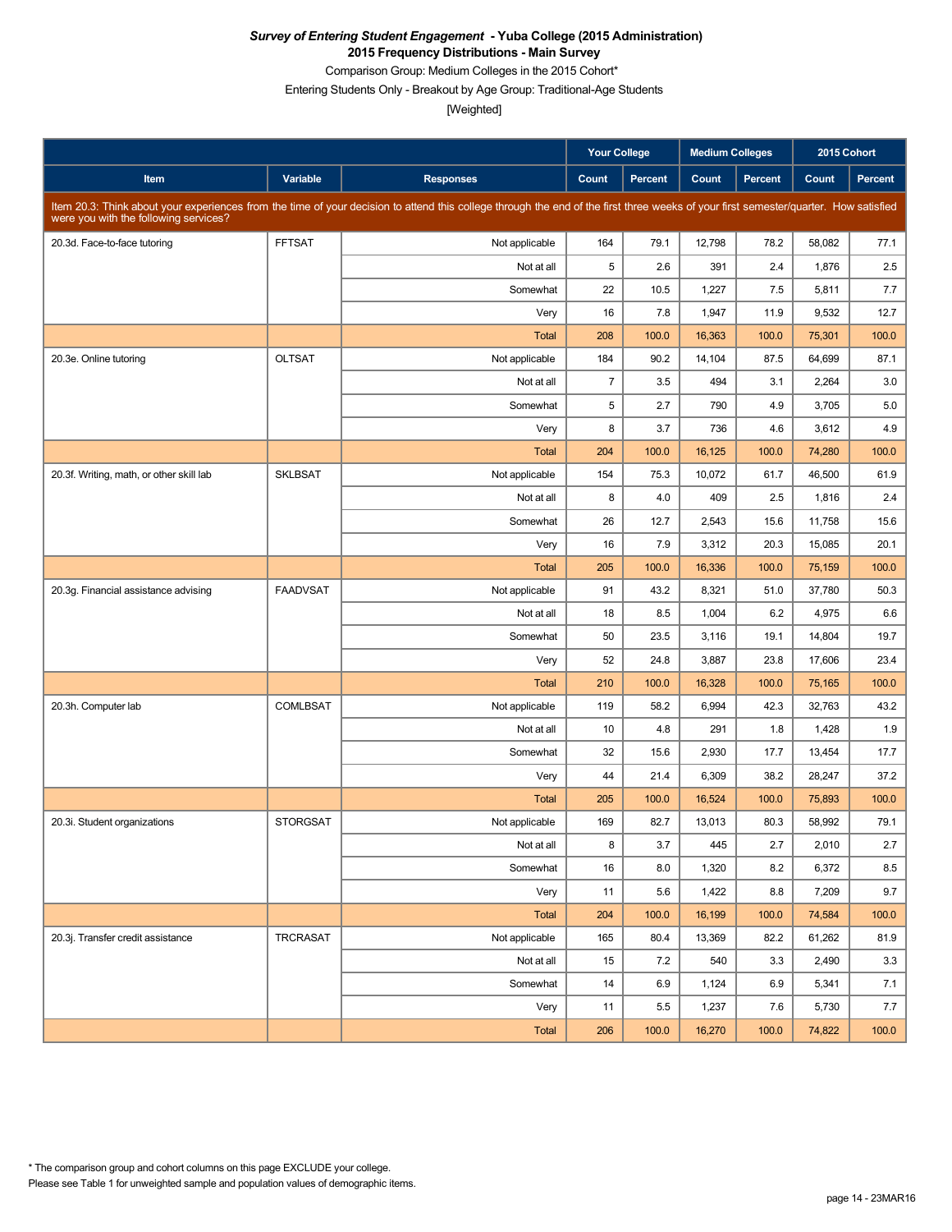Comparison Group: Medium Colleges in the 2015 Cohort\*

Entering Students Only - Breakout by Age Group: Traditional-Age Students

|                                          |                 |                                                                                                                                                                                      | <b>Your College</b> |                | <b>Medium Colleges</b> |         | 2015 Cohort |                |
|------------------------------------------|-----------------|--------------------------------------------------------------------------------------------------------------------------------------------------------------------------------------|---------------------|----------------|------------------------|---------|-------------|----------------|
| Item                                     | Variable        | <b>Responses</b>                                                                                                                                                                     | Count               | <b>Percent</b> | Count                  | Percent | Count       | <b>Percent</b> |
| were you with the following services?    |                 | Item 20.3: Think about your experiences from the time of your decision to attend this college through the end of the first three weeks of your first semester/quarter. How satisfied |                     |                |                        |         |             |                |
| 20.3d. Face-to-face tutoring             | <b>FFTSAT</b>   | Not applicable                                                                                                                                                                       | 164                 | 79.1           | 12,798                 | 78.2    | 58,082      | 77.1           |
|                                          |                 | Not at all                                                                                                                                                                           | 5                   | 2.6            | 391                    | 2.4     | 1,876       | 2.5            |
|                                          |                 | Somewhat                                                                                                                                                                             | 22                  | 10.5           | 1,227                  | 7.5     | 5,811       | 7.7            |
|                                          |                 | Very                                                                                                                                                                                 | 16                  | 7.8            | 1,947                  | 11.9    | 9,532       | 12.7           |
|                                          |                 | <b>Total</b>                                                                                                                                                                         | 208                 | 100.0          | 16,363                 | 100.0   | 75,301      | 100.0          |
| 20.3e. Online tutoring                   | <b>OLTSAT</b>   | Not applicable                                                                                                                                                                       | 184                 | 90.2           | 14,104                 | 87.5    | 64,699      | 87.1           |
|                                          |                 | Not at all                                                                                                                                                                           | $\overline{7}$      | 3.5            | 494                    | 3.1     | 2,264       | 3.0            |
|                                          |                 | Somewhat                                                                                                                                                                             | 5                   | 2.7            | 790                    | 4.9     | 3,705       | 5.0            |
|                                          |                 | Very                                                                                                                                                                                 | 8                   | 3.7            | 736                    | 4.6     | 3,612       | 4.9            |
|                                          |                 | <b>Total</b>                                                                                                                                                                         | 204                 | 100.0          | 16,125                 | 100.0   | 74,280      | 100.0          |
| 20.3f. Writing, math, or other skill lab | <b>SKLBSAT</b>  | Not applicable                                                                                                                                                                       | 154                 | 75.3           | 10,072                 | 61.7    | 46,500      | 61.9           |
|                                          |                 | Not at all                                                                                                                                                                           | 8                   | 4.0            | 409                    | 2.5     | 1,816       | 2.4            |
|                                          |                 | Somewhat                                                                                                                                                                             | 26                  | 12.7           | 2,543                  | 15.6    | 11,758      | 15.6           |
|                                          |                 | Very                                                                                                                                                                                 | 16                  | 7.9            | 3,312                  | 20.3    | 15,085      | 20.1           |
|                                          |                 | <b>Total</b>                                                                                                                                                                         | 205                 | 100.0          | 16,336                 | 100.0   | 75,159      | 100.0          |
| 20.3g. Financial assistance advising     | <b>FAADVSAT</b> | Not applicable                                                                                                                                                                       | 91                  | 43.2           | 8,321                  | 51.0    | 37,780      | 50.3           |
|                                          |                 | Not at all                                                                                                                                                                           | 18                  | 8.5            | 1,004                  | 6.2     | 4,975       | 6.6            |
|                                          |                 | Somewhat                                                                                                                                                                             | 50                  | 23.5           | 3,116                  | 19.1    | 14,804      | 19.7           |
|                                          |                 | Very                                                                                                                                                                                 | 52                  | 24.8           | 3,887                  | 23.8    | 17,606      | 23.4           |
|                                          |                 | <b>Total</b>                                                                                                                                                                         | 210                 | 100.0          | 16,328                 | 100.0   | 75,165      | 100.0          |
| 20.3h. Computer lab                      | <b>COMLBSAT</b> | Not applicable                                                                                                                                                                       | 119                 | 58.2           | 6,994                  | 42.3    | 32,763      | 43.2           |
|                                          |                 | Not at all                                                                                                                                                                           | 10                  | 4.8            | 291                    | 1.8     | 1,428       | 1.9            |
|                                          |                 | Somewhat                                                                                                                                                                             | 32                  | 15.6           | 2,930                  | 17.7    | 13,454      | 17.7           |
|                                          |                 | Very                                                                                                                                                                                 | 44                  | 21.4           | 6,309                  | 38.2    | 28,247      | 37.2           |
|                                          |                 | <b>Total</b>                                                                                                                                                                         | 205                 | 100.0          | 16,524                 | 100.0   | 75,893      | 100.0          |
| 20.3i. Student organizations             | <b>STORGSAT</b> | Not applicable                                                                                                                                                                       | 169                 | 82.7           | 13,013                 | 80.3    | 58,992      | 79.1           |
|                                          |                 | Not at all                                                                                                                                                                           | 8                   | 3.7            | 445                    | 2.7     | 2,010       | 2.7            |
|                                          |                 | Somewhat                                                                                                                                                                             | 16                  | 8.0            | 1,320                  | 8.2     | 6,372       | 8.5            |
|                                          |                 | Very                                                                                                                                                                                 | 11                  | 5.6            | 1,422                  | 8.8     | 7,209       | 9.7            |
|                                          |                 | Total                                                                                                                                                                                | 204                 | 100.0          | 16,199                 | 100.0   | 74,584      | 100.0          |
| 20.3j. Transfer credit assistance        | TRCRASAT        | Not applicable                                                                                                                                                                       | 165                 | 80.4           | 13,369                 | 82.2    | 61,262      | 81.9           |
|                                          |                 | Not at all                                                                                                                                                                           | 15                  | 7.2            | 540                    | 3.3     | 2,490       | 3.3            |
|                                          |                 | Somewhat                                                                                                                                                                             | 14                  | 6.9            | 1,124                  | 6.9     | 5,341       | 7.1            |
|                                          |                 | Very                                                                                                                                                                                 | 11                  | 5.5            | 1,237                  | 7.6     | 5,730       | 7.7            |
|                                          |                 | Total                                                                                                                                                                                | 206                 | 100.0          | 16,270                 | 100.0   | 74,822      | 100.0          |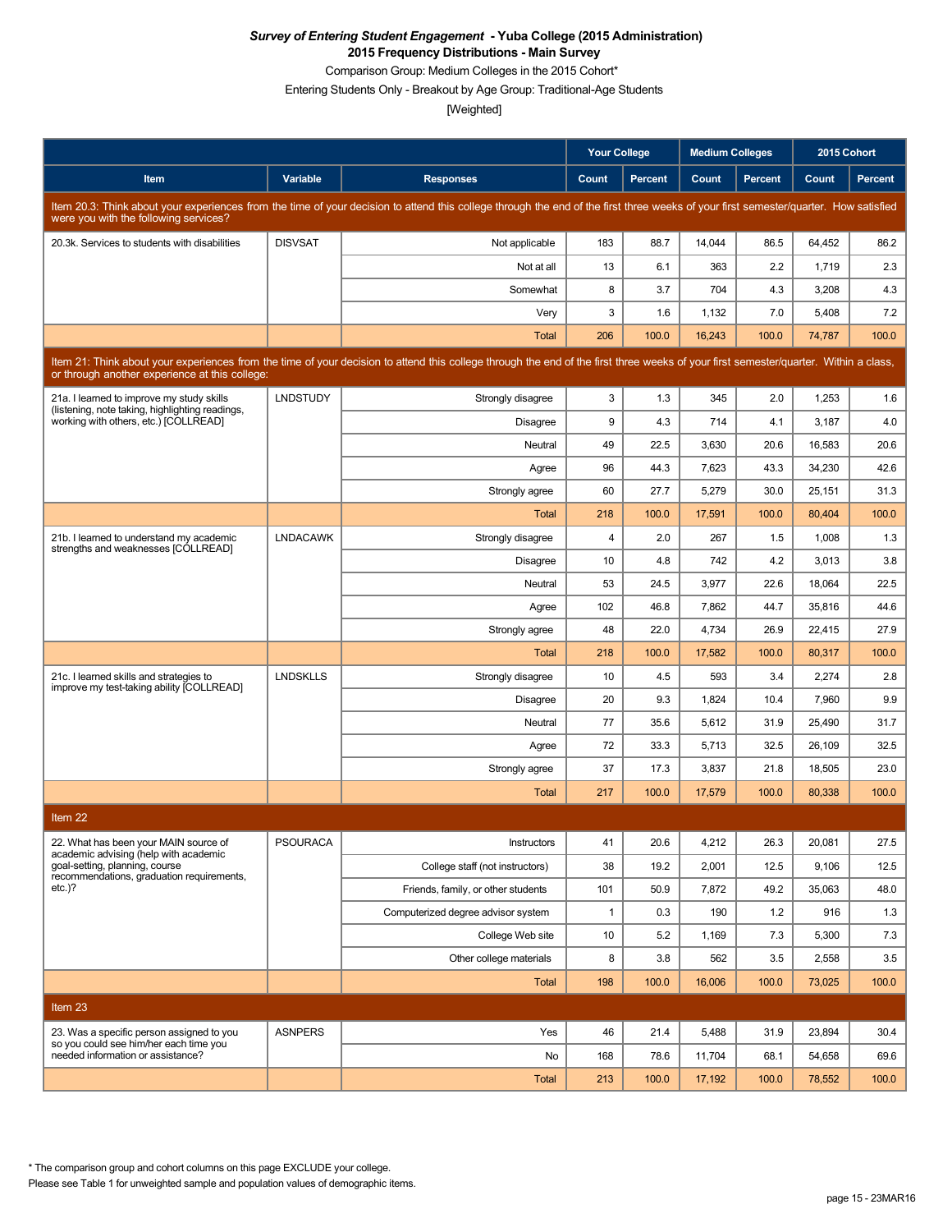Comparison Group: Medium Colleges in the 2015 Cohort\*

Entering Students Only - Breakout by Age Group: Traditional-Age Students

[Weighted]

|                                                                                                                                                                                                                                        |                 |                                                                                                                                                                                      | <b>Your College</b> |         | <b>Medium Colleges</b> |         |        | 2015 Cohort    |
|----------------------------------------------------------------------------------------------------------------------------------------------------------------------------------------------------------------------------------------|-----------------|--------------------------------------------------------------------------------------------------------------------------------------------------------------------------------------|---------------------|---------|------------------------|---------|--------|----------------|
| Item                                                                                                                                                                                                                                   | <b>Variable</b> | <b>Responses</b>                                                                                                                                                                     | Count               | Percent | Count                  | Percent | Count  | <b>Percent</b> |
| were you with the following services?                                                                                                                                                                                                  |                 | Item 20.3: Think about your experiences from the time of your decision to attend this college through the end of the first three weeks of your first semester/quarter. How satisfied |                     |         |                        |         |        |                |
| 20.3k. Services to students with disabilities                                                                                                                                                                                          | <b>DISVSAT</b>  | Not applicable                                                                                                                                                                       | 183                 | 88.7    | 14,044                 | 86.5    | 64,452 | 86.2           |
|                                                                                                                                                                                                                                        |                 | Not at all                                                                                                                                                                           | 13                  | 6.1     | 363                    | 2.2     | 1,719  | 2.3            |
|                                                                                                                                                                                                                                        |                 | Somewhat                                                                                                                                                                             | 8                   | 3.7     | 704                    | 4.3     | 3,208  | 4.3            |
|                                                                                                                                                                                                                                        |                 | Very                                                                                                                                                                                 | 3                   | 1.6     | 1,132                  | 7.0     | 5,408  | 7.2            |
|                                                                                                                                                                                                                                        |                 | Total                                                                                                                                                                                | 206                 | 100.0   | 16,243                 | 100.0   | 74,787 | 100.0          |
| Item 21: Think about your experiences from the time of your decision to attend this college through the end of the first three weeks of your first semester/quarter. Within a class,<br>or through another experience at this college: |                 |                                                                                                                                                                                      |                     |         |                        |         |        |                |
| 21a. I learned to improve my study skills<br>(listening, note taking, highlighting readings,                                                                                                                                           | <b>LNDSTUDY</b> | Strongly disagree                                                                                                                                                                    | 3                   | 1.3     | 345                    | 2.0     | 1,253  | 1.6            |
| working with others, etc.) [COLLREAD]                                                                                                                                                                                                  |                 | Disagree                                                                                                                                                                             | 9                   | 4.3     | 714                    | 4.1     | 3,187  | 4.0            |
|                                                                                                                                                                                                                                        |                 | Neutral                                                                                                                                                                              | 49                  | 22.5    | 3,630                  | 20.6    | 16,583 | 20.6           |
|                                                                                                                                                                                                                                        |                 | Agree                                                                                                                                                                                | 96                  | 44.3    | 7,623                  | 43.3    | 34,230 | 42.6           |
|                                                                                                                                                                                                                                        |                 | Strongly agree                                                                                                                                                                       | 60                  | 27.7    | 5,279                  | 30.0    | 25,151 | 31.3           |
|                                                                                                                                                                                                                                        |                 | Total                                                                                                                                                                                | 218                 | 100.0   | 17,591                 | 100.0   | 80,404 | 100.0          |
| 21b. I learned to understand my academic<br>strengths and weaknesses [COLLREAD]                                                                                                                                                        | <b>LNDACAWK</b> | Strongly disagree                                                                                                                                                                    | 4                   | 2.0     | 267                    | 1.5     | 1,008  | 1.3            |
|                                                                                                                                                                                                                                        |                 | Disagree                                                                                                                                                                             | 10                  | 4.8     | 742                    | 4.2     | 3,013  | 3.8            |
|                                                                                                                                                                                                                                        |                 | Neutral                                                                                                                                                                              | 53                  | 24.5    | 3,977                  | 22.6    | 18,064 | 22.5           |
|                                                                                                                                                                                                                                        |                 | Agree                                                                                                                                                                                | 102                 | 46.8    | 7,862                  | 44.7    | 35,816 | 44.6           |
|                                                                                                                                                                                                                                        |                 | Strongly agree                                                                                                                                                                       | 48                  | 22.0    | 4,734                  | 26.9    | 22,415 | 27.9           |
|                                                                                                                                                                                                                                        |                 | Total                                                                                                                                                                                | 218                 | 100.0   | 17,582                 | 100.0   | 80,317 | 100.0          |
| 21c. I learned skills and strategies to<br>improve my test-taking ability [COLLREAD]                                                                                                                                                   | <b>LNDSKLLS</b> | Strongly disagree                                                                                                                                                                    | 10                  | 4.5     | 593                    | 3.4     | 2,274  | 2.8            |
|                                                                                                                                                                                                                                        |                 | Disagree                                                                                                                                                                             | 20                  | 9.3     | 1,824                  | 10.4    | 7,960  | 9.9            |
|                                                                                                                                                                                                                                        |                 | Neutral                                                                                                                                                                              | 77                  | 35.6    | 5,612                  | 31.9    | 25,490 | 31.7           |
|                                                                                                                                                                                                                                        |                 | Agree                                                                                                                                                                                | 72                  | 33.3    | 5,713                  | 32.5    | 26,109 | 32.5           |
|                                                                                                                                                                                                                                        |                 | Strongly agree                                                                                                                                                                       | 37                  | 17.3    | 3,837                  | 21.8    | 18,505 | 23.0           |
|                                                                                                                                                                                                                                        |                 | Total                                                                                                                                                                                | 217                 | 100.0   | 17,579                 | 100.0   | 80,338 | 100.0          |
| Item <sub>22</sub>                                                                                                                                                                                                                     |                 |                                                                                                                                                                                      |                     |         |                        |         |        |                |
| 22. What has been your MAIN source of<br>academic advising (help with academic                                                                                                                                                         | <b>PSOURACA</b> | Instructors                                                                                                                                                                          | 41                  | 20.6    | 4,212                  | 26.3    | 20,081 | 27.5           |
| goal-setting, planning, course<br>recommendations, graduation requirements,                                                                                                                                                            |                 | College staff (not instructors)                                                                                                                                                      | 38                  | 19.2    | 2,001                  | 12.5    | 9,106  | 12.5           |
| $etc.$ )?                                                                                                                                                                                                                              |                 | Friends, family, or other students                                                                                                                                                   | 101                 | 50.9    | 7,872                  | 49.2    | 35,063 | 48.0           |
|                                                                                                                                                                                                                                        |                 | Computerized degree advisor system                                                                                                                                                   | $\mathbf{1}$        | 0.3     | 190                    | 1.2     | 916    | 1.3            |
|                                                                                                                                                                                                                                        |                 | College Web site                                                                                                                                                                     | 10                  | 5.2     | 1,169                  | 7.3     | 5,300  | 7.3            |
|                                                                                                                                                                                                                                        |                 | Other college materials                                                                                                                                                              | 8                   | 3.8     | 562                    | 3.5     | 2,558  | 3.5            |
|                                                                                                                                                                                                                                        |                 | Total                                                                                                                                                                                | 198                 | 100.0   | 16,006                 | 100.0   | 73,025 | 100.0          |
| Item 23                                                                                                                                                                                                                                |                 |                                                                                                                                                                                      |                     |         |                        |         |        |                |
| 23. Was a specific person assigned to you                                                                                                                                                                                              | <b>ASNPERS</b>  | Yes                                                                                                                                                                                  | 46                  | 21.4    | 5,488                  | 31.9    | 23,894 | 30.4           |
| so you could see him/her each time you<br>needed information or assistance?                                                                                                                                                            |                 | No                                                                                                                                                                                   | 168                 | 78.6    | 11,704                 | 68.1    | 54,658 | 69.6           |
|                                                                                                                                                                                                                                        |                 | Total                                                                                                                                                                                | 213                 | 100.0   | 17,192                 | 100.0   | 78,552 | 100.0          |

\* The comparison group and cohort columns on this page EXCLUDE your college.

Please see Table 1 for unweighted sample and population values of demographic items.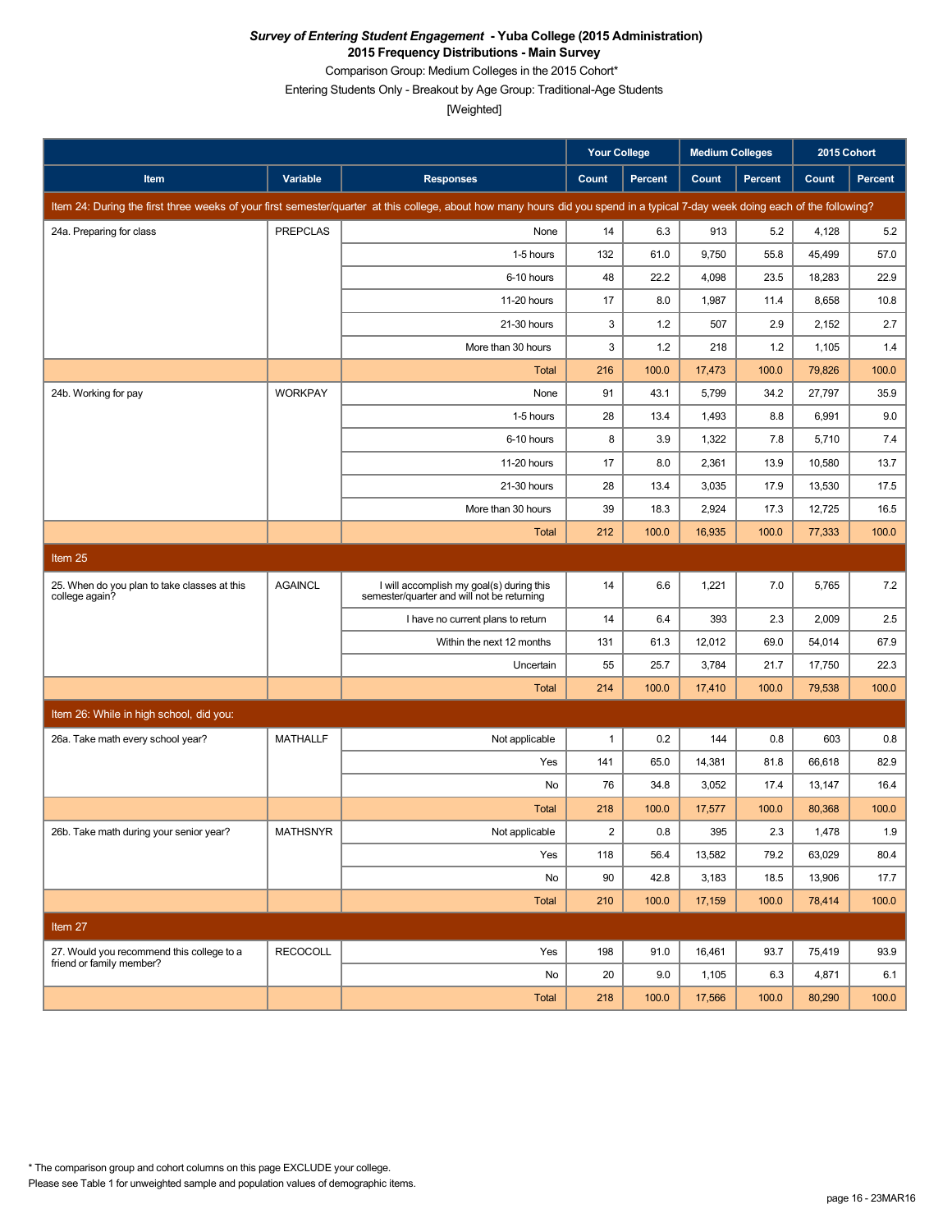Comparison Group: Medium Colleges in the 2015 Cohort\*

Entering Students Only - Breakout by Age Group: Traditional-Age Students

[Weighted]

|                                                                |                 |                                                                                                                                                                               | <b>Your College</b> |                | <b>Medium Colleges</b> |         | 2015 Cohort |                |
|----------------------------------------------------------------|-----------------|-------------------------------------------------------------------------------------------------------------------------------------------------------------------------------|---------------------|----------------|------------------------|---------|-------------|----------------|
| Item                                                           | Variable        | <b>Responses</b>                                                                                                                                                              | Count               | <b>Percent</b> | Count                  | Percent | Count       | <b>Percent</b> |
|                                                                |                 | Item 24: During the first three weeks of your first semester/quarter at this college, about how many hours did you spend in a typical 7-day week doing each of the following? |                     |                |                        |         |             |                |
| 24a. Preparing for class                                       | <b>PREPCLAS</b> | None                                                                                                                                                                          | 14                  | 6.3            | 913                    | 5.2     | 4,128       | 5.2            |
|                                                                |                 | 1-5 hours                                                                                                                                                                     | 132                 | 61.0           | 9,750                  | 55.8    | 45,499      | 57.0           |
|                                                                |                 | 6-10 hours                                                                                                                                                                    | 48                  | 22.2           | 4,098                  | 23.5    | 18,283      | 22.9           |
|                                                                |                 | 11-20 hours                                                                                                                                                                   | 17                  | 8.0            | 1,987                  | 11.4    | 8,658       | 10.8           |
|                                                                |                 | 21-30 hours                                                                                                                                                                   | 3                   | 1.2            | 507                    | 2.9     | 2,152       | 2.7            |
|                                                                |                 | More than 30 hours                                                                                                                                                            | 3                   | 1.2            | 218                    | 1.2     | 1,105       | 1.4            |
|                                                                |                 | <b>Total</b>                                                                                                                                                                  | 216                 | 100.0          | 17,473                 | 100.0   | 79,826      | 100.0          |
| 24b. Working for pay                                           | <b>WORKPAY</b>  | None                                                                                                                                                                          | 91                  | 43.1           | 5,799                  | 34.2    | 27,797      | 35.9           |
|                                                                |                 | 1-5 hours                                                                                                                                                                     | 28                  | 13.4           | 1,493                  | 8.8     | 6,991       | 9.0            |
|                                                                |                 | 6-10 hours                                                                                                                                                                    | 8                   | 3.9            | 1,322                  | 7.8     | 5,710       | 7.4            |
|                                                                |                 | 11-20 hours                                                                                                                                                                   | 17                  | 8.0            | 2,361                  | 13.9    | 10,580      | 13.7           |
|                                                                |                 | 21-30 hours                                                                                                                                                                   | 28                  | 13.4           | 3,035                  | 17.9    | 13,530      | 17.5           |
|                                                                |                 | More than 30 hours                                                                                                                                                            | 39                  | 18.3           | 2,924                  | 17.3    | 12,725      | 16.5           |
|                                                                |                 | <b>Total</b>                                                                                                                                                                  | 212                 | 100.0          | 16,935                 | 100.0   | 77,333      | 100.0          |
| Item 25                                                        |                 |                                                                                                                                                                               |                     |                |                        |         |             |                |
| 25. When do you plan to take classes at this<br>college again? | <b>AGAINCL</b>  | I will accomplish my goal(s) during this<br>semester/quarter and will not be returning                                                                                        | 14                  | 6.6            | 1,221                  | 7.0     | 5,765       | 7.2            |
|                                                                |                 | I have no current plans to return                                                                                                                                             | 14                  | 6.4            | 393                    | 2.3     | 2,009       | 2.5            |
|                                                                |                 | Within the next 12 months                                                                                                                                                     | 131                 | 61.3           | 12,012                 | 69.0    | 54,014      | 67.9           |
|                                                                |                 | Uncertain                                                                                                                                                                     | 55                  | 25.7           | 3,784                  | 21.7    | 17,750      | 22.3           |
|                                                                |                 | Total                                                                                                                                                                         | 214                 | 100.0          | 17,410                 | 100.0   | 79,538      | 100.0          |
| Item 26: While in high school, did you:                        |                 |                                                                                                                                                                               |                     |                |                        |         |             |                |
| 26a. Take math every school year?                              | <b>MATHALLF</b> | Not applicable                                                                                                                                                                | $\mathbf{1}$        | 0.2            | 144                    | 0.8     | 603         | 0.8            |
|                                                                |                 | Yes                                                                                                                                                                           | 141                 | 65.0           | 14,381                 | 81.8    | 66,618      | 82.9           |
|                                                                |                 | No                                                                                                                                                                            | 76                  | 34.8           | 3,052                  | 17.4    | 13,147      | 16.4           |
|                                                                |                 | Total                                                                                                                                                                         | 218                 | 100.0          | 17,577                 | 100.0   | 80,368      | 100.0          |
| 26b. Take math during your senior year?                        | <b>MATHSNYR</b> | Not applicable                                                                                                                                                                | $\overline{2}$      | 0.8            | 395                    | 2.3     | 1,478       | 1.9            |
|                                                                |                 | Yes                                                                                                                                                                           | 118                 | 56.4           | 13,582                 | 79.2    | 63,029      | 80.4           |
|                                                                |                 | No                                                                                                                                                                            | 90                  | 42.8           | 3,183                  | 18.5    | 13,906      | 17.7           |
|                                                                |                 | Total                                                                                                                                                                         | 210                 | 100.0          | 17,159                 | 100.0   | 78,414      | 100.0          |
| Item 27                                                        |                 |                                                                                                                                                                               |                     |                |                        |         |             |                |
| 27. Would you recommend this college to a                      | <b>RECOCOLL</b> | Yes                                                                                                                                                                           | 198                 | 91.0           | 16,461                 | 93.7    | 75,419      | 93.9           |
| friend or family member?                                       |                 | No                                                                                                                                                                            | 20                  | 9.0            | 1,105                  | 6.3     | 4,871       | 6.1            |
|                                                                |                 | Total                                                                                                                                                                         | 218                 | 100.0          | 17,566                 | 100.0   | 80,290      | 100.0          |

Please see Table 1 for unweighted sample and population values of demographic items. \* The comparison group and cohort columns on this page EXCLUDE your college.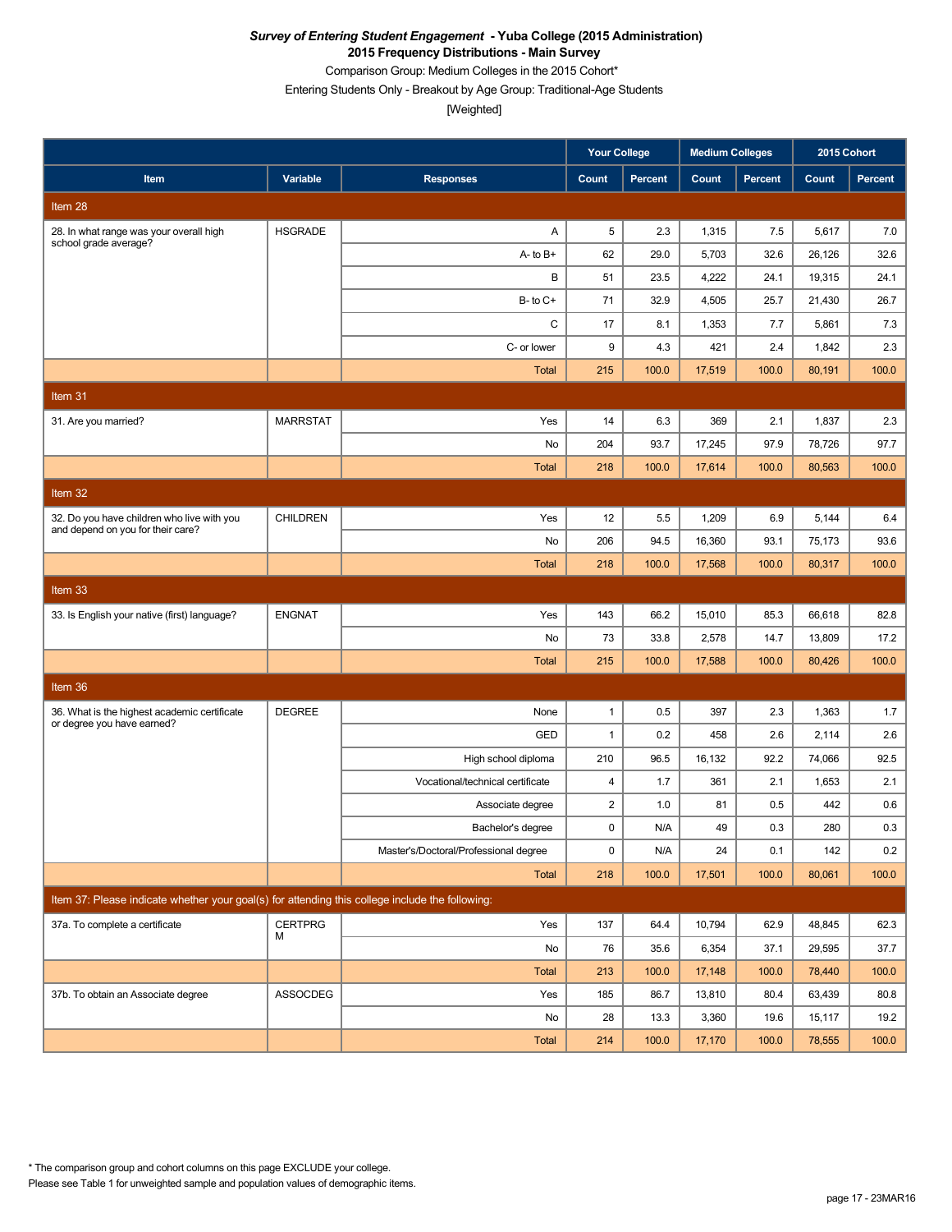Comparison Group: Medium Colleges in the 2015 Cohort\*

Entering Students Only - Breakout by Age Group: Traditional-Age Students

[Weighted]

|                                                                                                 |                 |                                       | <b>Your College</b>     |         | <b>Medium Colleges</b> |         | 2015 Cohort |         |
|-------------------------------------------------------------------------------------------------|-----------------|---------------------------------------|-------------------------|---------|------------------------|---------|-------------|---------|
| Item                                                                                            | Variable        | <b>Responses</b>                      | Count                   | Percent | Count                  | Percent | Count       | Percent |
| Item <sub>28</sub>                                                                              |                 |                                       |                         |         |                        |         |             |         |
| 28. In what range was your overall high<br>school grade average?                                | <b>HSGRADE</b>  | Α                                     | 5                       | 2.3     | 1,315                  | 7.5     | 5,617       | 7.0     |
|                                                                                                 |                 | $A - to B +$                          | 62                      | 29.0    | 5,703                  | 32.6    | 26,126      | 32.6    |
|                                                                                                 |                 | В                                     | 51                      | 23.5    | 4,222                  | 24.1    | 19,315      | 24.1    |
|                                                                                                 |                 | $B$ - to $C$ +                        | 71                      | 32.9    | 4,505                  | 25.7    | 21,430      | 26.7    |
|                                                                                                 |                 | C                                     | 17                      | 8.1     | 1,353                  | 7.7     | 5,861       | 7.3     |
|                                                                                                 |                 | C- or lower                           | 9                       | 4.3     | 421                    | 2.4     | 1,842       | 2.3     |
|                                                                                                 |                 | <b>Total</b>                          | 215                     | 100.0   | 17,519                 | 100.0   | 80,191      | 100.0   |
| Item 31                                                                                         |                 |                                       |                         |         |                        |         |             |         |
| 31. Are you married?                                                                            | <b>MARRSTAT</b> | Yes                                   | 14                      | 6.3     | 369                    | 2.1     | 1,837       | 2.3     |
|                                                                                                 |                 | No                                    | 204                     | 93.7    | 17,245                 | 97.9    | 78,726      | 97.7    |
|                                                                                                 |                 | <b>Total</b>                          | 218                     | 100.0   | 17,614                 | 100.0   | 80,563      | 100.0   |
| Item $32$                                                                                       |                 |                                       |                         |         |                        |         |             |         |
| 32. Do you have children who live with you                                                      | <b>CHILDREN</b> | Yes                                   | 12                      | 5.5     | 1,209                  | 6.9     | 5,144       | 6.4     |
| and depend on you for their care?                                                               |                 | No                                    | 206                     | 94.5    | 16,360                 | 93.1    | 75,173      | 93.6    |
|                                                                                                 |                 | <b>Total</b>                          | 218                     | 100.0   | 17,568                 | 100.0   | 80,317      | 100.0   |
| Item 33                                                                                         |                 |                                       |                         |         |                        |         |             |         |
| 33. Is English your native (first) language?                                                    | <b>ENGNAT</b>   | Yes                                   | 143                     | 66.2    | 15,010                 | 85.3    | 66,618      | 82.8    |
|                                                                                                 |                 | No                                    | 73                      | 33.8    | 2,578                  | 14.7    | 13,809      | 17.2    |
|                                                                                                 |                 | <b>Total</b>                          | 215                     | 100.0   | 17,588                 | 100.0   | 80,426      | 100.0   |
| Item 36                                                                                         |                 |                                       |                         |         |                        |         |             |         |
| 36. What is the highest academic certificate                                                    | <b>DEGREE</b>   | None                                  | $\mathbf{1}$            | 0.5     | 397                    | 2.3     | 1,363       | 1.7     |
| or degree you have earned?                                                                      |                 | GED                                   | $\mathbf{1}$            | 0.2     | 458                    | 2.6     | 2,114       | 2.6     |
|                                                                                                 |                 | High school diploma                   | 210                     | 96.5    | 16,132                 | 92.2    | 74,066      | 92.5    |
|                                                                                                 |                 | Vocational/technical certificate      | $\overline{4}$          | 1.7     | 361                    | 2.1     | 1,653       | 2.1     |
|                                                                                                 |                 | Associate degree                      | $\overline{\mathbf{c}}$ | 1.0     | 81                     | 0.5     | 442         | 0.6     |
|                                                                                                 |                 | Bachelor's degree                     | 0                       | N/A     | 49                     | 0.3     | 280         | 0.3     |
|                                                                                                 |                 | Master's/Doctoral/Professional degree | 0                       | N/A     | 24                     | 0.1     | 142         | 0.2     |
|                                                                                                 |                 | Total                                 | 218                     | 100.0   | 17,501                 | 100.0   | 80,061      | 100.0   |
| Item 37: Please indicate whether your goal(s) for attending this college include the following: |                 |                                       |                         |         |                        |         |             |         |
| 37a. To complete a certificate                                                                  | <b>CERTPRG</b>  | Yes                                   | 137                     | 64.4    | 10,794                 | 62.9    | 48,845      | 62.3    |
|                                                                                                 | М               | No                                    | 76                      | 35.6    | 6,354                  | 37.1    | 29,595      | 37.7    |
|                                                                                                 |                 | Total                                 | 213                     | 100.0   | 17,148                 | 100.0   | 78,440      | 100.0   |
| 37b. To obtain an Associate degree                                                              | ASSOCDEG        | Yes                                   | 185                     | 86.7    | 13,810                 | 80.4    | 63,439      | 80.8    |
|                                                                                                 |                 | No                                    | 28                      | 13.3    | 3,360                  | 19.6    | 15,117      | 19.2    |
|                                                                                                 |                 | Total                                 | 214                     | 100.0   | 17,170                 | 100.0   | 78,555      | 100.0   |

Please see Table 1 for unweighted sample and population values of demographic items. \* The comparison group and cohort columns on this page EXCLUDE your college.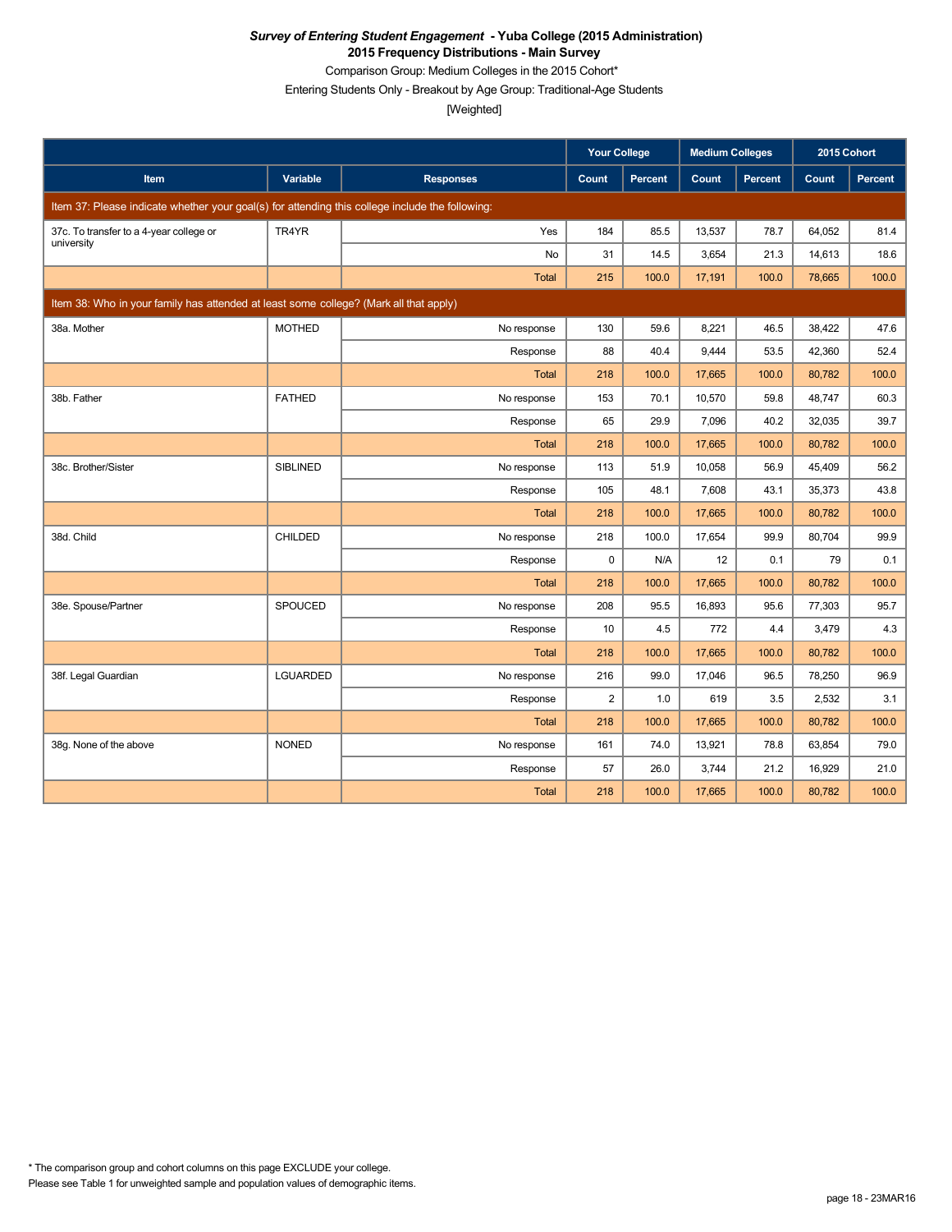Comparison Group: Medium Colleges in the 2015 Cohort\*

Entering Students Only - Breakout by Age Group: Traditional-Age Students

|                                                                                                 |                 |                  | <b>Your College</b> |         | <b>Medium Colleges</b> |                | 2015 Cohort |         |
|-------------------------------------------------------------------------------------------------|-----------------|------------------|---------------------|---------|------------------------|----------------|-------------|---------|
| Item                                                                                            | Variable        | <b>Responses</b> | Count               | Percent | Count                  | <b>Percent</b> | Count       | Percent |
| Item 37: Please indicate whether your goal(s) for attending this college include the following: |                 |                  |                     |         |                        |                |             |         |
| 37c. To transfer to a 4-year college or<br>university                                           | TR4YR           | Yes              | 184                 | 85.5    | 13,537                 | 78.7           | 64,052      | 81.4    |
|                                                                                                 |                 | No               | 31                  | 14.5    | 3,654                  | 21.3           | 14,613      | 18.6    |
|                                                                                                 |                 | <b>Total</b>     | 215                 | 100.0   | 17,191                 | 100.0          | 78,665      | 100.0   |
| Item 38: Who in your family has attended at least some college? (Mark all that apply)           |                 |                  |                     |         |                        |                |             |         |
| 38a. Mother                                                                                     | <b>MOTHED</b>   | No response      | 130                 | 59.6    | 8,221                  | 46.5           | 38,422      | 47.6    |
|                                                                                                 |                 | Response         | 88                  | 40.4    | 9,444                  | 53.5           | 42,360      | 52.4    |
|                                                                                                 |                 | <b>Total</b>     | 218                 | 100.0   | 17,665                 | 100.0          | 80,782      | 100.0   |
| 38b. Father                                                                                     | <b>FATHED</b>   | No response      | 153                 | 70.1    | 10,570                 | 59.8           | 48,747      | 60.3    |
|                                                                                                 |                 | Response         | 65                  | 29.9    | 7,096                  | 40.2           | 32,035      | 39.7    |
|                                                                                                 |                 | <b>Total</b>     | 218                 | 100.0   | 17,665                 | 100.0          | 80,782      | 100.0   |
| 38c. Brother/Sister                                                                             | <b>SIBLINED</b> | No response      | 113                 | 51.9    | 10,058                 | 56.9           | 45,409      | 56.2    |
|                                                                                                 |                 | Response         | 105                 | 48.1    | 7,608                  | 43.1           | 35,373      | 43.8    |
|                                                                                                 |                 | Total            | 218                 | 100.0   | 17,665                 | 100.0          | 80,782      | 100.0   |
| 38d. Child                                                                                      | <b>CHILDED</b>  | No response      | 218                 | 100.0   | 17,654                 | 99.9           | 80,704      | 99.9    |
|                                                                                                 |                 | Response         | $\mathbf 0$         | N/A     | 12                     | 0.1            | 79          | 0.1     |
|                                                                                                 |                 | <b>Total</b>     | 218                 | 100.0   | 17,665                 | 100.0          | 80,782      | 100.0   |
| 38e. Spouse/Partner                                                                             | SPOUCED         | No response      | 208                 | 95.5    | 16,893                 | 95.6           | 77,303      | 95.7    |
|                                                                                                 |                 | Response         | 10                  | 4.5     | 772                    | 4.4            | 3,479       | 4.3     |
|                                                                                                 |                 | Total            | 218                 | 100.0   | 17,665                 | 100.0          | 80,782      | 100.0   |
| 38f. Legal Guardian                                                                             | <b>LGUARDED</b> | No response      | 216                 | 99.0    | 17,046                 | 96.5           | 78,250      | 96.9    |
|                                                                                                 |                 | Response         | $\overline{2}$      | 1.0     | 619                    | 3.5            | 2,532       | 3.1     |
|                                                                                                 |                 | <b>Total</b>     | 218                 | 100.0   | 17,665                 | 100.0          | 80,782      | 100.0   |
| 38g. None of the above                                                                          | <b>NONED</b>    | No response      | 161                 | 74.0    | 13,921                 | 78.8           | 63,854      | 79.0    |
|                                                                                                 |                 | Response         | 57                  | 26.0    | 3,744                  | 21.2           | 16,929      | 21.0    |
|                                                                                                 |                 | Total            | 218                 | 100.0   | 17,665                 | 100.0          | 80,782      | 100.0   |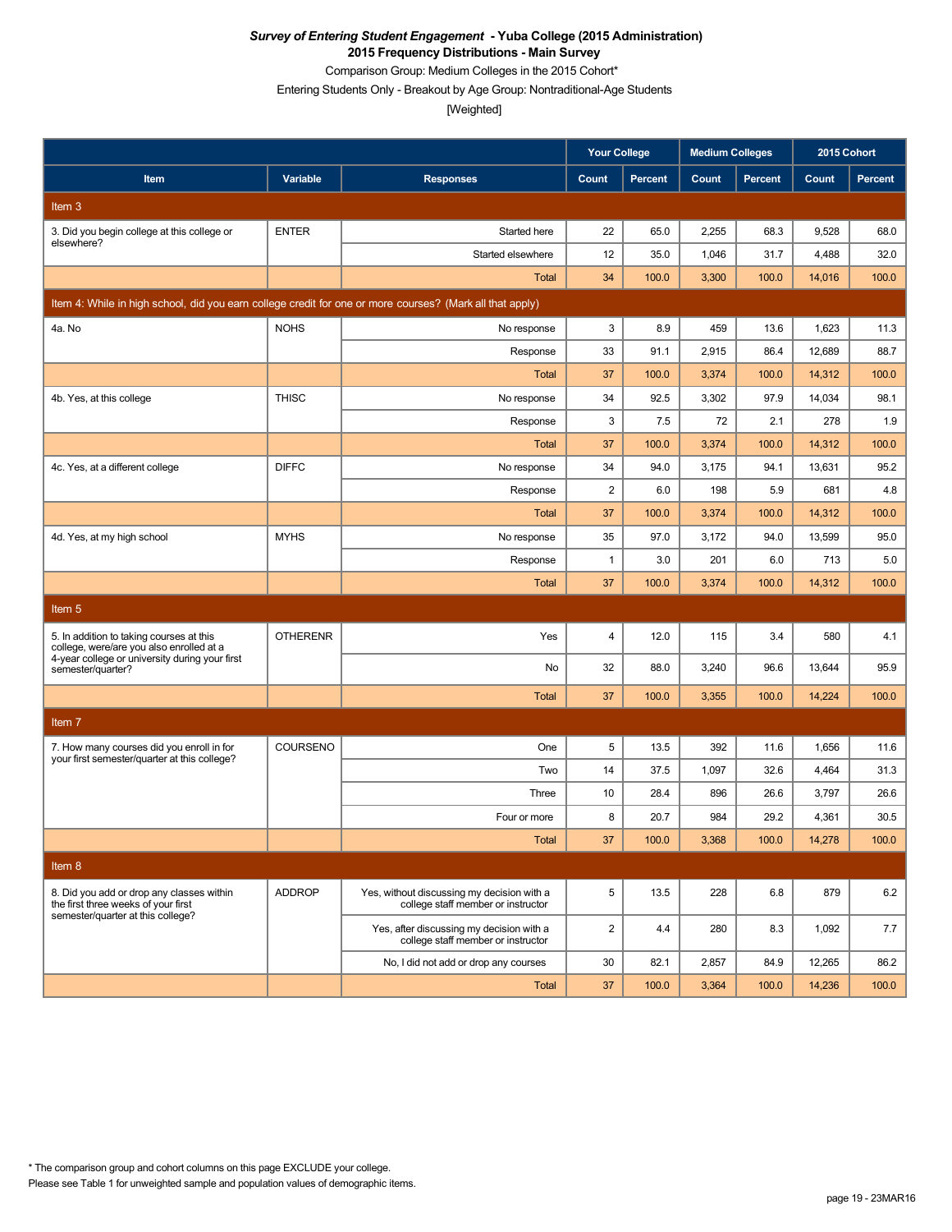Comparison Group: Medium Colleges in the 2015 Cohort\*

Entering Students Only - Breakout by Age Group: Nontraditional-Age Students

[Weighted]

|                                                                                                          |                 |                                                                                  | <b>Your College</b> |                | <b>Medium Colleges</b> |         | 2015 Cohort |         |
|----------------------------------------------------------------------------------------------------------|-----------------|----------------------------------------------------------------------------------|---------------------|----------------|------------------------|---------|-------------|---------|
| Item                                                                                                     | Variable        | <b>Responses</b>                                                                 | Count               | <b>Percent</b> | Count                  | Percent | Count       | Percent |
| Item 3                                                                                                   |                 |                                                                                  |                     |                |                        |         |             |         |
| 3. Did you begin college at this college or                                                              | <b>ENTER</b>    | Started here                                                                     | 22                  | 65.0           | 2,255                  | 68.3    | 9,528       | 68.0    |
| elsewhere?                                                                                               |                 | Started elsewhere                                                                | 12                  | 35.0           | 1,046                  | 31.7    | 4,488       | 32.0    |
|                                                                                                          |                 | <b>Total</b>                                                                     | 34                  | 100.0          | 3,300                  | 100.0   | 14,016      | 100.0   |
| Item 4: While in high school, did you earn college credit for one or more courses? (Mark all that apply) |                 |                                                                                  |                     |                |                        |         |             |         |
| 4a. No                                                                                                   | <b>NOHS</b>     | No response                                                                      | 3                   | 8.9            | 459                    | 13.6    | 1,623       | 11.3    |
|                                                                                                          |                 | Response                                                                         | 33                  | 91.1           | 2,915                  | 86.4    | 12,689      | 88.7    |
|                                                                                                          |                 | <b>Total</b>                                                                     | 37                  | 100.0          | 3,374                  | 100.0   | 14,312      | 100.0   |
| 4b. Yes, at this college                                                                                 | <b>THISC</b>    | No response                                                                      | 34                  | 92.5           | 3,302                  | 97.9    | 14,034      | 98.1    |
|                                                                                                          |                 | Response                                                                         | 3                   | 7.5            | 72                     | 2.1     | 278         | 1.9     |
|                                                                                                          |                 | <b>Total</b>                                                                     | 37                  | 100.0          | 3,374                  | 100.0   | 14,312      | 100.0   |
| 4c. Yes, at a different college                                                                          | <b>DIFFC</b>    | No response                                                                      | 34                  | 94.0           | 3,175                  | 94.1    | 13,631      | 95.2    |
|                                                                                                          |                 | Response                                                                         | $\overline{2}$      | 6.0            | 198                    | 5.9     | 681         | 4.8     |
|                                                                                                          |                 | <b>Total</b>                                                                     | 37                  | 100.0          | 3,374                  | 100.0   | 14,312      | 100.0   |
| 4d. Yes, at my high school                                                                               | <b>MYHS</b>     | No response                                                                      | 35                  | 97.0           | 3,172                  | 94.0    | 13,599      | 95.0    |
|                                                                                                          |                 | Response                                                                         | $\mathbf{1}$        | 3.0            | 201                    | 6.0     | 713         | 5.0     |
|                                                                                                          |                 | <b>Total</b>                                                                     | 37                  | 100.0          | 3,374                  | 100.0   | 14,312      | 100.0   |
| Item <sub>5</sub>                                                                                        |                 |                                                                                  |                     |                |                        |         |             |         |
| 5. In addition to taking courses at this<br>college, were/are you also enrolled at a                     | <b>OTHERENR</b> | Yes                                                                              | $\overline{4}$      | 12.0           | 115                    | 3.4     | 580         | 4.1     |
| 4-year college or university during your first<br>semester/quarter?                                      |                 | No                                                                               | 32                  | 88.0           | 3,240                  | 96.6    | 13,644      | 95.9    |
|                                                                                                          |                 | <b>Total</b>                                                                     | 37                  | 100.0          | 3,355                  | 100.0   | 14,224      | 100.0   |
| Item <sub>7</sub>                                                                                        |                 |                                                                                  |                     |                |                        |         |             |         |
| 7. How many courses did you enroll in for                                                                | COURSENO        | One                                                                              | 5                   | 13.5           | 392                    | 11.6    | 1,656       | 11.6    |
| your first semester/quarter at this college?                                                             |                 | Two                                                                              | 14                  | 37.5           | 1,097                  | 32.6    | 4,464       | 31.3    |
|                                                                                                          |                 | Three                                                                            | 10                  | 28.4           | 896                    | 26.6    | 3,797       | 26.6    |
|                                                                                                          |                 | Four or more                                                                     | 8                   | 20.7           | 984                    | 29.2    | 4,361       | 30.5    |
|                                                                                                          |                 | <b>Total</b>                                                                     | 37                  | 100.0          | 3,368                  | 100.0   | 14,278      | 100.0   |
| Item 8                                                                                                   |                 |                                                                                  |                     |                |                        |         |             |         |
| 8. Did you add or drop any classes within<br>the first three weeks of your first                         | <b>ADDROP</b>   | Yes, without discussing my decision with a<br>college staff member or instructor | 5                   | 13.5           | 228                    | 6.8     | 879         | 6.2     |
| semester/quarter at this college?                                                                        |                 | Yes, after discussing my decision with a<br>college staff member or instructor   | $\overline{2}$      | 4.4            | 280                    | 8.3     | 1,092       | 7.7     |
|                                                                                                          |                 | No, I did not add or drop any courses                                            | 30                  | 82.1           | 2,857                  | 84.9    | 12,265      | 86.2    |
|                                                                                                          |                 | Total                                                                            | 37                  | 100.0          | 3,364                  | 100.0   | 14,236      | 100.0   |

Please see Table 1 for unweighted sample and population values of demographic items. \* The comparison group and cohort columns on this page EXCLUDE your college.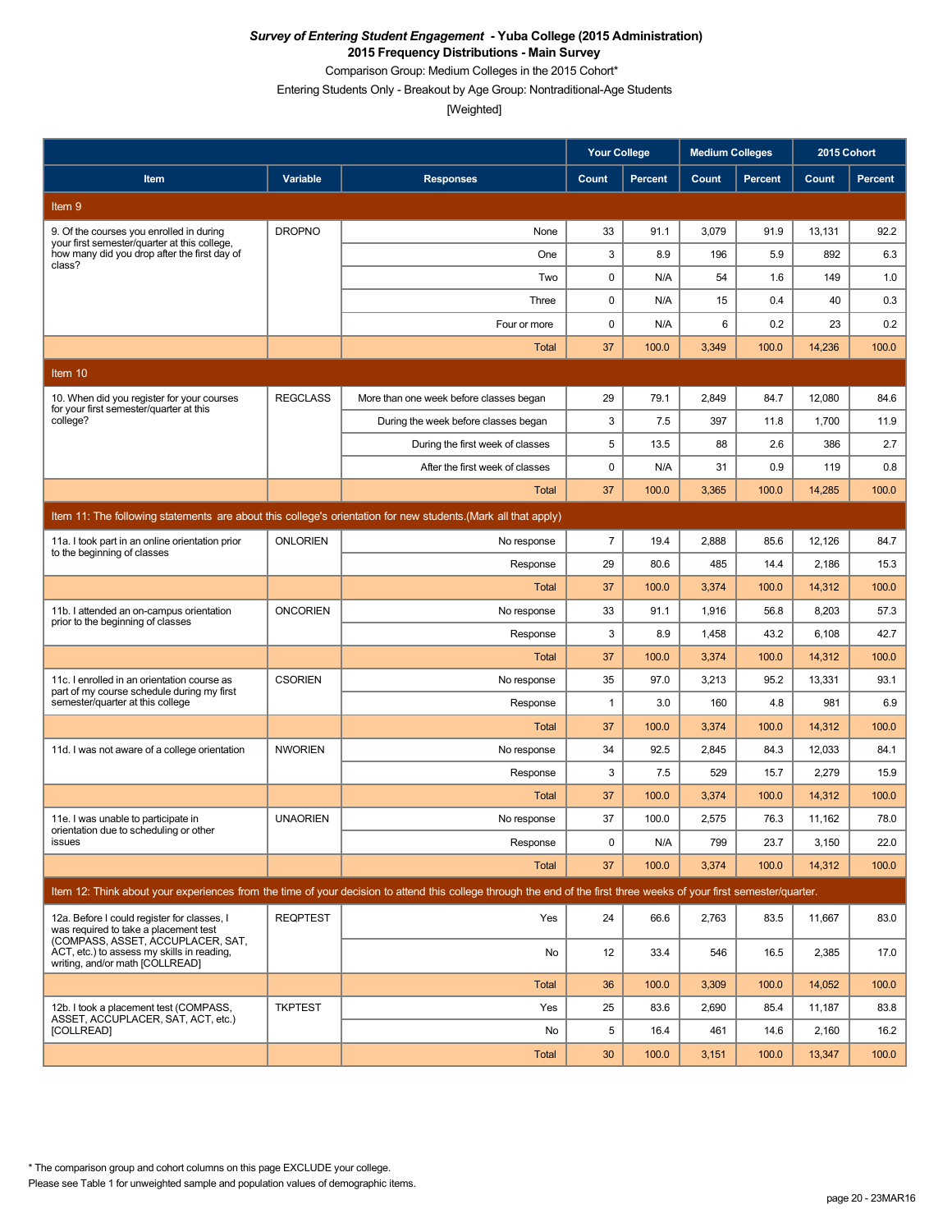Comparison Group: Medium Colleges in the 2015 Cohort\*

Entering Students Only - Breakout by Age Group: Nontraditional-Age Students

[Weighted]

|                                                                                                                           |                 |                                                                                                                                                                      | <b>Your College</b> |                | <b>Medium Colleges</b> |               | 2015 Cohort     |               |
|---------------------------------------------------------------------------------------------------------------------------|-----------------|----------------------------------------------------------------------------------------------------------------------------------------------------------------------|---------------------|----------------|------------------------|---------------|-----------------|---------------|
| Item                                                                                                                      | Variable        | <b>Responses</b>                                                                                                                                                     | Count               | <b>Percent</b> | Count                  | Percent       | Count           | Percent       |
| Item 9                                                                                                                    |                 |                                                                                                                                                                      |                     |                |                        |               |                 |               |
| 9. Of the courses you enrolled in during<br>your first semester/quarter at this college,                                  | <b>DROPNO</b>   | None                                                                                                                                                                 | 33                  | 91.1           | 3,079                  | 91.9          | 13,131          | 92.2          |
| how many did you drop after the first day of<br>class?                                                                    |                 | One                                                                                                                                                                  | 3                   | 8.9            | 196                    | 5.9           | 892             | 6.3           |
|                                                                                                                           |                 | Two                                                                                                                                                                  | 0                   | N/A            | 54                     | 1.6           | 149             | 1.0           |
|                                                                                                                           |                 | Three                                                                                                                                                                | 0                   | N/A            | 15                     | 0.4           | 40              | 0.3           |
|                                                                                                                           |                 | Four or more                                                                                                                                                         | 0                   | N/A            | 6                      | 0.2           | 23              | 0.2           |
|                                                                                                                           |                 | <b>Total</b>                                                                                                                                                         | 37                  | 100.0          | 3,349                  | 100.0         | 14,236          | 100.0         |
| Item $10$                                                                                                                 |                 |                                                                                                                                                                      |                     |                |                        |               |                 |               |
| 10. When did you register for your courses<br>for your first semester/quarter at this                                     | <b>REGCLASS</b> | More than one week before classes began                                                                                                                              | 29                  | 79.1           | 2,849                  | 84.7          | 12,080          | 84.6          |
| college?                                                                                                                  |                 | During the week before classes began                                                                                                                                 | 3                   | 7.5            | 397                    | 11.8          | 1,700           | 11.9          |
|                                                                                                                           |                 | During the first week of classes                                                                                                                                     | 5                   | 13.5           | 88                     | 2.6           | 386             | 2.7           |
|                                                                                                                           |                 | After the first week of classes                                                                                                                                      | 0                   | N/A            | 31                     | 0.9           | 119             | 0.8           |
|                                                                                                                           |                 | Total                                                                                                                                                                | 37                  | 100.0          | 3,365                  | 100.0         | 14,285          | 100.0         |
|                                                                                                                           |                 | Item 11: The following statements are about this college's orientation for new students. (Mark all that apply)                                                       |                     |                |                        |               |                 |               |
| 11a. I took part in an online orientation prior<br>to the beginning of classes                                            | <b>ONLORIEN</b> | No response                                                                                                                                                          | $\overline{7}$      | 19.4           | 2,888                  | 85.6          | 12,126          | 84.7          |
|                                                                                                                           |                 | Response                                                                                                                                                             | 29                  | 80.6           | 485                    | 14.4          | 2,186           | 15.3          |
|                                                                                                                           |                 | Total                                                                                                                                                                | 37                  | 100.0          | 3,374                  | 100.0         | 14,312          | 100.0         |
| 11b. I attended an on-campus orientation<br>prior to the beginning of classes                                             | <b>ONCORIEN</b> | No response                                                                                                                                                          | 33                  | 91.1           | 1,916                  | 56.8          | 8,203           | 57.3          |
|                                                                                                                           |                 | Response                                                                                                                                                             | 3                   | 8.9            | 1,458                  | 43.2          | 6,108           | 42.7          |
|                                                                                                                           |                 | <b>Total</b>                                                                                                                                                         | 37                  | 100.0          | 3,374                  | 100.0         | 14,312          | 100.0         |
| 11c. I enrolled in an orientation course as<br>part of my course schedule during my first                                 | <b>CSORIEN</b>  | No response                                                                                                                                                          | 35                  | 97.0           | 3,213                  | 95.2          | 13,331          | 93.1          |
| semester/quarter at this college                                                                                          |                 | Response                                                                                                                                                             | $\mathbf{1}$        | 3.0            | 160                    | 4.8           | 981             | 6.9           |
|                                                                                                                           |                 | <b>Total</b>                                                                                                                                                         | 37                  | 100.0          | 3,374                  | 100.0         | 14,312          | 100.0         |
| 11d. I was not aware of a college orientation                                                                             | <b>NWORIEN</b>  | No response                                                                                                                                                          | 34                  | 92.5           | 2,845                  | 84.3          | 12,033          | 84.1          |
|                                                                                                                           |                 | Response                                                                                                                                                             | 3                   | 7.5            | 529                    | 15.7          | 2,279           | 15.9          |
|                                                                                                                           |                 | <b>Total</b>                                                                                                                                                         | 37                  | 100.0          | 3,374                  | 100.0         | 14,312          | 100.0         |
| 11e. I was unable to participate in<br>orientation due to scheduling or other                                             | <b>UNAORIEN</b> | No response                                                                                                                                                          | 37                  | 100.0          | 2,575                  | 76.3          | 11,162          | 78.0          |
| issues                                                                                                                    |                 | Response<br>Total                                                                                                                                                    | 0<br>37             | N/A<br>100.0   | 799<br>3,374           | 23.7<br>100.0 | 3,150<br>14,312 | 22.0<br>100.0 |
|                                                                                                                           |                 |                                                                                                                                                                      |                     |                |                        |               |                 |               |
|                                                                                                                           |                 | Item 12: Think about your experiences from the time of your decision to attend this college through the end of the first three weeks of your first semester/quarter. |                     |                |                        |               |                 |               |
| 12a. Before I could register for classes, I<br>was required to take a placement test<br>(COMPASS, ASSET, ACCUPLACER, SAT, | <b>REQPTEST</b> | Yes                                                                                                                                                                  | 24                  | 66.6           | 2,763                  | 83.5          | 11,667          | 83.0          |
| ACT, etc.) to assess my skills in reading,<br>writing, and/or math [COLLREAD]                                             |                 | No                                                                                                                                                                   | 12                  | 33.4           | 546                    | 16.5          | 2,385           | 17.0          |
|                                                                                                                           |                 | Total                                                                                                                                                                | 36                  | 100.0          | 3,309                  | 100.0         | 14,052          | 100.0         |
| 12b. I took a placement test (COMPASS,<br>ASSET, ACCUPLACER, SAT, ACT, etc.)                                              | <b>TKPTEST</b>  | Yes                                                                                                                                                                  | 25                  | 83.6           | 2,690                  | 85.4          | 11,187          | 83.8          |
| [COLLREAD]                                                                                                                |                 | No                                                                                                                                                                   | 5                   | 16.4           | 461                    | 14.6          | 2,160           | 16.2          |
|                                                                                                                           |                 | Total                                                                                                                                                                | 30                  | 100.0          | 3,151                  | 100.0         | 13,347          | 100.0         |

\* The comparison group and cohort columns on this page EXCLUDE your college.

Please see Table 1 for unweighted sample and population values of demographic items.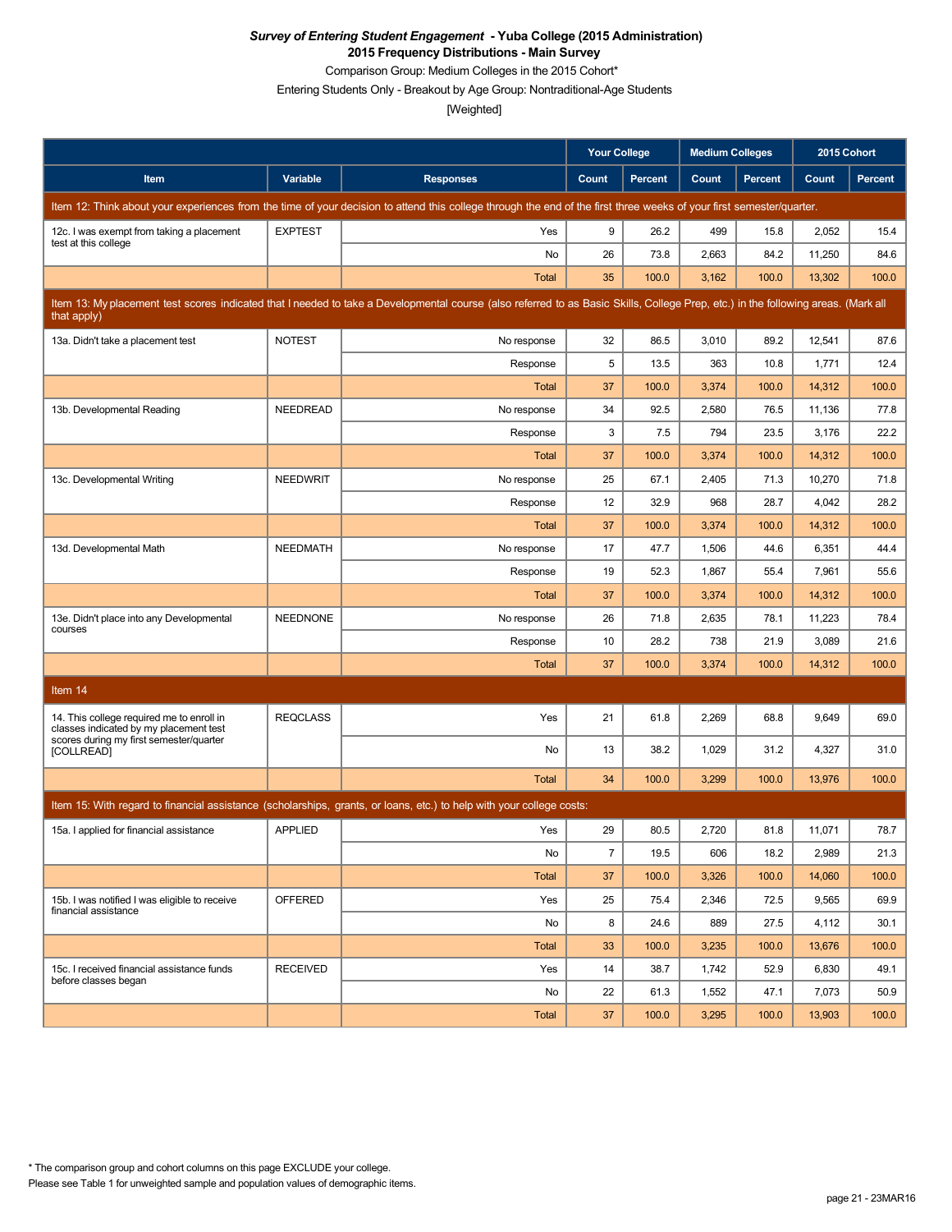Comparison Group: Medium Colleges in the 2015 Cohort\*

Entering Students Only - Breakout by Age Group: Nontraditional-Age Students

|                                                                                     |                 |                                                                                                                                                                                   | <b>Your College</b> |                | <b>Medium Colleges</b> |                | 2015 Cohort |                |
|-------------------------------------------------------------------------------------|-----------------|-----------------------------------------------------------------------------------------------------------------------------------------------------------------------------------|---------------------|----------------|------------------------|----------------|-------------|----------------|
| Item                                                                                | Variable        | <b>Responses</b>                                                                                                                                                                  | Count               | <b>Percent</b> | Count                  | <b>Percent</b> | Count       | <b>Percent</b> |
|                                                                                     |                 | Item 12: Think about your experiences from the time of your decision to attend this college through the end of the first three weeks of your first semester/quarter.              |                     |                |                        |                |             |                |
| 12c. I was exempt from taking a placement                                           | <b>EXPTEST</b>  | Yes                                                                                                                                                                               | 9                   | 26.2           | 499                    | 15.8           | 2,052       | 15.4           |
| test at this college                                                                |                 | No                                                                                                                                                                                | 26                  | 73.8           | 2,663                  | 84.2           | 11,250      | 84.6           |
|                                                                                     |                 | Total                                                                                                                                                                             | 35                  | 100.0          | 3,162                  | 100.0          | 13,302      | 100.0          |
| that apply)                                                                         |                 | Item 13: My placement test scores indicated that I needed to take a Developmental course (also referred to as Basic Skills, College Prep, etc.) in the following areas. (Mark all |                     |                |                        |                |             |                |
| 13a. Didn't take a placement test                                                   | <b>NOTEST</b>   | No response                                                                                                                                                                       | 32                  | 86.5           | 3,010                  | 89.2           | 12,541      | 87.6           |
|                                                                                     |                 | Response                                                                                                                                                                          | 5                   | 13.5           | 363                    | 10.8           | 1,771       | 12.4           |
|                                                                                     |                 | <b>Total</b>                                                                                                                                                                      | 37                  | 100.0          | 3,374                  | 100.0          | 14,312      | 100.0          |
| 13b. Developmental Reading                                                          | <b>NEEDREAD</b> | No response                                                                                                                                                                       | 34                  | 92.5           | 2,580                  | 76.5           | 11,136      | 77.8           |
|                                                                                     |                 | Response                                                                                                                                                                          | 3                   | 7.5            | 794                    | 23.5           | 3,176       | 22.2           |
|                                                                                     |                 | Total                                                                                                                                                                             | 37                  | 100.0          | 3,374                  | 100.0          | 14,312      | 100.0          |
| 13c. Developmental Writing                                                          | <b>NEEDWRIT</b> | No response                                                                                                                                                                       | 25                  | 67.1           | 2,405                  | 71.3           | 10,270      | 71.8           |
|                                                                                     |                 | Response                                                                                                                                                                          | 12                  | 32.9           | 968                    | 28.7           | 4,042       | 28.2           |
|                                                                                     |                 | Total                                                                                                                                                                             | 37                  | 100.0          | 3,374                  | 100.0          | 14,312      | 100.0          |
| 13d. Developmental Math                                                             | <b>NEEDMATH</b> | No response                                                                                                                                                                       | 17                  | 47.7           | 1,506                  | 44.6           | 6,351       | 44.4           |
|                                                                                     |                 | Response                                                                                                                                                                          | 19                  | 52.3           | 1,867                  | 55.4           | 7,961       | 55.6           |
|                                                                                     |                 | <b>Total</b>                                                                                                                                                                      | 37                  | 100.0          | 3,374                  | 100.0          | 14,312      | 100.0          |
| 13e. Didn't place into any Developmental<br>courses                                 | <b>NEEDNONE</b> | No response                                                                                                                                                                       | 26                  | 71.8           | 2,635                  | 78.1           | 11,223      | 78.4           |
|                                                                                     |                 | Response                                                                                                                                                                          | 10                  | 28.2           | 738                    | 21.9           | 3,089       | 21.6           |
|                                                                                     |                 | Total                                                                                                                                                                             | 37                  | 100.0          | 3,374                  | 100.0          | 14,312      | 100.0          |
| Item 14                                                                             |                 |                                                                                                                                                                                   |                     |                |                        |                |             |                |
| 14. This college required me to enroll in<br>classes indicated by my placement test | <b>REQCLASS</b> | Yes                                                                                                                                                                               | 21                  | 61.8           | 2,269                  | 68.8           | 9,649       | 69.0           |
| scores during my first semester/quarter<br>[COLLREAD]                               |                 | No                                                                                                                                                                                | 13                  | 38.2           | 1,029                  | 31.2           | 4,327       | 31.0           |
|                                                                                     |                 | Total                                                                                                                                                                             | 34                  | 100.0          | 3,299                  | 100.0          | 13,976      | 100.0          |
|                                                                                     |                 | Item 15: With regard to financial assistance (scholarships, grants, or loans, etc.) to help with your college costs:                                                              |                     |                |                        |                |             |                |
| 15a. I applied for financial assistance                                             | <b>APPLIED</b>  | Yes                                                                                                                                                                               | 29                  | 80.5           | 2,720                  | 81.8           | 11,071      | 78.7           |
|                                                                                     |                 | No                                                                                                                                                                                | $\overline{7}$      | 19.5           | 606                    | 18.2           | 2,989       | 21.3           |
|                                                                                     |                 | Total                                                                                                                                                                             | 37                  | 100.0          | 3,326                  | 100.0          | 14,060      | 100.0          |
| 15b. I was notified I was eligible to receive                                       | <b>OFFERED</b>  | Yes                                                                                                                                                                               | 25                  | 75.4           | 2,346                  | 72.5           | 9,565       | 69.9           |
| financial assistance                                                                |                 | No                                                                                                                                                                                | 8                   | 24.6           | 889                    | 27.5           | 4,112       | 30.1           |
|                                                                                     |                 | Total                                                                                                                                                                             | 33                  | 100.0          | 3,235                  | 100.0          | 13,676      | 100.0          |
| 15c. I received financial assistance funds<br>before classes began                  | <b>RECEIVED</b> | Yes                                                                                                                                                                               | 14                  | 38.7           | 1,742                  | 52.9           | 6,830       | 49.1           |
|                                                                                     |                 | No                                                                                                                                                                                | 22                  | 61.3           | 1,552                  | 47.1           | 7,073       | 50.9           |
|                                                                                     |                 | Total                                                                                                                                                                             | 37                  | 100.0          | 3,295                  | 100.0          | 13,903      | 100.0          |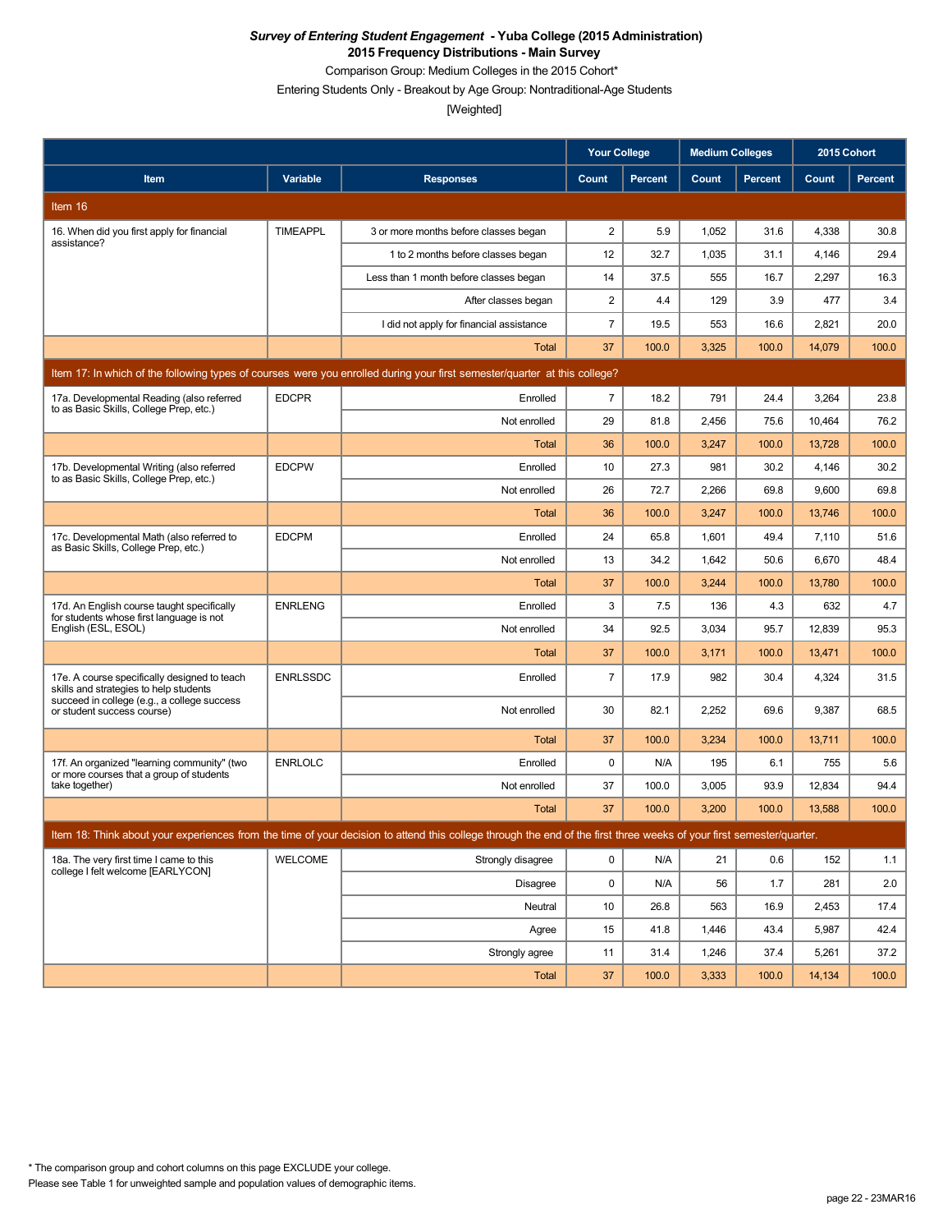Comparison Group: Medium Colleges in the 2015 Cohort\*

Entering Students Only - Breakout by Age Group: Nontraditional-Age Students

|                                                                                         |                 |                                                                                                                                                                      | <b>Your College</b> |                | <b>Medium Colleges</b> |                | 2015 Cohort |         |
|-----------------------------------------------------------------------------------------|-----------------|----------------------------------------------------------------------------------------------------------------------------------------------------------------------|---------------------|----------------|------------------------|----------------|-------------|---------|
| Item                                                                                    | <b>Variable</b> | <b>Responses</b>                                                                                                                                                     | Count               | <b>Percent</b> | Count                  | <b>Percent</b> | Count       | Percent |
| Item 16                                                                                 |                 |                                                                                                                                                                      |                     |                |                        |                |             |         |
| 16. When did you first apply for financial                                              | <b>TIMEAPPL</b> | 3 or more months before classes began                                                                                                                                | $\overline{2}$      | 5.9            | 1,052                  | 31.6           | 4,338       | 30.8    |
| assistance?                                                                             |                 | 1 to 2 months before classes began                                                                                                                                   | 12                  | 32.7           | 1,035                  | 31.1           | 4,146       | 29.4    |
|                                                                                         |                 | Less than 1 month before classes began                                                                                                                               | 14                  | 37.5           | 555                    | 16.7           | 2,297       | 16.3    |
|                                                                                         |                 | After classes began                                                                                                                                                  | $\overline{2}$      | 4.4            | 129                    | 3.9            | 477         | 3.4     |
|                                                                                         |                 | I did not apply for financial assistance                                                                                                                             | $\overline{7}$      | 19.5           | 553                    | 16.6           | 2,821       | 20.0    |
|                                                                                         |                 | <b>Total</b>                                                                                                                                                         | 37                  | 100.0          | 3,325                  | 100.0          | 14,079      | 100.0   |
|                                                                                         |                 | Item 17: In which of the following types of courses were you enrolled during your first semester/quarter at this college?                                            |                     |                |                        |                |             |         |
| 17a. Developmental Reading (also referred<br>to as Basic Skills, College Prep, etc.)    | <b>EDCPR</b>    | Enrolled                                                                                                                                                             | $\overline{7}$      | 18.2           | 791                    | 24.4           | 3,264       | 23.8    |
|                                                                                         |                 | Not enrolled                                                                                                                                                         | 29                  | 81.8           | 2,456                  | 75.6           | 10,464      | 76.2    |
|                                                                                         |                 | <b>Total</b>                                                                                                                                                         | 36                  | 100.0          | 3,247                  | 100.0          | 13,728      | 100.0   |
| 17b. Developmental Writing (also referred<br>to as Basic Skills, College Prep, etc.)    | <b>EDCPW</b>    | Enrolled                                                                                                                                                             | 10                  | 27.3           | 981                    | 30.2           | 4,146       | 30.2    |
|                                                                                         |                 | Not enrolled                                                                                                                                                         | 26                  | 72.7           | 2,266                  | 69.8           | 9,600       | 69.8    |
|                                                                                         |                 | <b>Total</b>                                                                                                                                                         | 36                  | 100.0          | 3,247                  | 100.0          | 13,746      | 100.0   |
| 17c. Developmental Math (also referred to<br>as Basic Skills, College Prep, etc.)       | <b>EDCPM</b>    | Enrolled                                                                                                                                                             | 24                  | 65.8           | 1,601                  | 49.4           | 7,110       | 51.6    |
|                                                                                         |                 | Not enrolled                                                                                                                                                         | 13                  | 34.2           | 1,642                  | 50.6           | 6,670       | 48.4    |
|                                                                                         |                 | Total                                                                                                                                                                | 37                  | 100.0          | 3,244                  | 100.0          | 13,780      | 100.0   |
| 17d. An English course taught specifically<br>for students whose first language is not  | <b>ENRLENG</b>  | Enrolled                                                                                                                                                             | 3                   | 7.5            | 136                    | 4.3            | 632         | 4.7     |
| English (ESL, ESOL)                                                                     |                 | Not enrolled                                                                                                                                                         | 34                  | 92.5           | 3,034                  | 95.7           | 12,839      | 95.3    |
|                                                                                         |                 | Total                                                                                                                                                                | 37                  | 100.0          | 3,171                  | 100.0          | 13,471      | 100.0   |
| 17e. A course specifically designed to teach<br>skills and strategies to help students  | <b>ENRLSSDC</b> | Enrolled                                                                                                                                                             | $\overline{7}$      | 17.9           | 982                    | 30.4           | 4,324       | 31.5    |
| succeed in college (e.g., a college success<br>or student success course)               |                 | Not enrolled                                                                                                                                                         | 30                  | 82.1           | 2,252                  | 69.6           | 9,387       | 68.5    |
|                                                                                         |                 | <b>Total</b>                                                                                                                                                         | 37                  | 100.0          | 3,234                  | 100.0          | 13,711      | 100.0   |
| 17f. An organized "learning community" (two<br>or more courses that a group of students | <b>ENRLOLC</b>  | Enrolled                                                                                                                                                             | 0                   | N/A            | 195                    | 6.1            | 755         | 5.6     |
| take together)                                                                          |                 | Not enrolled                                                                                                                                                         | 37                  | 100.0          | 3,005                  | 93.9           | 12,834      | 94.4    |
|                                                                                         |                 | <b>Total</b>                                                                                                                                                         | 37                  | 100.0          | 3,200                  | 100.0          | 13,588      | 100.0   |
|                                                                                         |                 | Item 18: Think about your experiences from the time of your decision to attend this college through the end of the first three weeks of your first semester/quarter. |                     |                |                        |                |             |         |
| 18a. The very first time I came to this<br>college I felt welcome [EARLYCON]            | WELCOME         | Strongly disagree                                                                                                                                                    | $\mathsf{O}$        | N/A            | 21                     | 0.6            | 152         | 1.1     |
|                                                                                         |                 | Disagree                                                                                                                                                             | 0                   | N/A            | 56                     | 1.7            | 281         | 2.0     |
|                                                                                         |                 | Neutral                                                                                                                                                              | 10                  | 26.8           | 563                    | 16.9           | 2,453       | 17.4    |
|                                                                                         |                 | Agree                                                                                                                                                                | 15                  | 41.8           | 1,446                  | 43.4           | 5,987       | 42.4    |
|                                                                                         |                 | Strongly agree                                                                                                                                                       | 11                  | 31.4           | 1,246                  | 37.4           | 5,261       | 37.2    |
|                                                                                         |                 | Total                                                                                                                                                                | 37                  | 100.0          | 3,333                  | 100.0          | 14,134      | 100.0   |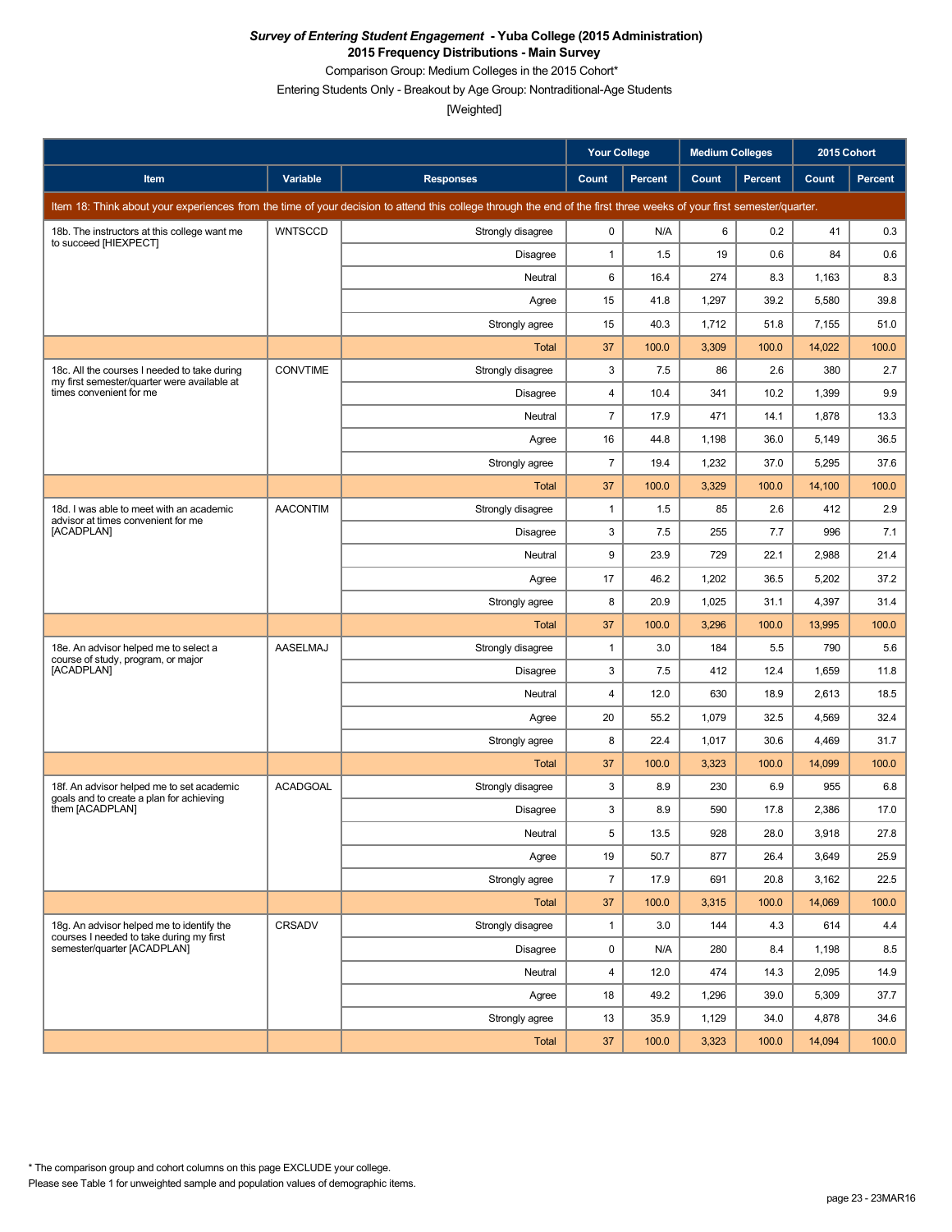Comparison Group: Medium Colleges in the 2015 Cohort\*

Entering Students Only - Breakout by Age Group: Nontraditional-Age Students

|                                                                                             |                 |                                                                                                                                                                      | <b>Your College</b> |                | <b>Medium Colleges</b> |         | 2015 Cohort |         |
|---------------------------------------------------------------------------------------------|-----------------|----------------------------------------------------------------------------------------------------------------------------------------------------------------------|---------------------|----------------|------------------------|---------|-------------|---------|
| Item                                                                                        | <b>Variable</b> | <b>Responses</b>                                                                                                                                                     | Count               | <b>Percent</b> | Count                  | Percent | Count       | Percent |
|                                                                                             |                 | Item 18: Think about your experiences from the time of your decision to attend this college through the end of the first three weeks of your first semester/quarter. |                     |                |                        |         |             |         |
| 18b. The instructors at this college want me<br>to succeed [HIEXPECT]                       | <b>WNTSCCD</b>  | Strongly disagree                                                                                                                                                    | $\mathbf 0$         | N/A            | 6                      | 0.2     | 41          | 0.3     |
|                                                                                             |                 | <b>Disagree</b>                                                                                                                                                      | $\mathbf{1}$        | 1.5            | 19                     | 0.6     | 84          | 0.6     |
|                                                                                             |                 | Neutral                                                                                                                                                              | 6                   | 16.4           | 274                    | 8.3     | 1,163       | 8.3     |
|                                                                                             |                 | Agree                                                                                                                                                                | 15                  | 41.8           | 1,297                  | 39.2    | 5,580       | 39.8    |
|                                                                                             |                 | Strongly agree                                                                                                                                                       | 15                  | 40.3           | 1,712                  | 51.8    | 7,155       | 51.0    |
|                                                                                             |                 | Total                                                                                                                                                                | 37                  | 100.0          | 3,309                  | 100.0   | 14,022      | 100.0   |
| 18c. All the courses I needed to take during<br>my first semester/quarter were available at | <b>CONVTIME</b> | Strongly disagree                                                                                                                                                    | 3                   | 7.5            | 86                     | 2.6     | 380         | 2.7     |
| times convenient for me                                                                     |                 | Disagree                                                                                                                                                             | 4                   | 10.4           | 341                    | 10.2    | 1,399       | 9.9     |
|                                                                                             |                 | Neutral                                                                                                                                                              | $\overline{7}$      | 17.9           | 471                    | 14.1    | 1,878       | 13.3    |
|                                                                                             |                 | Agree                                                                                                                                                                | 16                  | 44.8           | 1,198                  | 36.0    | 5,149       | 36.5    |
|                                                                                             |                 | Strongly agree                                                                                                                                                       | $\overline{7}$      | 19.4           | 1,232                  | 37.0    | 5,295       | 37.6    |
|                                                                                             |                 | <b>Total</b>                                                                                                                                                         | 37                  | 100.0          | 3,329                  | 100.0   | 14,100      | 100.0   |
| 18d. I was able to meet with an academic<br>advisor at times convenient for me              | <b>AACONTIM</b> | Strongly disagree                                                                                                                                                    | $\mathbf{1}$        | 1.5            | 85                     | 2.6     | 412         | 2.9     |
| [ACADPLAN]                                                                                  |                 | <b>Disagree</b>                                                                                                                                                      | 3                   | 7.5            | 255                    | 7.7     | 996         | 7.1     |
|                                                                                             |                 | Neutral                                                                                                                                                              | 9                   | 23.9           | 729                    | 22.1    | 2,988       | 21.4    |
|                                                                                             |                 | Agree                                                                                                                                                                | 17                  | 46.2           | 1,202                  | 36.5    | 5,202       | 37.2    |
|                                                                                             |                 | Strongly agree                                                                                                                                                       | 8                   | 20.9           | 1,025                  | 31.1    | 4,397       | 31.4    |
|                                                                                             |                 | <b>Total</b>                                                                                                                                                         | 37                  | 100.0          | 3,296                  | 100.0   | 13,995      | 100.0   |
| 18e. An advisor helped me to select a<br>course of study, program, or major                 | AASELMAJ        | Strongly disagree                                                                                                                                                    | $\mathbf{1}$        | 3.0            | 184                    | 5.5     | 790         | 5.6     |
| [ACADPLAN]                                                                                  |                 | Disagree                                                                                                                                                             | 3                   | 7.5            | 412                    | 12.4    | 1,659       | 11.8    |
|                                                                                             |                 | Neutral                                                                                                                                                              | $\overline{4}$      | 12.0           | 630                    | 18.9    | 2,613       | 18.5    |
|                                                                                             |                 | Agree                                                                                                                                                                | 20                  | 55.2           | 1,079                  | 32.5    | 4,569       | 32.4    |
|                                                                                             |                 | Strongly agree                                                                                                                                                       | 8                   | 22.4           | 1,017                  | 30.6    | 4,469       | 31.7    |
|                                                                                             |                 | Total                                                                                                                                                                | 37                  | 100.0          | 3,323                  | 100.0   | 14,099      | 100.0   |
| 18f. An advisor helped me to set academic<br>goals and to create a plan for achieving       | <b>ACADGOAL</b> | Strongly disagree                                                                                                                                                    | 3                   | 8.9            | 230                    | 6.9     | 955         | 6.8     |
| them [ACADPLAN]                                                                             |                 | <b>Disagree</b>                                                                                                                                                      | 3                   | 8.9            | 590                    | 17.8    | 2,386       | 17.0    |
|                                                                                             |                 | Neutral                                                                                                                                                              | 5                   | 13.5           | 928                    | 28.0    | 3,918       | 27.8    |
|                                                                                             |                 | Agree                                                                                                                                                                | 19                  | 50.7           | 877                    | 26.4    | 3,649       | 25.9    |
|                                                                                             |                 | Strongly agree                                                                                                                                                       | $\overline{7}$      | 17.9           | 691                    | 20.8    | 3,162       | 22.5    |
|                                                                                             |                 | Total                                                                                                                                                                | 37                  | 100.0          | 3,315                  | 100.0   | 14,069      | 100.0   |
| 18g. An advisor helped me to identify the<br>courses I needed to take during my first       | CRSADV          | Strongly disagree                                                                                                                                                    | $\mathbf{1}$        | 3.0            | 144                    | 4.3     | 614         | 4.4     |
| semester/quarter [ACADPLAN]                                                                 |                 | Disagree                                                                                                                                                             | $\mathbf 0$         | N/A            | 280                    | 8.4     | 1,198       | 8.5     |
|                                                                                             |                 | Neutral                                                                                                                                                              | 4                   | 12.0           | 474                    | 14.3    | 2,095       | 14.9    |
|                                                                                             |                 | Agree                                                                                                                                                                | 18                  | 49.2           | 1,296                  | 39.0    | 5,309       | 37.7    |
|                                                                                             |                 | Strongly agree                                                                                                                                                       | 13                  | 35.9           | 1,129                  | 34.0    | 4,878       | 34.6    |
|                                                                                             |                 | Total                                                                                                                                                                | 37                  | 100.0          | 3,323                  | 100.0   | 14,094      | 100.0   |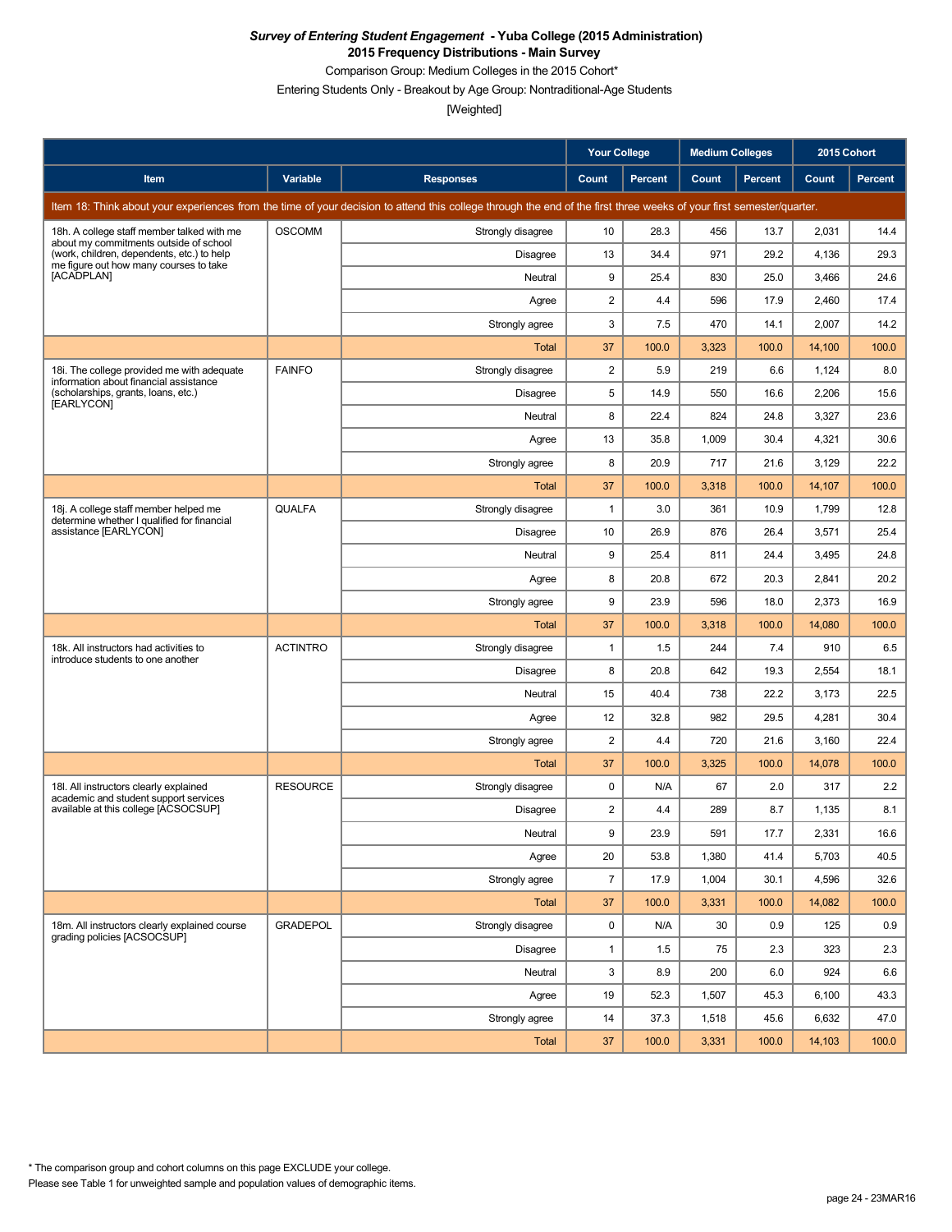Comparison Group: Medium Colleges in the 2015 Cohort\*

Entering Students Only - Breakout by Age Group: Nontraditional-Age Students

|                                                                                      |                 |                                                                                                                                                                      | <b>Your College</b> |                | <b>Medium Colleges</b> |                | 2015 Cohort |                |
|--------------------------------------------------------------------------------------|-----------------|----------------------------------------------------------------------------------------------------------------------------------------------------------------------|---------------------|----------------|------------------------|----------------|-------------|----------------|
| Item                                                                                 | Variable        | <b>Responses</b>                                                                                                                                                     | Count               | <b>Percent</b> | Count                  | <b>Percent</b> | Count       | <b>Percent</b> |
|                                                                                      |                 | Item 18: Think about your experiences from the time of your decision to attend this college through the end of the first three weeks of your first semester/quarter. |                     |                |                        |                |             |                |
| 18h. A college staff member talked with me<br>about my commitments outside of school | <b>OSCOMM</b>   | Strongly disagree                                                                                                                                                    | 10                  | 28.3           | 456                    | 13.7           | 2,031       | 14.4           |
| (work, children, dependents, etc.) to help<br>me figure out how many courses to take |                 | <b>Disagree</b>                                                                                                                                                      | 13                  | 34.4           | 971                    | 29.2           | 4,136       | 29.3           |
| [ACADPLAN]                                                                           |                 | Neutral                                                                                                                                                              | 9                   | 25.4           | 830                    | 25.0           | 3,466       | 24.6           |
|                                                                                      |                 | Agree                                                                                                                                                                | 2                   | 4.4            | 596                    | 17.9           | 2,460       | 17.4           |
|                                                                                      |                 | Strongly agree                                                                                                                                                       | 3                   | 7.5            | 470                    | 14.1           | 2,007       | 14.2           |
|                                                                                      |                 | Total                                                                                                                                                                | 37                  | 100.0          | 3,323                  | 100.0          | 14,100      | 100.0          |
| 18i. The college provided me with adequate<br>information about financial assistance | <b>FAINFO</b>   | Strongly disagree                                                                                                                                                    | $\overline{2}$      | 5.9            | 219                    | 6.6            | 1,124       | 8.0            |
| (scholarships, grants, loans, etc.)<br>[EARLYCON]                                    |                 | <b>Disagree</b>                                                                                                                                                      | 5                   | 14.9           | 550                    | 16.6           | 2,206       | 15.6           |
|                                                                                      |                 | Neutral                                                                                                                                                              | 8                   | 22.4           | 824                    | 24.8           | 3,327       | 23.6           |
|                                                                                      |                 | Agree                                                                                                                                                                | 13                  | 35.8           | 1,009                  | 30.4           | 4,321       | 30.6           |
|                                                                                      |                 | Strongly agree                                                                                                                                                       | 8                   | 20.9           | 717                    | 21.6           | 3,129       | 22.2           |
|                                                                                      |                 | Total                                                                                                                                                                | 37                  | 100.0          | 3,318                  | 100.0          | 14,107      | 100.0          |
| 18j. A college staff member helped me<br>determine whether I qualified for financial | QUALFA          | Strongly disagree                                                                                                                                                    | $\mathbf{1}$        | 3.0            | 361                    | 10.9           | 1,799       | 12.8           |
| assistance [EARLYCON]                                                                |                 | <b>Disagree</b>                                                                                                                                                      | 10                  | 26.9           | 876                    | 26.4           | 3,571       | 25.4           |
|                                                                                      |                 | Neutral                                                                                                                                                              | 9                   | 25.4           | 811                    | 24.4           | 3,495       | 24.8           |
|                                                                                      |                 | Agree                                                                                                                                                                | 8                   | 20.8           | 672                    | 20.3           | 2,841       | 20.2           |
|                                                                                      |                 | Strongly agree                                                                                                                                                       | 9                   | 23.9           | 596                    | 18.0           | 2,373       | 16.9           |
|                                                                                      |                 | <b>Total</b>                                                                                                                                                         | 37                  | 100.0          | 3,318                  | 100.0          | 14,080      | 100.0          |
| 18k. All instructors had activities to<br>introduce students to one another          | <b>ACTINTRO</b> | Strongly disagree                                                                                                                                                    | $\mathbf{1}$        | 1.5            | 244                    | 7.4            | 910         | 6.5            |
|                                                                                      |                 | Disagree                                                                                                                                                             | 8                   | 20.8           | 642                    | 19.3           | 2,554       | 18.1           |
|                                                                                      |                 | Neutral                                                                                                                                                              | 15                  | 40.4           | 738                    | 22.2           | 3,173       | 22.5           |
|                                                                                      |                 | Agree                                                                                                                                                                | 12                  | 32.8           | 982                    | 29.5           | 4,281       | 30.4           |
|                                                                                      |                 | Strongly agree                                                                                                                                                       | $\overline{2}$      | 4.4            | 720                    | 21.6           | 3,160       | 22.4           |
|                                                                                      |                 | Total                                                                                                                                                                | 37                  | 100.0          | 3,325                  | 100.0          | 14,078      | 100.0          |
| 18I. All instructors clearly explained<br>academic and student support services      | <b>RESOURCE</b> | Strongly disagree                                                                                                                                                    | 0                   | N/A            | 67                     | 2.0            | 317         | 2.2            |
| available at this college [ACSOCSUP]                                                 |                 | Disagree                                                                                                                                                             | 2                   | 4.4            | 289                    | 8.7            | 1,135       | 8.1            |
|                                                                                      |                 | Neutral                                                                                                                                                              | 9                   | 23.9           | 591                    | 17.7           | 2,331       | 16.6           |
|                                                                                      |                 | Agree                                                                                                                                                                | 20                  | 53.8           | 1,380                  | 41.4           | 5,703       | 40.5           |
|                                                                                      |                 | Strongly agree                                                                                                                                                       | $\overline{7}$      | 17.9           | 1,004                  | 30.1           | 4,596       | 32.6           |
|                                                                                      |                 | Total                                                                                                                                                                | 37                  | 100.0          | 3,331                  | 100.0          | 14,082      | 100.0          |
| 18m. All instructors clearly explained course<br>grading policies [ACSOCSUP]         | <b>GRADEPOL</b> | Strongly disagree                                                                                                                                                    | 0                   | N/A            | 30                     | 0.9            | 125         | 0.9            |
|                                                                                      |                 | Disagree                                                                                                                                                             | $\mathbf{1}$        | 1.5            | 75                     | 2.3            | 323         | 2.3            |
|                                                                                      |                 | Neutral                                                                                                                                                              | 3                   | 8.9            | 200                    | 6.0            | 924         | 6.6            |
|                                                                                      |                 | Agree                                                                                                                                                                | 19                  | 52.3           | 1,507                  | 45.3           | 6,100       | 43.3           |
|                                                                                      |                 | Strongly agree                                                                                                                                                       | 14                  | 37.3           | 1,518                  | 45.6           | 6,632       | 47.0           |
|                                                                                      |                 | Total                                                                                                                                                                | 37                  | 100.0          | 3,331                  | 100.0          | 14,103      | 100.0          |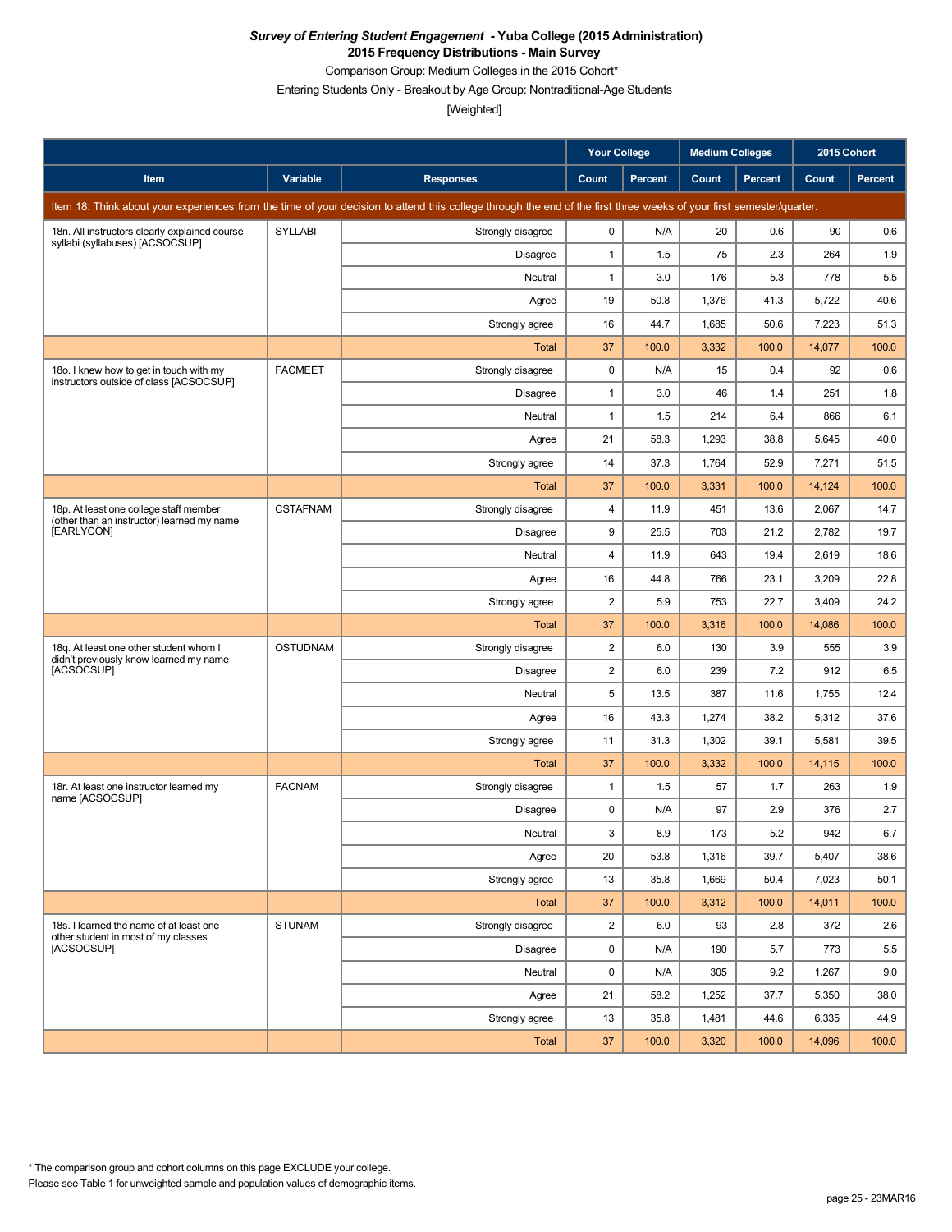Comparison Group: Medium Colleges in the 2015 Cohort\*

Entering Students Only - Breakout by Age Group: Nontraditional-Age Students

|                                                                                    |                 |                                                                                                                                                                      | <b>Your College</b> |                | <b>Medium Colleges</b> |                | 2015 Cohort |         |
|------------------------------------------------------------------------------------|-----------------|----------------------------------------------------------------------------------------------------------------------------------------------------------------------|---------------------|----------------|------------------------|----------------|-------------|---------|
| Item                                                                               | <b>Variable</b> | <b>Responses</b>                                                                                                                                                     | Count               | <b>Percent</b> | Count                  | <b>Percent</b> | Count       | Percent |
|                                                                                    |                 | Item 18: Think about your experiences from the time of your decision to attend this college through the end of the first three weeks of your first semester/quarter. |                     |                |                        |                |             |         |
| 18n. All instructors clearly explained course<br>syllabi (syllabuses) [ACSOCSUP]   | <b>SYLLABI</b>  | Strongly disagree                                                                                                                                                    | 0                   | N/A            | 20                     | 0.6            | 90          | 0.6     |
|                                                                                    |                 | Disagree                                                                                                                                                             | 1                   | 1.5            | 75                     | 2.3            | 264         | 1.9     |
|                                                                                    |                 | Neutral                                                                                                                                                              | 1                   | 3.0            | 176                    | 5.3            | 778         | 5.5     |
|                                                                                    |                 | Agree                                                                                                                                                                | 19                  | 50.8           | 1,376                  | 41.3           | 5,722       | 40.6    |
|                                                                                    |                 | Strongly agree                                                                                                                                                       | 16                  | 44.7           | 1,685                  | 50.6           | 7,223       | 51.3    |
|                                                                                    |                 | Total                                                                                                                                                                | 37                  | 100.0          | 3,332                  | 100.0          | 14,077      | 100.0   |
| 18o. I knew how to get in touch with my<br>instructors outside of class [ACSOCSUP] | <b>FACMEET</b>  | Strongly disagree                                                                                                                                                    | $\mathbf 0$         | N/A            | 15                     | 0.4            | 92          | 0.6     |
|                                                                                    |                 | <b>Disagree</b>                                                                                                                                                      | 1                   | 3.0            | 46                     | 1.4            | 251         | 1.8     |
|                                                                                    |                 | Neutral                                                                                                                                                              | 1                   | 1.5            | 214                    | 6.4            | 866         | 6.1     |
|                                                                                    |                 | Agree                                                                                                                                                                | 21                  | 58.3           | 1,293                  | 38.8           | 5,645       | 40.0    |
|                                                                                    |                 | Strongly agree                                                                                                                                                       | 14                  | 37.3           | 1,764                  | 52.9           | 7,271       | 51.5    |
|                                                                                    |                 | Total                                                                                                                                                                | 37                  | 100.0          | 3,331                  | 100.0          | 14,124      | 100.0   |
| 18p. At least one college staff member                                             | <b>CSTAFNAM</b> | Strongly disagree                                                                                                                                                    | 4                   | 11.9           | 451                    | 13.6           | 2,067       | 14.7    |
| (other than an instructor) learned my name<br>[EARLYCON]                           |                 | <b>Disagree</b>                                                                                                                                                      | 9                   | 25.5           | 703                    | 21.2           | 2,782       | 19.7    |
|                                                                                    |                 | Neutral                                                                                                                                                              | 4                   | 11.9           | 643                    | 19.4           | 2,619       | 18.6    |
|                                                                                    |                 | Agree                                                                                                                                                                | 16                  | 44.8           | 766                    | 23.1           | 3,209       | 22.8    |
|                                                                                    |                 | Strongly agree                                                                                                                                                       | 2                   | 5.9            | 753                    | 22.7           | 3,409       | 24.2    |
|                                                                                    |                 | <b>Total</b>                                                                                                                                                         | 37                  | 100.0          | 3,316                  | 100.0          | 14,086      | 100.0   |
| 18q. At least one other student whom I<br>didn't previously know learned my name   | <b>OSTUDNAM</b> | Strongly disagree                                                                                                                                                    | 2                   | 6.0            | 130                    | 3.9            | 555         | 3.9     |
| [ACSOCSUP]                                                                         |                 | <b>Disagree</b>                                                                                                                                                      | $\overline{c}$      | 6.0            | 239                    | 7.2            | 912         | 6.5     |
|                                                                                    |                 | Neutral                                                                                                                                                              | 5                   | 13.5           | 387                    | 11.6           | 1,755       | 12.4    |
|                                                                                    |                 | Agree                                                                                                                                                                | 16                  | 43.3           | 1,274                  | 38.2           | 5,312       | 37.6    |
|                                                                                    |                 | Strongly agree                                                                                                                                                       | 11                  | 31.3           | 1,302                  | 39.1           | 5,581       | 39.5    |
|                                                                                    |                 | Total                                                                                                                                                                | 37                  | 100.0          | 3,332                  | 100.0          | 14,115      | 100.0   |
| 18r. At least one instructor learned my<br>name [ACSOCSUP]                         | <b>FACNAM</b>   | Strongly disagree                                                                                                                                                    | $\mathbf{1}$        | 1.5            | 57                     | 1.7            | 263         | 1.9     |
|                                                                                    |                 | Disagree                                                                                                                                                             | 0                   | N/A            | 97                     | 2.9            | 376         | 2.7     |
|                                                                                    |                 | Neutral                                                                                                                                                              | 3                   | $8.9\,$        | 173                    | $5.2\,$        | 942         | 6.7     |
|                                                                                    |                 | Agree                                                                                                                                                                | 20                  | 53.8           | 1,316                  | 39.7           | 5,407       | 38.6    |
|                                                                                    |                 | Strongly agree                                                                                                                                                       | 13                  | 35.8           | 1,669                  | 50.4           | 7,023       | 50.1    |
|                                                                                    |                 | Total                                                                                                                                                                | 37                  | 100.0          | 3,312                  | 100.0          | 14,011      | 100.0   |
| 18s. I learned the name of at least one<br>other student in most of my classes     | <b>STUNAM</b>   | Strongly disagree                                                                                                                                                    | $\overline{2}$      | 6.0            | 93                     | 2.8            | 372         | 2.6     |
| [ACSOCSUP]                                                                         |                 | <b>Disagree</b>                                                                                                                                                      | 0                   | N/A            | 190                    | 5.7            | 773         | 5.5     |
|                                                                                    |                 | Neutral                                                                                                                                                              | 0                   | N/A            | 305                    | 9.2            | 1,267       | 9.0     |
|                                                                                    |                 | Agree                                                                                                                                                                | 21                  | 58.2           | 1,252                  | 37.7           | 5,350       | 38.0    |
|                                                                                    |                 | Strongly agree                                                                                                                                                       | 13                  | 35.8           | 1,481                  | 44.6           | 6,335       | 44.9    |
|                                                                                    |                 | Total                                                                                                                                                                | 37                  | 100.0          | 3,320                  | 100.0          | 14,096      | 100.0   |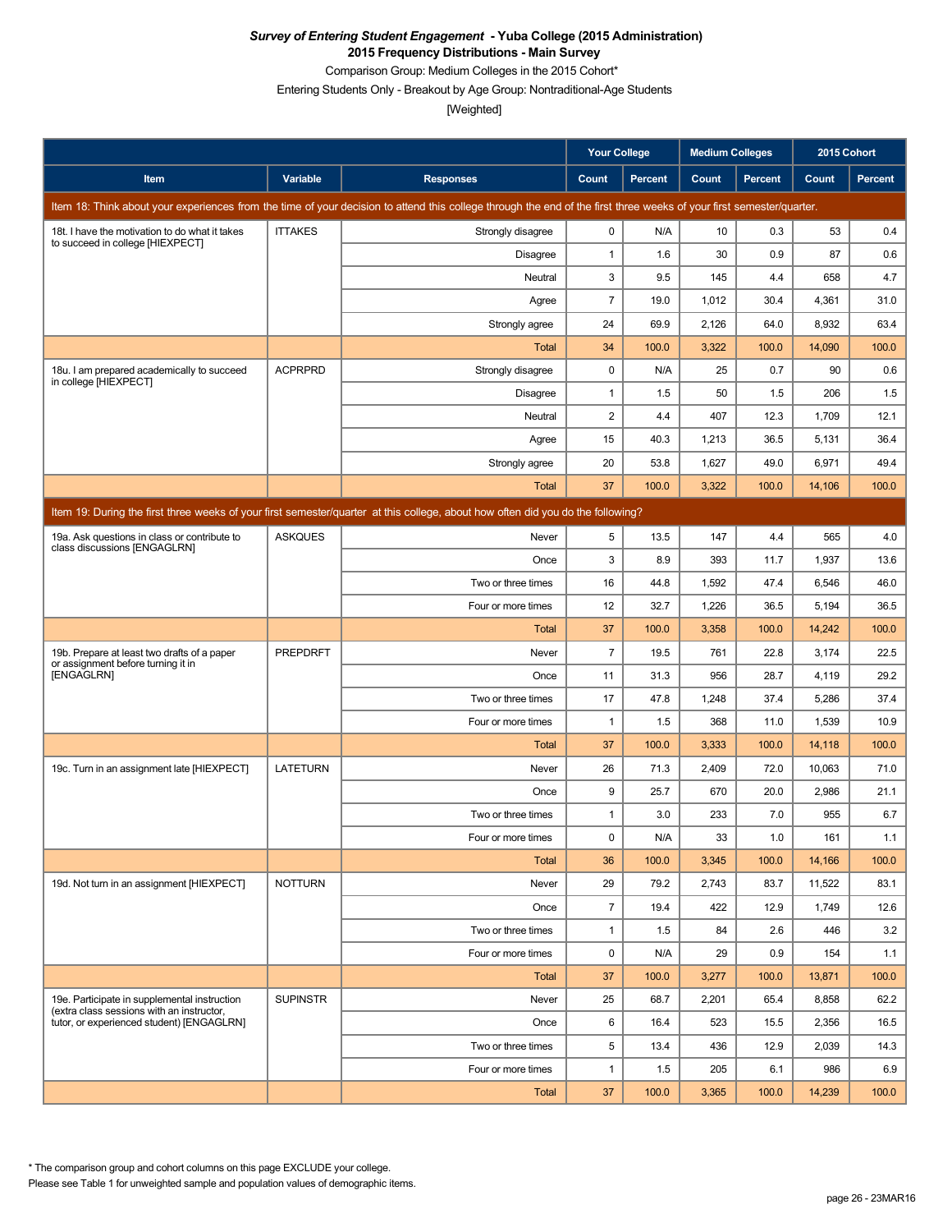Comparison Group: Medium Colleges in the 2015 Cohort\*

Entering Students Only - Breakout by Age Group: Nontraditional-Age Students

[Weighted]

|                                                                                                                                 |                 |                                                                                                                                                                      | <b>Your College</b>     |                | <b>Medium Colleges</b> |         | 2015 Cohort |                |  |  |
|---------------------------------------------------------------------------------------------------------------------------------|-----------------|----------------------------------------------------------------------------------------------------------------------------------------------------------------------|-------------------------|----------------|------------------------|---------|-------------|----------------|--|--|
| Item                                                                                                                            | Variable        | <b>Responses</b>                                                                                                                                                     | Count                   | <b>Percent</b> | Count                  | Percent | Count       | <b>Percent</b> |  |  |
|                                                                                                                                 |                 | Item 18: Think about your experiences from the time of your decision to attend this college through the end of the first three weeks of your first semester/quarter. |                         |                |                        |         |             |                |  |  |
| 18t. I have the motivation to do what it takes                                                                                  | <b>ITTAKES</b>  | Strongly disagree                                                                                                                                                    | 0                       | N/A            | 10                     | 0.3     | 53          | 0.4            |  |  |
| to succeed in college [HIEXPECT]                                                                                                |                 | Disagree                                                                                                                                                             | $\mathbf{1}$            | 1.6            | 30                     | 0.9     | 87          | 0.6            |  |  |
|                                                                                                                                 |                 | Neutral                                                                                                                                                              | 3                       | 9.5            | 145                    | 4.4     | 658         | 4.7            |  |  |
|                                                                                                                                 |                 | Agree                                                                                                                                                                | $\overline{7}$          | 19.0           | 1,012                  | 30.4    | 4,361       | 31.0           |  |  |
|                                                                                                                                 |                 | Strongly agree                                                                                                                                                       | 24                      | 69.9           | 2,126                  | 64.0    | 8,932       | 63.4           |  |  |
|                                                                                                                                 |                 | Total                                                                                                                                                                | 34                      | 100.0          | 3,322                  | 100.0   | 14,090      | 100.0          |  |  |
| 18u. I am prepared academically to succeed<br>in college [HIEXPECT]                                                             | <b>ACPRPRD</b>  | Strongly disagree                                                                                                                                                    | $\mathbf 0$             | N/A            | 25                     | 0.7     | 90          | 0.6            |  |  |
|                                                                                                                                 |                 | Disagree                                                                                                                                                             | $\mathbf{1}$            | 1.5            | 50                     | 1.5     | 206         | 1.5            |  |  |
|                                                                                                                                 |                 | Neutral                                                                                                                                                              | $\overline{\mathbf{c}}$ | 4.4            | 407                    | 12.3    | 1,709       | 12.1           |  |  |
|                                                                                                                                 |                 | Agree                                                                                                                                                                | 15                      | 40.3           | 1,213                  | 36.5    | 5,131       | 36.4           |  |  |
|                                                                                                                                 |                 | Strongly agree                                                                                                                                                       | 20                      | 53.8           | 1,627                  | 49.0    | 6,971       | 49.4           |  |  |
|                                                                                                                                 |                 | <b>Total</b>                                                                                                                                                         | 37                      | 100.0          | 3,322                  | 100.0   | 14,106      | 100.0          |  |  |
| Item 19: During the first three weeks of your first semester/quarter at this college, about how often did you do the following? |                 |                                                                                                                                                                      |                         |                |                        |         |             |                |  |  |
| 19a. Ask questions in class or contribute to                                                                                    | <b>ASKQUES</b>  | Never                                                                                                                                                                | 5                       | 13.5           | 147                    | 4.4     | 565         | 4.0            |  |  |
| class discussions [ENGAGLRN]                                                                                                    |                 | Once                                                                                                                                                                 | 3                       | 8.9            | 393                    | 11.7    | 1,937       | 13.6           |  |  |
|                                                                                                                                 |                 | Two or three times                                                                                                                                                   | 16                      | 44.8           | 1,592                  | 47.4    | 6,546       | 46.0           |  |  |
|                                                                                                                                 |                 | Four or more times                                                                                                                                                   | 12                      | 32.7           | 1,226                  | 36.5    | 5,194       | 36.5           |  |  |
|                                                                                                                                 |                 | Total                                                                                                                                                                | 37                      | 100.0          | 3,358                  | 100.0   | 14,242      | 100.0          |  |  |
| 19b. Prepare at least two drafts of a paper                                                                                     | <b>PREPDRFT</b> | Never                                                                                                                                                                | $\overline{7}$          | 19.5           | 761                    | 22.8    | 3,174       | 22.5           |  |  |
| or assignment before turning it in<br>[ENGAGLRN]                                                                                |                 | Once                                                                                                                                                                 | 11                      | 31.3           | 956                    | 28.7    | 4,119       | 29.2           |  |  |
|                                                                                                                                 |                 | Two or three times                                                                                                                                                   | 17                      | 47.8           | 1,248                  | 37.4    | 5,286       | 37.4           |  |  |
|                                                                                                                                 |                 | Four or more times                                                                                                                                                   | $\mathbf{1}$            | 1.5            | 368                    | 11.0    | 1,539       | 10.9           |  |  |
|                                                                                                                                 |                 | <b>Total</b>                                                                                                                                                         | 37                      | 100.0          | 3,333                  | 100.0   | 14,118      | 100.0          |  |  |
| 19c. Turn in an assignment late [HIEXPECT]                                                                                      | <b>LATETURN</b> | Never                                                                                                                                                                | 26                      | 71.3           | 2,409                  | 72.0    | 10,063      | 71.0           |  |  |
|                                                                                                                                 |                 | Once                                                                                                                                                                 | 9                       | 25.7           | 670                    | 20.0    | 2,986       | 21.1           |  |  |
|                                                                                                                                 |                 | Two or three times                                                                                                                                                   | 1                       | 3.0            | 233                    | 7.0     | 955         | 6.7            |  |  |
|                                                                                                                                 |                 | Four or more times                                                                                                                                                   | 0                       | N/A            | 33                     | 1.0     | 161         | 1.1            |  |  |
|                                                                                                                                 |                 | <b>Total</b>                                                                                                                                                         | 36                      | 100.0          | 3,345                  | 100.0   | 14,166      | 100.0          |  |  |
| 19d. Not turn in an assignment [HIEXPECT]                                                                                       | <b>NOTTURN</b>  | Never                                                                                                                                                                | 29                      | 79.2           | 2,743                  | 83.7    | 11,522      | 83.1           |  |  |
|                                                                                                                                 |                 | Once                                                                                                                                                                 | $\overline{7}$          | 19.4           | 422                    | 12.9    | 1,749       | 12.6           |  |  |
|                                                                                                                                 |                 | Two or three times                                                                                                                                                   | $\mathbf{1}$            | 1.5            | 84                     | 2.6     | 446         | 3.2            |  |  |
|                                                                                                                                 |                 | Four or more times                                                                                                                                                   | 0                       | N/A            | 29                     | 0.9     | 154         | 1.1            |  |  |
|                                                                                                                                 |                 | Total                                                                                                                                                                | 37                      | 100.0          | 3,277                  | 100.0   | 13,871      | 100.0          |  |  |
| 19e. Participate in supplemental instruction<br>(extra class sessions with an instructor,                                       | <b>SUPINSTR</b> | Never                                                                                                                                                                | 25                      | 68.7           | 2,201                  | 65.4    | 8,858       | 62.2           |  |  |
| tutor, or experienced student) [ENGAGLRN]                                                                                       |                 | Once                                                                                                                                                                 | 6                       | 16.4           | 523                    | 15.5    | 2,356       | 16.5           |  |  |
|                                                                                                                                 |                 | Two or three times                                                                                                                                                   | 5                       | 13.4           | 436                    | 12.9    | 2,039       | 14.3           |  |  |
|                                                                                                                                 |                 | Four or more times                                                                                                                                                   | $\mathbf{1}$            | 1.5            | 205                    | 6.1     | 986         | 6.9            |  |  |
|                                                                                                                                 |                 | <b>Total</b>                                                                                                                                                         | 37                      | 100.0          | 3,365                  | 100.0   | 14,239      | 100.0          |  |  |

Please see Table 1 for unweighted sample and population values of demographic items. \* The comparison group and cohort columns on this page EXCLUDE your college.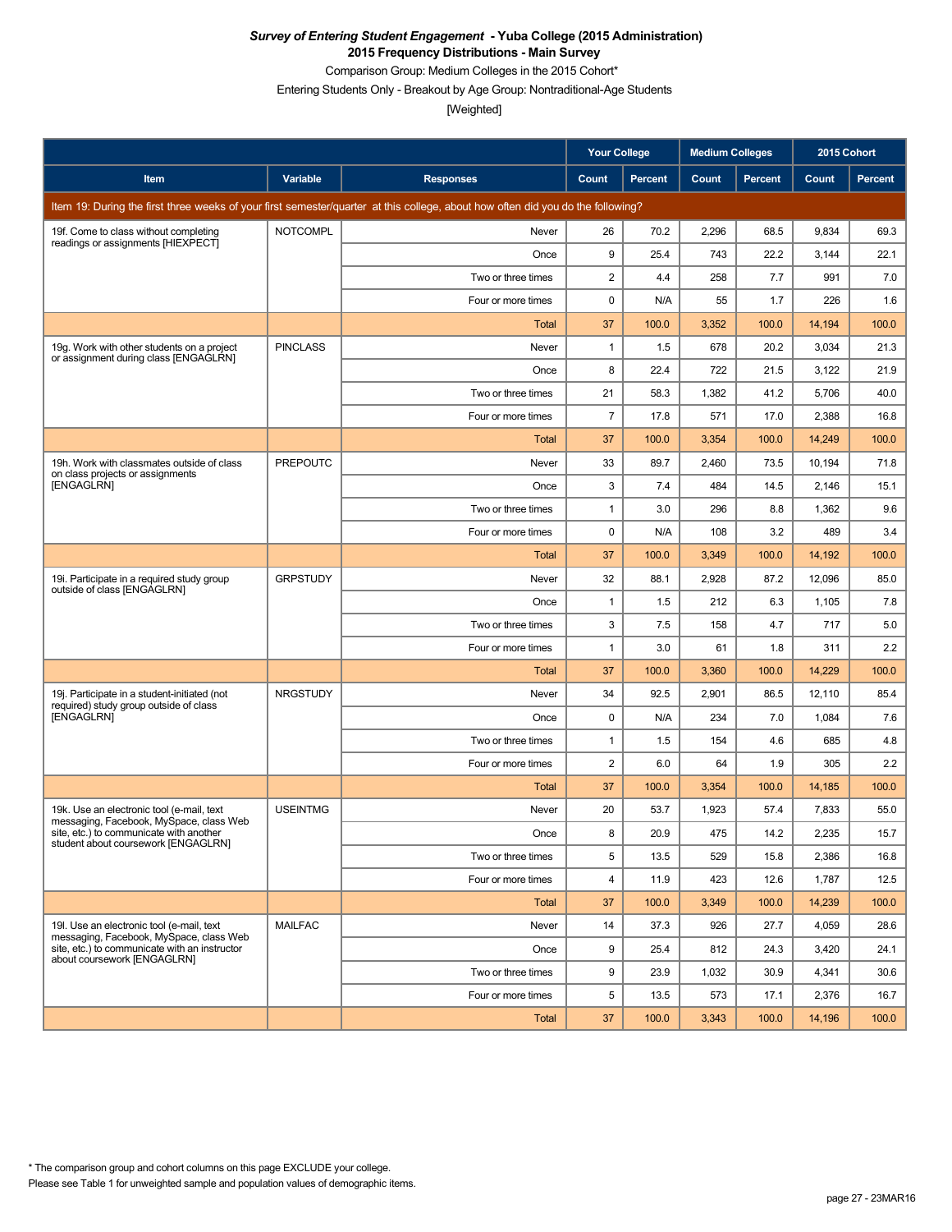Comparison Group: Medium Colleges in the 2015 Cohort\*

Entering Students Only - Breakout by Age Group: Nontraditional-Age Students

|                                                                                        |                 |                                                                                                                                 | <b>Your College</b>     |                | <b>Medium Colleges</b> |                | 2015 Cohort |                |
|----------------------------------------------------------------------------------------|-----------------|---------------------------------------------------------------------------------------------------------------------------------|-------------------------|----------------|------------------------|----------------|-------------|----------------|
| Item                                                                                   | Variable        | <b>Responses</b>                                                                                                                | Count                   | <b>Percent</b> | Count                  | <b>Percent</b> | Count       | <b>Percent</b> |
|                                                                                        |                 | Item 19: During the first three weeks of your first semester/quarter at this college, about how often did you do the following? |                         |                |                        |                |             |                |
| 19f. Come to class without completing<br>readings or assignments [HIEXPECT]            | <b>NOTCOMPL</b> | Never                                                                                                                           | 26                      | 70.2           | 2,296                  | 68.5           | 9.834       | 69.3           |
|                                                                                        |                 | Once                                                                                                                            | 9                       | 25.4           | 743                    | 22.2           | 3,144       | 22.1           |
|                                                                                        |                 | Two or three times                                                                                                              | 2                       | 4.4            | 258                    | 7.7            | 991         | 7.0            |
|                                                                                        |                 | Four or more times                                                                                                              | 0                       | N/A            | 55                     | 1.7            | 226         | 1.6            |
|                                                                                        |                 | Total                                                                                                                           | 37                      | 100.0          | 3,352                  | 100.0          | 14,194      | 100.0          |
| 19g. Work with other students on a project<br>or assignment during class [ENGAGLRN]    | <b>PINCLASS</b> | Never                                                                                                                           | 1                       | 1.5            | 678                    | 20.2           | 3,034       | 21.3           |
|                                                                                        |                 | Once                                                                                                                            | 8                       | 22.4           | 722                    | 21.5           | 3,122       | 21.9           |
|                                                                                        |                 | Two or three times                                                                                                              | 21                      | 58.3           | 1,382                  | 41.2           | 5,706       | 40.0           |
|                                                                                        |                 | Four or more times                                                                                                              | $\overline{7}$          | 17.8           | 571                    | 17.0           | 2,388       | 16.8           |
|                                                                                        |                 | Total                                                                                                                           | 37                      | 100.0          | 3,354                  | 100.0          | 14,249      | 100.0          |
| 19h. Work with classmates outside of class<br>on class projects or assignments         | <b>PREPOUTC</b> | Never                                                                                                                           | 33                      | 89.7           | 2,460                  | 73.5           | 10,194      | 71.8           |
| [ENGAGLRN]                                                                             |                 | Once                                                                                                                            | 3                       | 7.4            | 484                    | 14.5           | 2,146       | 15.1           |
|                                                                                        |                 | Two or three times                                                                                                              | $\mathbf{1}$            | 3.0            | 296                    | 8.8            | 1,362       | 9.6            |
|                                                                                        |                 | Four or more times                                                                                                              | 0                       | N/A            | 108                    | 3.2            | 489         | 3.4            |
|                                                                                        |                 | Total                                                                                                                           | 37                      | 100.0          | 3,349                  | 100.0          | 14,192      | 100.0          |
| 19i. Participate in a required study group<br>outside of class [ENGAGLRN]              | <b>GRPSTUDY</b> | Never                                                                                                                           | 32                      | 88.1           | 2,928                  | 87.2           | 12,096      | 85.0           |
|                                                                                        |                 | Once                                                                                                                            | 1                       | 1.5            | 212                    | 6.3            | 1,105       | 7.8            |
|                                                                                        |                 | Two or three times                                                                                                              | 3                       | 7.5            | 158                    | 4.7            | 717         | 5.0            |
|                                                                                        |                 | Four or more times                                                                                                              | 1                       | 3.0            | 61                     | 1.8            | 311         | 2.2            |
|                                                                                        |                 | Total                                                                                                                           | 37                      | 100.0          | 3,360                  | 100.0          | 14,229      | 100.0          |
| 19j. Participate in a student-initiated (not<br>required) study group outside of class | <b>NRGSTUDY</b> | Never                                                                                                                           | 34                      | 92.5           | 2,901                  | 86.5           | 12,110      | 85.4           |
| [ENGAGLRN]                                                                             |                 | Once                                                                                                                            | 0                       | N/A            | 234                    | 7.0            | 1,084       | 7.6            |
|                                                                                        |                 | Two or three times                                                                                                              | 1                       | 1.5            | 154                    | 4.6            | 685         | 4.8            |
|                                                                                        |                 | Four or more times                                                                                                              | 2                       | 6.0            | 64                     | 1.9            | 305         | 2.2            |
|                                                                                        |                 | Total                                                                                                                           | 37                      | 100.0          | 3,354                  | 100.0          | 14,185      | 100.0          |
| 19k. Use an electronic tool (e-mail, text<br>messaging, Facebook, MySpace, class Web   | <b>USEINTMG</b> | Never                                                                                                                           | 20                      | 53.7           | 1,923                  | 57.4           | 7,833       | 55.0           |
| site, etc.) to communicate with another<br>student about coursework [ENGAGLRN]         |                 | Once                                                                                                                            | 8                       | 20.9           | 475                    | 14.2           | 2,235       | 15.7           |
|                                                                                        |                 | Two or three times                                                                                                              | 5                       | 13.5           | 529                    | 15.8           | 2,386       | 16.8           |
|                                                                                        |                 | Four or more times                                                                                                              | $\overline{\mathbf{4}}$ | 11.9           | 423                    | 12.6           | 1,787       | 12.5           |
|                                                                                        |                 | Total                                                                                                                           | 37                      | 100.0          | 3,349                  | 100.0          | 14,239      | 100.0          |
| 19I. Use an electronic tool (e-mail, text<br>messaging, Facebook, MySpace, class Web   | <b>MAILFAC</b>  | Never                                                                                                                           | 14                      | 37.3           | 926                    | 27.7           | 4,059       | 28.6           |
| site, etc.) to communicate with an instructor<br>about coursework [ENGAGLRN]           |                 | Once                                                                                                                            | 9                       | 25.4           | 812                    | 24.3           | 3,420       | 24.1           |
|                                                                                        |                 | Two or three times                                                                                                              | 9                       | 23.9           | 1,032                  | 30.9           | 4,341       | 30.6           |
|                                                                                        |                 | Four or more times                                                                                                              | 5                       | 13.5           | 573                    | 17.1           | 2,376       | 16.7           |
|                                                                                        |                 | Total                                                                                                                           | 37                      | 100.0          | 3,343                  | 100.0          | 14,196      | 100.0          |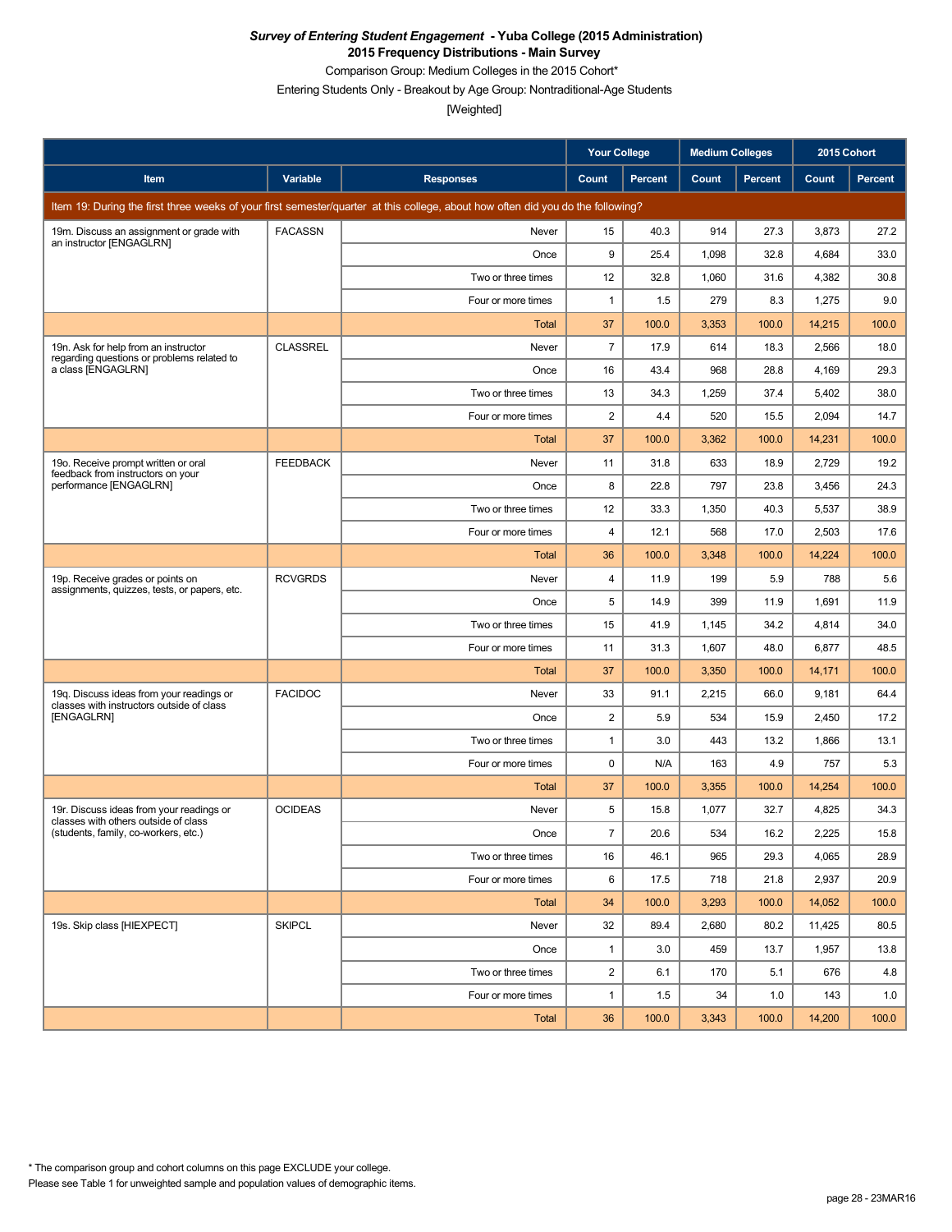Comparison Group: Medium Colleges in the 2015 Cohort\*

Entering Students Only - Breakout by Age Group: Nontraditional-Age Students

|                                                                                       |                 |                                                                                                                                 | <b>Your College</b>     |         | <b>Medium Colleges</b> |                | 2015 Cohort |         |
|---------------------------------------------------------------------------------------|-----------------|---------------------------------------------------------------------------------------------------------------------------------|-------------------------|---------|------------------------|----------------|-------------|---------|
| Item                                                                                  | <b>Variable</b> | <b>Responses</b>                                                                                                                | Count                   | Percent | Count                  | <b>Percent</b> | Count       | Percent |
|                                                                                       |                 | Item 19: During the first three weeks of your first semester/quarter at this college, about how often did you do the following? |                         |         |                        |                |             |         |
| 19m. Discuss an assignment or grade with<br>an instructor [ENGAGLRN]                  | <b>FACASSN</b>  | Never                                                                                                                           | 15                      | 40.3    | 914                    | 27.3           | 3,873       | 27.2    |
|                                                                                       |                 | Once                                                                                                                            | 9                       | 25.4    | 1,098                  | 32.8           | 4,684       | 33.0    |
|                                                                                       |                 | Two or three times                                                                                                              | 12                      | 32.8    | 1,060                  | 31.6           | 4,382       | 30.8    |
|                                                                                       |                 | Four or more times                                                                                                              | $\mathbf{1}$            | 1.5     | 279                    | 8.3            | 1,275       | 9.0     |
|                                                                                       |                 | Total                                                                                                                           | 37                      | 100.0   | 3,353                  | 100.0          | 14,215      | 100.0   |
| 19n. Ask for help from an instructor<br>regarding questions or problems related to    | <b>CLASSREL</b> | Never                                                                                                                           | $\overline{7}$          | 17.9    | 614                    | 18.3           | 2,566       | 18.0    |
| a class [ENGAGLRN]                                                                    |                 | Once                                                                                                                            | 16                      | 43.4    | 968                    | 28.8           | 4,169       | 29.3    |
|                                                                                       |                 | Two or three times                                                                                                              | 13                      | 34.3    | 1,259                  | 37.4           | 5,402       | 38.0    |
|                                                                                       |                 | Four or more times                                                                                                              | $\overline{\mathbf{c}}$ | 4.4     | 520                    | 15.5           | 2,094       | 14.7    |
|                                                                                       |                 | Total                                                                                                                           | 37                      | 100.0   | 3,362                  | 100.0          | 14,231      | 100.0   |
| 19o. Receive prompt written or oral<br>feedback from instructors on your              | <b>FEEDBACK</b> | Never                                                                                                                           | 11                      | 31.8    | 633                    | 18.9           | 2,729       | 19.2    |
| performance [ENGAGLRN]                                                                |                 | Once                                                                                                                            | 8                       | 22.8    | 797                    | 23.8           | 3,456       | 24.3    |
|                                                                                       |                 | Two or three times                                                                                                              | 12                      | 33.3    | 1,350                  | 40.3           | 5,537       | 38.9    |
|                                                                                       |                 | Four or more times                                                                                                              | 4                       | 12.1    | 568                    | 17.0           | 2,503       | 17.6    |
|                                                                                       |                 | Total                                                                                                                           | 36                      | 100.0   | 3,348                  | 100.0          | 14,224      | 100.0   |
| 19p. Receive grades or points on<br>assignments, quizzes, tests, or papers, etc.      | <b>RCVGRDS</b>  | Never                                                                                                                           | 4                       | 11.9    | 199                    | 5.9            | 788         | 5.6     |
|                                                                                       |                 | Once                                                                                                                            | 5                       | 14.9    | 399                    | 11.9           | 1,691       | 11.9    |
|                                                                                       |                 | Two or three times                                                                                                              | 15                      | 41.9    | 1,145                  | 34.2           | 4,814       | 34.0    |
|                                                                                       |                 | Four or more times                                                                                                              | 11                      | 31.3    | 1,607                  | 48.0           | 6,877       | 48.5    |
|                                                                                       |                 | Total                                                                                                                           | 37                      | 100.0   | 3,350                  | 100.0          | 14,171      | 100.0   |
| 19q. Discuss ideas from your readings or<br>classes with instructors outside of class | <b>FACIDOC</b>  | Never                                                                                                                           | 33                      | 91.1    | 2,215                  | 66.0           | 9,181       | 64.4    |
| [ENGAGLRN]                                                                            |                 | Once                                                                                                                            | $\overline{2}$          | 5.9     | 534                    | 15.9           | 2,450       | 17.2    |
|                                                                                       |                 | Two or three times                                                                                                              | $\mathbf{1}$            | 3.0     | 443                    | 13.2           | 1,866       | 13.1    |
|                                                                                       |                 | Four or more times                                                                                                              | $\mathbf 0$             | N/A     | 163                    | 4.9            | 757         | 5.3     |
|                                                                                       |                 | <b>Total</b>                                                                                                                    | 37                      | 100.0   | 3,355                  | 100.0          | 14,254      | 100.0   |
| 19r. Discuss ideas from your readings or<br>classes with others outside of class      | <b>OCIDEAS</b>  | Never                                                                                                                           | 5                       | 15.8    | 1,077                  | 32.7           | 4,825       | 34.3    |
| (students, family, co-workers, etc.)                                                  |                 | Once                                                                                                                            | $\overline{7}$          | 20.6    | 534                    | 16.2           | 2,225       | 15.8    |
|                                                                                       |                 | Two or three times                                                                                                              | 16                      | 46.1    | 965                    | 29.3           | 4,065       | 28.9    |
|                                                                                       |                 | Four or more times                                                                                                              | 6                       | 17.5    | 718                    | 21.8           | 2,937       | 20.9    |
|                                                                                       |                 | Total                                                                                                                           | 34                      | 100.0   | 3,293                  | 100.0          | 14,052      | 100.0   |
| 19s. Skip class [HIEXPECT]                                                            | <b>SKIPCL</b>   | Never                                                                                                                           | 32                      | 89.4    | 2,680                  | 80.2           | 11,425      | 80.5    |
|                                                                                       |                 | Once                                                                                                                            | $\mathbf{1}$            | 3.0     | 459                    | 13.7           | 1,957       | 13.8    |
|                                                                                       |                 | Two or three times                                                                                                              | $\overline{2}$          | 6.1     | 170                    | 5.1            | 676         | 4.8     |
|                                                                                       |                 | Four or more times                                                                                                              | $\mathbf{1}$            | 1.5     | 34                     | 1.0            | 143         | 1.0     |
|                                                                                       |                 | Total                                                                                                                           | 36                      | 100.0   | 3,343                  | 100.0          | 14,200      | 100.0   |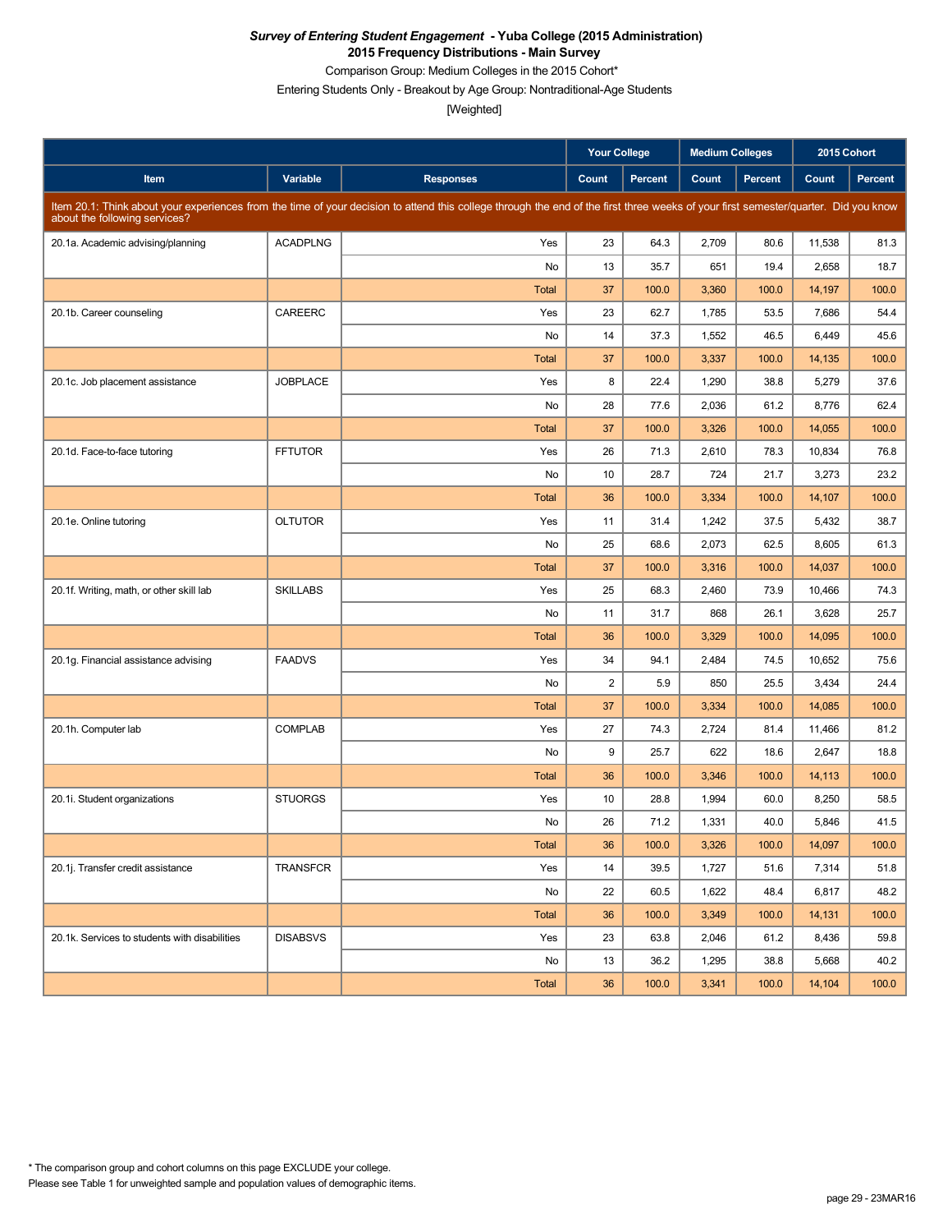Comparison Group: Medium Colleges in the 2015 Cohort\*

Entering Students Only - Breakout by Age Group: Nontraditional-Age Students

|                                               |                 |                                                                                                                                                                                     | <b>Your College</b> |                | <b>Medium Colleges</b> |                | 2015 Cohort |         |
|-----------------------------------------------|-----------------|-------------------------------------------------------------------------------------------------------------------------------------------------------------------------------------|---------------------|----------------|------------------------|----------------|-------------|---------|
| Item                                          | Variable        | <b>Responses</b>                                                                                                                                                                    | Count               | <b>Percent</b> | Count                  | <b>Percent</b> | Count       | Percent |
| about the following services?                 |                 | Item 20.1: Think about your experiences from the time of your decision to attend this college through the end of the first three weeks of your first semester/quarter. Did you know |                     |                |                        |                |             |         |
| 20.1a. Academic advising/planning             | <b>ACADPLNG</b> | Yes                                                                                                                                                                                 | 23                  | 64.3           | 2,709                  | 80.6           | 11,538      | 81.3    |
|                                               |                 | No                                                                                                                                                                                  | 13                  | 35.7           | 651                    | 19.4           | 2,658       | 18.7    |
|                                               |                 | Total                                                                                                                                                                               | 37                  | 100.0          | 3,360                  | 100.0          | 14,197      | 100.0   |
| 20.1b. Career counseling                      | CAREERC         | Yes                                                                                                                                                                                 | 23                  | 62.7           | 1,785                  | 53.5           | 7,686       | 54.4    |
|                                               |                 | No                                                                                                                                                                                  | 14                  | 37.3           | 1,552                  | 46.5           | 6,449       | 45.6    |
|                                               |                 | <b>Total</b>                                                                                                                                                                        | 37                  | 100.0          | 3,337                  | 100.0          | 14,135      | 100.0   |
| 20.1c. Job placement assistance               | <b>JOBPLACE</b> | Yes                                                                                                                                                                                 | 8                   | 22.4           | 1,290                  | 38.8           | 5,279       | 37.6    |
|                                               |                 | No                                                                                                                                                                                  | 28                  | 77.6           | 2,036                  | 61.2           | 8,776       | 62.4    |
|                                               |                 | Total                                                                                                                                                                               | 37                  | 100.0          | 3,326                  | 100.0          | 14,055      | 100.0   |
| 20.1d. Face-to-face tutoring                  | <b>FFTUTOR</b>  | Yes                                                                                                                                                                                 | 26                  | 71.3           | 2,610                  | 78.3           | 10,834      | 76.8    |
|                                               |                 | No                                                                                                                                                                                  | 10                  | 28.7           | 724                    | 21.7           | 3,273       | 23.2    |
|                                               |                 | <b>Total</b>                                                                                                                                                                        | 36                  | 100.0          | 3,334                  | 100.0          | 14,107      | 100.0   |
| 20.1e. Online tutoring                        | <b>OLTUTOR</b>  | Yes                                                                                                                                                                                 | 11                  | 31.4           | 1,242                  | 37.5           | 5,432       | 38.7    |
|                                               |                 | No                                                                                                                                                                                  | 25                  | 68.6           | 2,073                  | 62.5           | 8,605       | 61.3    |
|                                               |                 | Total                                                                                                                                                                               | 37                  | 100.0          | 3,316                  | 100.0          | 14,037      | 100.0   |
| 20.1f. Writing, math, or other skill lab      | <b>SKILLABS</b> | Yes                                                                                                                                                                                 | 25                  | 68.3           | 2,460                  | 73.9           | 10,466      | 74.3    |
|                                               |                 | No                                                                                                                                                                                  | 11                  | 31.7           | 868                    | 26.1           | 3,628       | 25.7    |
|                                               |                 | <b>Total</b>                                                                                                                                                                        | 36                  | 100.0          | 3,329                  | 100.0          | 14,095      | 100.0   |
| 20.1g. Financial assistance advising          | <b>FAADVS</b>   | Yes                                                                                                                                                                                 | 34                  | 94.1           | 2,484                  | 74.5           | 10,652      | 75.6    |
|                                               |                 | No                                                                                                                                                                                  | $\overline{c}$      | 5.9            | 850                    | 25.5           | 3,434       | 24.4    |
|                                               |                 | Total                                                                                                                                                                               | 37                  | 100.0          | 3,334                  | 100.0          | 14,085      | 100.0   |
| 20.1h. Computer lab                           | <b>COMPLAB</b>  | Yes                                                                                                                                                                                 | 27                  | 74.3           | 2,724                  | 81.4           | 11,466      | 81.2    |
|                                               |                 | No                                                                                                                                                                                  | 9                   | 25.7           | 622                    | 18.6           | 2,647       | 18.8    |
|                                               |                 | Total                                                                                                                                                                               | 36                  | 100.0          | 3,346                  | 100.0          | 14,113      | 100.0   |
| 20.1i. Student organizations                  | <b>STUORGS</b>  | Yes                                                                                                                                                                                 | 10                  | 28.8           | 1,994                  | 60.0           | 8,250       | 58.5    |
|                                               |                 | No                                                                                                                                                                                  | 26                  | 71.2           | 1,331                  | 40.0           | 5,846       | 41.5    |
|                                               |                 | Total                                                                                                                                                                               | 36                  | 100.0          | 3,326                  | 100.0          | 14,097      | 100.0   |
| 20.1j. Transfer credit assistance             | <b>TRANSFCR</b> | Yes                                                                                                                                                                                 | 14                  | 39.5           | 1,727                  | 51.6           | 7,314       | 51.8    |
|                                               |                 | No                                                                                                                                                                                  | 22                  | 60.5           | 1,622                  | 48.4           | 6,817       | 48.2    |
|                                               |                 | Total                                                                                                                                                                               | 36                  | 100.0          | 3,349                  | 100.0          | 14,131      | 100.0   |
| 20.1k. Services to students with disabilities | <b>DISABSVS</b> | Yes                                                                                                                                                                                 | 23                  | 63.8           | 2,046                  | 61.2           | 8,436       | 59.8    |
|                                               |                 | No                                                                                                                                                                                  | 13                  | 36.2           | 1,295                  | 38.8           | 5,668       | 40.2    |
|                                               |                 | Total                                                                                                                                                                               | 36                  | 100.0          | 3,341                  | 100.0          | 14,104      | 100.0   |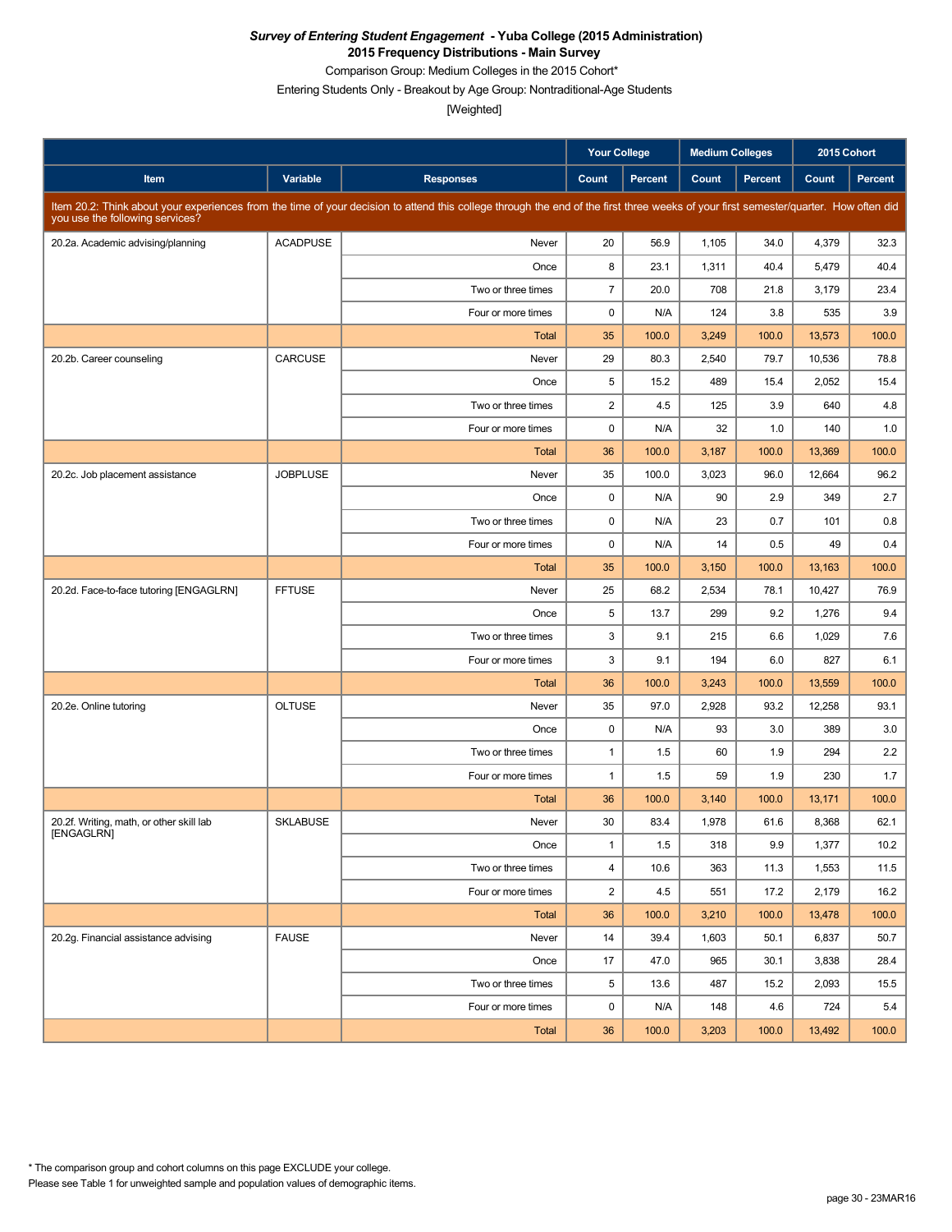Comparison Group: Medium Colleges in the 2015 Cohort\*

Entering Students Only - Breakout by Age Group: Nontraditional-Age Students

|                                          |                 |                                                                                                                                                                                      | <b>Your College</b>     |                | <b>Medium Colleges</b> |                | 2015 Cohort |                |
|------------------------------------------|-----------------|--------------------------------------------------------------------------------------------------------------------------------------------------------------------------------------|-------------------------|----------------|------------------------|----------------|-------------|----------------|
| Item                                     | Variable        | <b>Responses</b>                                                                                                                                                                     | Count                   | <b>Percent</b> | Count                  | <b>Percent</b> | Count       | <b>Percent</b> |
| you use the following services?          |                 | Item 20.2: Think about your experiences from the time of your decision to attend this college through the end of the first three weeks of your first semester/quarter. How often did |                         |                |                        |                |             |                |
| 20.2a. Academic advising/planning        | <b>ACADPUSE</b> | Never                                                                                                                                                                                | 20                      | 56.9           | 1,105                  | 34.0           | 4,379       | 32.3           |
|                                          |                 | Once                                                                                                                                                                                 | 8                       | 23.1           | 1,311                  | 40.4           | 5,479       | 40.4           |
|                                          |                 | Two or three times                                                                                                                                                                   | $\overline{7}$          | 20.0           | 708                    | 21.8           | 3,179       | 23.4           |
|                                          |                 | Four or more times                                                                                                                                                                   | 0                       | N/A            | 124                    | 3.8            | 535         | 3.9            |
|                                          |                 | <b>Total</b>                                                                                                                                                                         | 35                      | 100.0          | 3,249                  | 100.0          | 13,573      | 100.0          |
| 20.2b. Career counseling                 | CARCUSE         | Never                                                                                                                                                                                | 29                      | 80.3           | 2,540                  | 79.7           | 10,536      | 78.8           |
|                                          |                 | Once                                                                                                                                                                                 | 5                       | 15.2           | 489                    | 15.4           | 2,052       | 15.4           |
|                                          |                 | Two or three times                                                                                                                                                                   | $\overline{\mathbf{c}}$ | 4.5            | 125                    | 3.9            | 640         | 4.8            |
|                                          |                 | Four or more times                                                                                                                                                                   | $\pmb{0}$               | N/A            | 32                     | 1.0            | 140         | 1.0            |
|                                          |                 | Total                                                                                                                                                                                | 36                      | 100.0          | 3,187                  | 100.0          | 13,369      | 100.0          |
| 20.2c. Job placement assistance          | <b>JOBPLUSE</b> | Never                                                                                                                                                                                | 35                      | 100.0          | 3,023                  | 96.0           | 12,664      | 96.2           |
|                                          |                 | Once                                                                                                                                                                                 | $\mathbf 0$             | N/A            | 90                     | 2.9            | 349         | 2.7            |
|                                          |                 | Two or three times                                                                                                                                                                   | 0                       | N/A            | 23                     | 0.7            | 101         | 0.8            |
|                                          |                 | Four or more times                                                                                                                                                                   | $\mathbf 0$             | N/A            | 14                     | 0.5            | 49          | 0.4            |
|                                          |                 | <b>Total</b>                                                                                                                                                                         | 35                      | 100.0          | 3,150                  | 100.0          | 13,163      | 100.0          |
| 20.2d. Face-to-face tutoring [ENGAGLRN]  | <b>FFTUSE</b>   | Never                                                                                                                                                                                | 25                      | 68.2           | 2,534                  | 78.1           | 10,427      | 76.9           |
|                                          |                 | Once                                                                                                                                                                                 | 5                       | 13.7           | 299                    | 9.2            | 1,276       | 9.4            |
|                                          |                 | Two or three times                                                                                                                                                                   | 3                       | 9.1            | 215                    | 6.6            | 1,029       | 7.6            |
|                                          |                 | Four or more times                                                                                                                                                                   | 3                       | 9.1            | 194                    | 6.0            | 827         | 6.1            |
|                                          |                 | <b>Total</b>                                                                                                                                                                         | 36                      | 100.0          | 3,243                  | 100.0          | 13,559      | 100.0          |
| 20.2e. Online tutoring                   | <b>OLTUSE</b>   | Never                                                                                                                                                                                | 35                      | 97.0           | 2,928                  | 93.2           | 12,258      | 93.1           |
|                                          |                 | Once                                                                                                                                                                                 | 0                       | N/A            | 93                     | 3.0            | 389         | 3.0            |
|                                          |                 | Two or three times                                                                                                                                                                   | $\mathbf{1}$            | 1.5            | 60                     | 1.9            | 294         | 2.2            |
|                                          |                 | Four or more times                                                                                                                                                                   | $\mathbf{1}$            | 1.5            | 59                     | 1.9            | 230         | 1.7            |
|                                          |                 | Total                                                                                                                                                                                | 36                      | 100.0          | 3,140                  | 100.0          | 13,171      | 100.0          |
| 20.2f. Writing, math, or other skill lab | <b>SKLABUSE</b> | Never                                                                                                                                                                                | 30                      | 83.4           | 1,978                  | 61.6           | 8,368       | 62.1           |
| [ENGAGLRN]                               |                 | Once                                                                                                                                                                                 | $\mathbf{1}$            | 1.5            | 318                    | 9.9            | 1,377       | 10.2           |
|                                          |                 | Two or three times                                                                                                                                                                   | $\overline{4}$          | 10.6           | 363                    | 11.3           | 1,553       | 11.5           |
|                                          |                 | Four or more times                                                                                                                                                                   | $\overline{c}$          | 4.5            | 551                    | 17.2           | 2,179       | 16.2           |
|                                          |                 | Total                                                                                                                                                                                | 36                      | 100.0          | 3,210                  | 100.0          | 13,478      | 100.0          |
| 20.2g. Financial assistance advising     | <b>FAUSE</b>    | Never                                                                                                                                                                                | 14                      | 39.4           | 1,603                  | 50.1           | 6,837       | 50.7           |
|                                          |                 | Once                                                                                                                                                                                 | 17                      | 47.0           | 965                    | 30.1           | 3,838       | 28.4           |
|                                          |                 | Two or three times                                                                                                                                                                   | 5                       | 13.6           | 487                    | 15.2           | 2,093       | 15.5           |
|                                          |                 | Four or more times                                                                                                                                                                   | 0                       | N/A            | 148                    | 4.6            | 724         | 5.4            |
|                                          |                 | Total                                                                                                                                                                                | 36                      | 100.0          | 3,203                  | 100.0          | 13,492      | 100.0          |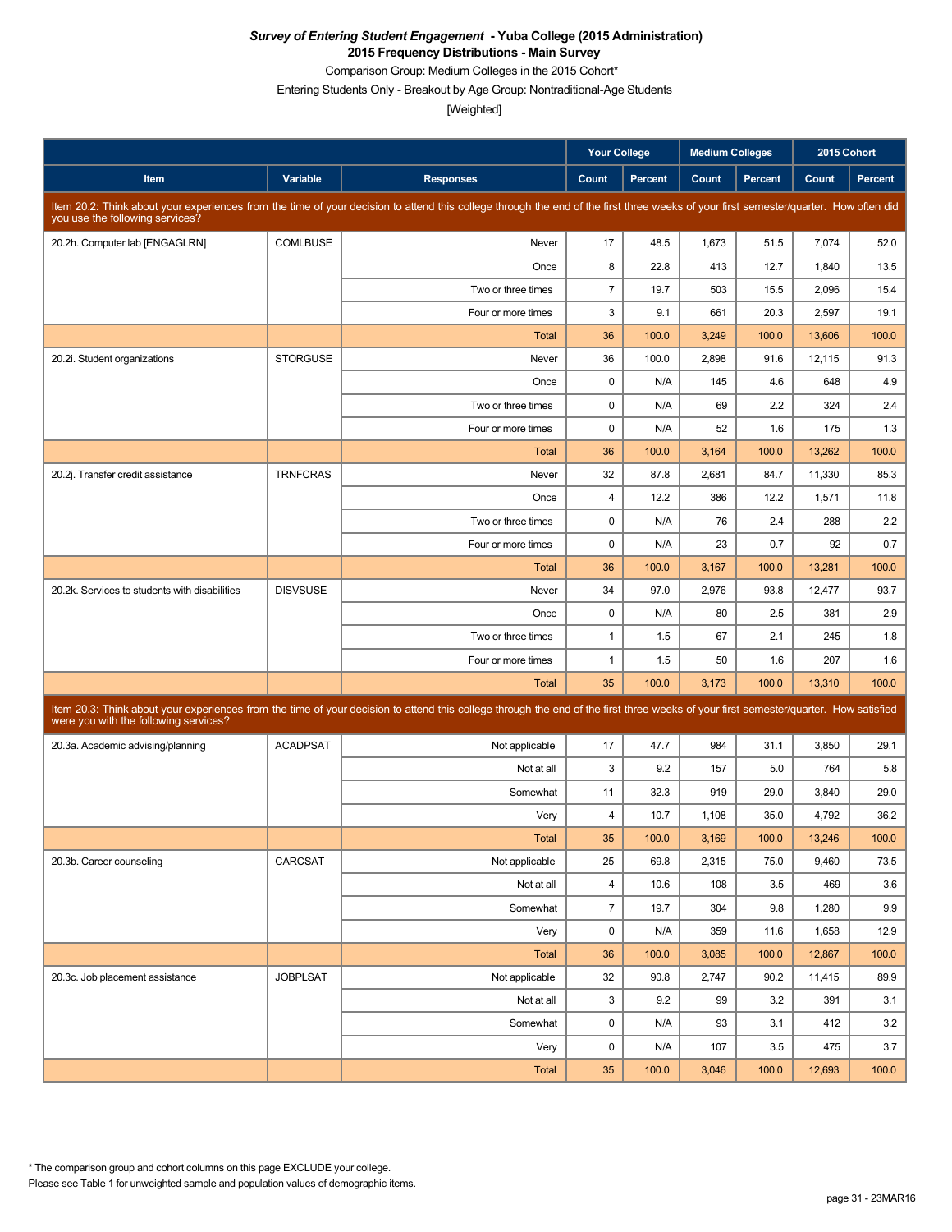Comparison Group: Medium Colleges in the 2015 Cohort\*

Entering Students Only - Breakout by Age Group: Nontraditional-Age Students

|                                               |                 |                                                                                                                                                                                      | <b>Your College</b>     |                | <b>Medium Colleges</b> |                | 2015 Cohort |                |
|-----------------------------------------------|-----------------|--------------------------------------------------------------------------------------------------------------------------------------------------------------------------------------|-------------------------|----------------|------------------------|----------------|-------------|----------------|
| Item                                          | Variable        | <b>Responses</b>                                                                                                                                                                     | Count                   | <b>Percent</b> | Count                  | <b>Percent</b> | Count       | <b>Percent</b> |
| you use the following services?               |                 | Item 20.2: Think about your experiences from the time of your decision to attend this college through the end of the first three weeks of your first semester/quarter. How often did |                         |                |                        |                |             |                |
| 20.2h. Computer lab [ENGAGLRN]                | <b>COMLBUSE</b> | Never                                                                                                                                                                                | 17                      | 48.5           | 1,673                  | 51.5           | 7,074       | 52.0           |
|                                               |                 | Once                                                                                                                                                                                 | 8                       | 22.8           | 413                    | 12.7           | 1,840       | 13.5           |
|                                               |                 | Two or three times                                                                                                                                                                   | $\overline{7}$          | 19.7           | 503                    | 15.5           | 2,096       | 15.4           |
|                                               |                 | Four or more times                                                                                                                                                                   | 3                       | 9.1            | 661                    | 20.3           | 2,597       | 19.1           |
|                                               |                 | <b>Total</b>                                                                                                                                                                         | 36                      | 100.0          | 3,249                  | 100.0          | 13,606      | 100.0          |
| 20.2i. Student organizations                  | <b>STORGUSE</b> | Never                                                                                                                                                                                | 36                      | 100.0          | 2,898                  | 91.6           | 12,115      | 91.3           |
|                                               |                 | Once                                                                                                                                                                                 | $\mathbf 0$             | N/A            | 145                    | 4.6            | 648         | 4.9            |
|                                               |                 | Two or three times                                                                                                                                                                   | $\mathbf 0$             | N/A            | 69                     | 2.2            | 324         | 2.4            |
|                                               |                 | Four or more times                                                                                                                                                                   | $\pmb{0}$               | N/A            | 52                     | 1.6            | 175         | 1.3            |
|                                               |                 | <b>Total</b>                                                                                                                                                                         | 36                      | 100.0          | 3,164                  | 100.0          | 13,262      | 100.0          |
| 20.2j. Transfer credit assistance             | <b>TRNFCRAS</b> | Never                                                                                                                                                                                | 32                      | 87.8           | 2,681                  | 84.7           | 11,330      | 85.3           |
|                                               |                 | Once                                                                                                                                                                                 | $\overline{4}$          | 12.2           | 386                    | 12.2           | 1,571       | 11.8           |
|                                               |                 | Two or three times                                                                                                                                                                   | $\pmb{0}$               | N/A            | 76                     | 2.4            | 288         | 2.2            |
|                                               |                 | Four or more times                                                                                                                                                                   | $\mathbf 0$             | N/A            | 23                     | 0.7            | 92          | 0.7            |
|                                               |                 | <b>Total</b>                                                                                                                                                                         | 36                      | 100.0          | 3,167                  | 100.0          | 13,281      | 100.0          |
| 20.2k. Services to students with disabilities | <b>DISVSUSE</b> | Never                                                                                                                                                                                | 34                      | 97.0           | 2,976                  | 93.8           | 12,477      | 93.7           |
|                                               |                 | Once                                                                                                                                                                                 | $\mathbf 0$             | N/A            | 80                     | 2.5            | 381         | 2.9            |
|                                               |                 | Two or three times                                                                                                                                                                   | $\mathbf{1}$            | 1.5            | 67                     | 2.1            | 245         | 1.8            |
|                                               |                 | Four or more times                                                                                                                                                                   | $\mathbf{1}$            | 1.5            | 50                     | 1.6            | 207         | 1.6            |
|                                               |                 | <b>Total</b>                                                                                                                                                                         | 35                      | 100.0          | 3,173                  | 100.0          | 13,310      | 100.0          |
| were you with the following services?         |                 | Item 20.3: Think about your experiences from the time of your decision to attend this college through the end of the first three weeks of your first semester/quarter. How satisfied |                         |                |                        |                |             |                |
| 20.3a. Academic advising/planning             | <b>ACADPSAT</b> | Not applicable                                                                                                                                                                       | 17                      | 47.7           | 984                    | 31.1           | 3,850       | 29.1           |
|                                               |                 | Not at all                                                                                                                                                                           | 3                       | 9.2            | 157                    | 5.0            | 764         | 5.8            |
|                                               |                 | Somewhat                                                                                                                                                                             | 11                      | 32.3           | 919                    | 29.0           | 3,840       | 29.0           |
|                                               |                 | Very                                                                                                                                                                                 | 4                       | 10.7           | 1,108                  | 35.0           | 4,792       | 36.2           |
|                                               |                 | Total                                                                                                                                                                                | 35                      | 100.0          | 3,169                  | 100.0          | 13,246      | 100.0          |
| 20.3b. Career counseling                      | CARCSAT         | Not applicable                                                                                                                                                                       | 25                      | 69.8           | 2,315                  | 75.0           | 9,460       | 73.5           |
|                                               |                 | Not at all                                                                                                                                                                           | $\overline{\mathbf{4}}$ | 10.6           | 108                    | 3.5            | 469         | 3.6            |
|                                               |                 | Somewhat                                                                                                                                                                             | $\overline{7}$          | 19.7           | 304                    | 9.8            | 1,280       | 9.9            |
|                                               |                 | Very                                                                                                                                                                                 | 0                       | N/A            | 359                    | 11.6           | 1,658       | 12.9           |
|                                               |                 | Total                                                                                                                                                                                | 36                      | 100.0          | 3,085                  | 100.0          | 12,867      | 100.0          |
| 20.3c. Job placement assistance               | <b>JOBPLSAT</b> | Not applicable                                                                                                                                                                       | 32                      | 90.8           | 2,747                  | 90.2           | 11,415      | 89.9           |
|                                               |                 | Not at all                                                                                                                                                                           | 3                       | 9.2            | 99                     | 3.2            | 391         | 3.1            |
|                                               |                 | Somewhat                                                                                                                                                                             | $\pmb{0}$               | N/A            | 93                     | 3.1            | 412         | 3.2            |
|                                               |                 | Very                                                                                                                                                                                 | 0                       | N/A            | 107                    | 3.5            | 475         | 3.7            |
|                                               |                 | Total                                                                                                                                                                                | 35                      | 100.0          | 3,046                  | 100.0          | 12,693      | 100.0          |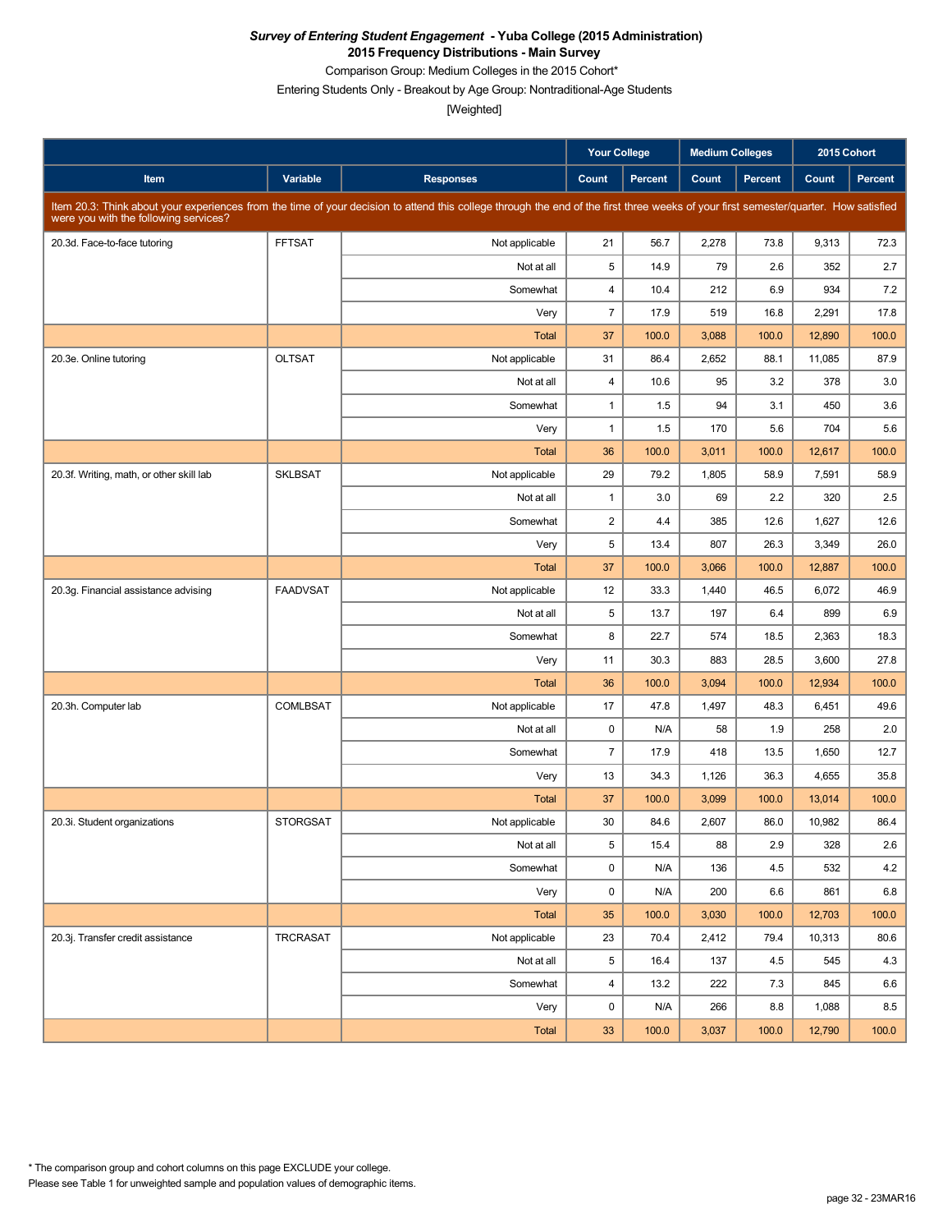Comparison Group: Medium Colleges in the 2015 Cohort\*

Entering Students Only - Breakout by Age Group: Nontraditional-Age Students

|                                          |                 |                                                                                                                                                                                      | <b>Your College</b>     |                | <b>Medium Colleges</b> |         | 2015 Cohort |                |
|------------------------------------------|-----------------|--------------------------------------------------------------------------------------------------------------------------------------------------------------------------------------|-------------------------|----------------|------------------------|---------|-------------|----------------|
| Item                                     | Variable        | <b>Responses</b>                                                                                                                                                                     | Count                   | <b>Percent</b> | Count                  | Percent | Count       | <b>Percent</b> |
| were you with the following services?    |                 | Item 20.3: Think about your experiences from the time of your decision to attend this college through the end of the first three weeks of your first semester/quarter. How satisfied |                         |                |                        |         |             |                |
| 20.3d. Face-to-face tutoring             | <b>FFTSAT</b>   | Not applicable                                                                                                                                                                       | 21                      | 56.7           | 2,278                  | 73.8    | 9,313       | 72.3           |
|                                          |                 | Not at all                                                                                                                                                                           | 5                       | 14.9           | 79                     | 2.6     | 352         | 2.7            |
|                                          |                 | Somewhat                                                                                                                                                                             | $\overline{4}$          | 10.4           | 212                    | 6.9     | 934         | 7.2            |
|                                          |                 | Very                                                                                                                                                                                 | $\overline{7}$          | 17.9           | 519                    | 16.8    | 2,291       | 17.8           |
|                                          |                 | <b>Total</b>                                                                                                                                                                         | 37                      | 100.0          | 3,088                  | 100.0   | 12,890      | 100.0          |
| 20.3e. Online tutoring                   | <b>OLTSAT</b>   | Not applicable                                                                                                                                                                       | 31                      | 86.4           | 2,652                  | 88.1    | 11,085      | 87.9           |
|                                          |                 | Not at all                                                                                                                                                                           | $\overline{4}$          | 10.6           | 95                     | 3.2     | 378         | 3.0            |
|                                          |                 | Somewhat                                                                                                                                                                             | $\mathbf{1}$            | 1.5            | 94                     | 3.1     | 450         | 3.6            |
|                                          |                 | Very                                                                                                                                                                                 | $\mathbf{1}$            | 1.5            | 170                    | 5.6     | 704         | 5.6            |
|                                          |                 | <b>Total</b>                                                                                                                                                                         | 36                      | 100.0          | 3,011                  | 100.0   | 12,617      | 100.0          |
| 20.3f. Writing, math, or other skill lab | <b>SKLBSAT</b>  | Not applicable                                                                                                                                                                       | 29                      | 79.2           | 1,805                  | 58.9    | 7,591       | 58.9           |
|                                          |                 | Not at all                                                                                                                                                                           | $\mathbf{1}$            | 3.0            | 69                     | 2.2     | 320         | 2.5            |
|                                          |                 | Somewhat                                                                                                                                                                             | $\overline{\mathbf{c}}$ | 4.4            | 385                    | 12.6    | 1,627       | 12.6           |
|                                          |                 | Very                                                                                                                                                                                 | 5                       | 13.4           | 807                    | 26.3    | 3,349       | 26.0           |
|                                          |                 | Total                                                                                                                                                                                | 37                      | 100.0          | 3,066                  | 100.0   | 12,887      | 100.0          |
| 20.3g. Financial assistance advising     | <b>FAADVSAT</b> | Not applicable                                                                                                                                                                       | 12                      | 33.3           | 1,440                  | 46.5    | 6,072       | 46.9           |
|                                          |                 | Not at all                                                                                                                                                                           | 5                       | 13.7           | 197                    | 6.4     | 899         | 6.9            |
|                                          |                 | Somewhat                                                                                                                                                                             | 8                       | 22.7           | 574                    | 18.5    | 2,363       | 18.3           |
|                                          |                 | Very                                                                                                                                                                                 | 11                      | 30.3           | 883                    | 28.5    | 3,600       | 27.8           |
|                                          |                 | <b>Total</b>                                                                                                                                                                         | 36                      | 100.0          | 3,094                  | 100.0   | 12,934      | 100.0          |
| 20.3h. Computer lab                      | <b>COMLBSAT</b> | Not applicable                                                                                                                                                                       | 17                      | 47.8           | 1,497                  | 48.3    | 6,451       | 49.6           |
|                                          |                 | Not at all                                                                                                                                                                           | 0                       | N/A            | 58                     | 1.9     | 258         | 2.0            |
|                                          |                 | Somewhat                                                                                                                                                                             | $\overline{7}$          | 17.9           | 418                    | 13.5    | 1,650       | 12.7           |
|                                          |                 | Very                                                                                                                                                                                 | 13                      | 34.3           | 1,126                  | 36.3    | 4,655       | 35.8           |
|                                          |                 | Total                                                                                                                                                                                | 37                      | 100.0          | 3,099                  | 100.0   | 13,014      | 100.0          |
| 20.3i. Student organizations             | <b>STORGSAT</b> | Not applicable                                                                                                                                                                       | 30                      | 84.6           | 2,607                  | 86.0    | 10,982      | 86.4           |
|                                          |                 | Not at all                                                                                                                                                                           | 5                       | 15.4           | 88                     | 2.9     | 328         | 2.6            |
|                                          |                 | Somewhat                                                                                                                                                                             | 0                       | N/A            | 136                    | 4.5     | 532         | 4.2            |
|                                          |                 | Very                                                                                                                                                                                 | 0                       | N/A            | 200                    | 6.6     | 861         | 6.8            |
|                                          |                 | Total                                                                                                                                                                                | 35                      | 100.0          | 3,030                  | 100.0   | 12,703      | 100.0          |
| 20.3j. Transfer credit assistance        | <b>TRCRASAT</b> | Not applicable                                                                                                                                                                       | 23                      | 70.4           | 2,412                  | 79.4    | 10,313      | 80.6           |
|                                          |                 | Not at all                                                                                                                                                                           | 5                       | 16.4           | 137                    | 4.5     | 545         | 4.3            |
|                                          |                 | Somewhat                                                                                                                                                                             | 4                       | 13.2           | 222                    | 7.3     | 845         | 6.6            |
|                                          |                 | Very                                                                                                                                                                                 | 0                       | N/A            | 266                    | 8.8     | 1,088       | 8.5            |
|                                          |                 | Total                                                                                                                                                                                | 33                      | 100.0          | 3,037                  | 100.0   | 12,790      | 100.0          |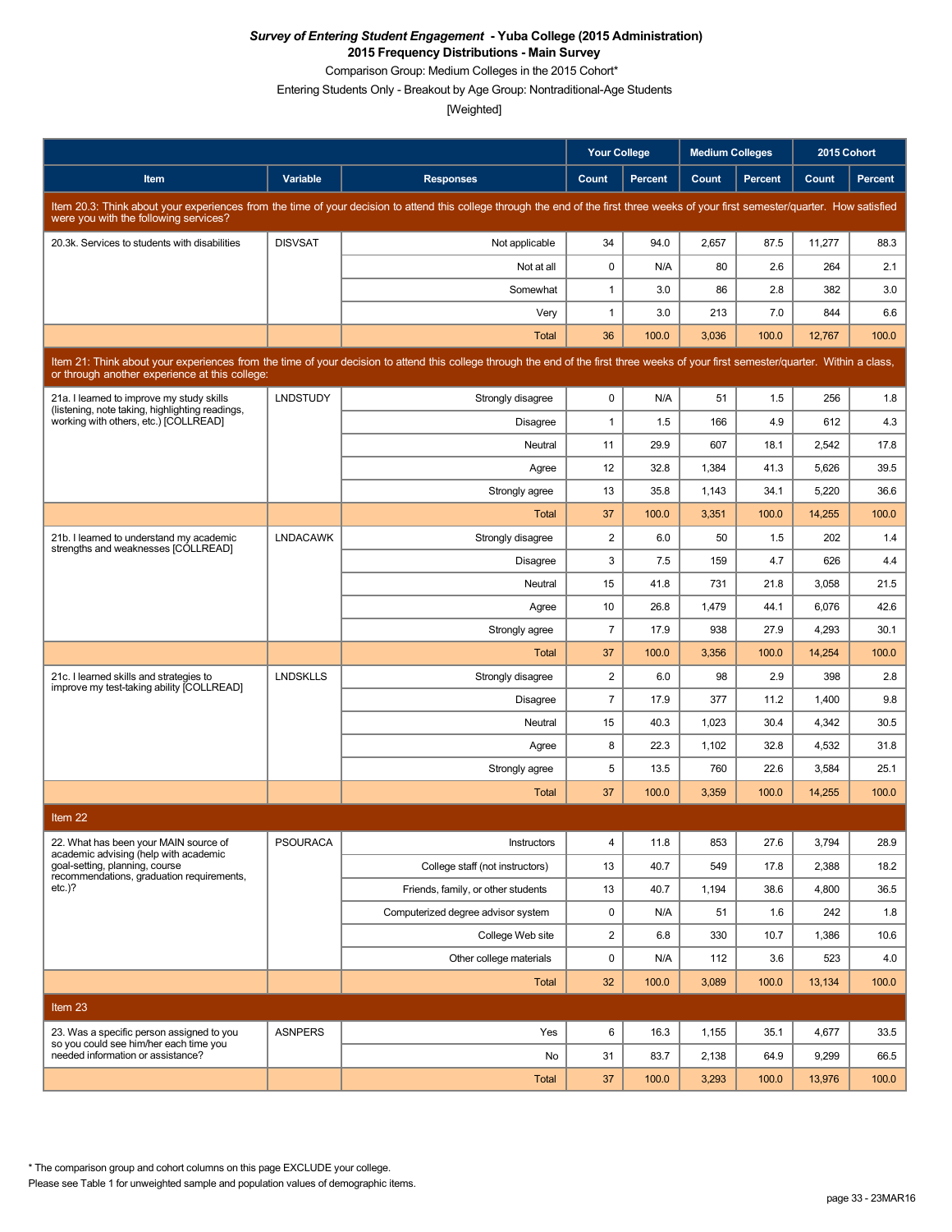Comparison Group: Medium Colleges in the 2015 Cohort\*

Entering Students Only - Breakout by Age Group: Nontraditional-Age Students

[Weighted]

|                                                                                                                                                                                                                                        |                 |                                                                                                                                                                                      | <b>Your College</b>     |                | <b>Medium Colleges</b> |         | 2015 Cohort |         |  |
|----------------------------------------------------------------------------------------------------------------------------------------------------------------------------------------------------------------------------------------|-----------------|--------------------------------------------------------------------------------------------------------------------------------------------------------------------------------------|-------------------------|----------------|------------------------|---------|-------------|---------|--|
| Item                                                                                                                                                                                                                                   | Variable        | <b>Responses</b>                                                                                                                                                                     | Count                   | <b>Percent</b> | Count                  | Percent | Count       | Percent |  |
| were you with the following services?                                                                                                                                                                                                  |                 | Item 20.3: Think about your experiences from the time of your decision to attend this college through the end of the first three weeks of your first semester/quarter. How satisfied |                         |                |                        |         |             |         |  |
| 20.3k. Services to students with disabilities                                                                                                                                                                                          | <b>DISVSAT</b>  | Not applicable                                                                                                                                                                       | 34                      | 94.0           | 2,657                  | 87.5    | 11,277      | 88.3    |  |
|                                                                                                                                                                                                                                        |                 | Not at all                                                                                                                                                                           | 0                       | N/A            | 80                     | 2.6     | 264         | 2.1     |  |
|                                                                                                                                                                                                                                        |                 | Somewhat                                                                                                                                                                             | $\mathbf{1}$            | 3.0            | 86                     | 2.8     | 382         | 3.0     |  |
|                                                                                                                                                                                                                                        |                 | Very                                                                                                                                                                                 | $\mathbf{1}$            | 3.0            | 213                    | 7.0     | 844         | 6.6     |  |
|                                                                                                                                                                                                                                        |                 | <b>Total</b>                                                                                                                                                                         | 36                      | 100.0          | 3,036                  | 100.0   | 12,767      | 100.0   |  |
| Item 21: Think about your experiences from the time of your decision to attend this college through the end of the first three weeks of your first semester/quarter. Within a class,<br>or through another experience at this college: |                 |                                                                                                                                                                                      |                         |                |                        |         |             |         |  |
| 21a. I learned to improve my study skills<br>(listening, note taking, highlighting readings,                                                                                                                                           | <b>LNDSTUDY</b> | Strongly disagree                                                                                                                                                                    | 0                       | N/A            | 51                     | 1.5     | 256         | 1.8     |  |
| working with others, etc.) [COLLREAD]                                                                                                                                                                                                  |                 | <b>Disagree</b>                                                                                                                                                                      | $\mathbf{1}$            | 1.5            | 166                    | 4.9     | 612         | 4.3     |  |
|                                                                                                                                                                                                                                        |                 | Neutral                                                                                                                                                                              | 11                      | 29.9           | 607                    | 18.1    | 2,542       | 17.8    |  |
|                                                                                                                                                                                                                                        |                 | Agree                                                                                                                                                                                | 12                      | 32.8           | 1,384                  | 41.3    | 5,626       | 39.5    |  |
|                                                                                                                                                                                                                                        |                 | Strongly agree                                                                                                                                                                       | 13                      | 35.8           | 1,143                  | 34.1    | 5,220       | 36.6    |  |
|                                                                                                                                                                                                                                        |                 | Total                                                                                                                                                                                | 37                      | 100.0          | 3,351                  | 100.0   | 14,255      | 100.0   |  |
| 21b. I learned to understand my academic<br>strengths and weaknesses [COLLREAD]                                                                                                                                                        | <b>LNDACAWK</b> | Strongly disagree                                                                                                                                                                    | $\overline{2}$          | 6.0            | 50                     | 1.5     | 202         | 1.4     |  |
|                                                                                                                                                                                                                                        |                 | <b>Disagree</b>                                                                                                                                                                      | 3                       | 7.5            | 159                    | 4.7     | 626         | 4.4     |  |
|                                                                                                                                                                                                                                        |                 | Neutral                                                                                                                                                                              | 15                      | 41.8           | 731                    | 21.8    | 3,058       | 21.5    |  |
|                                                                                                                                                                                                                                        |                 | Agree                                                                                                                                                                                | 10                      | 26.8           | 1,479                  | 44.1    | 6,076       | 42.6    |  |
|                                                                                                                                                                                                                                        |                 | Strongly agree                                                                                                                                                                       | $\overline{7}$          | 17.9           | 938                    | 27.9    | 4,293       | 30.1    |  |
|                                                                                                                                                                                                                                        |                 | Total                                                                                                                                                                                | 37                      | 100.0          | 3,356                  | 100.0   | 14,254      | 100.0   |  |
| 21c. I learned skills and strategies to<br>improve my test-taking ability [COLLREAD]                                                                                                                                                   | <b>LNDSKLLS</b> | Strongly disagree                                                                                                                                                                    | $\overline{c}$          | 6.0            | 98                     | 2.9     | 398         | 2.8     |  |
|                                                                                                                                                                                                                                        |                 | <b>Disagree</b>                                                                                                                                                                      | $\overline{7}$          | 17.9           | 377                    | 11.2    | 1,400       | 9.8     |  |
|                                                                                                                                                                                                                                        |                 | Neutral                                                                                                                                                                              | 15                      | 40.3           | 1,023                  | 30.4    | 4,342       | 30.5    |  |
|                                                                                                                                                                                                                                        |                 | Agree                                                                                                                                                                                | 8                       | 22.3           | 1,102                  | 32.8    | 4,532       | 31.8    |  |
|                                                                                                                                                                                                                                        |                 | Strongly agree                                                                                                                                                                       | 5                       | 13.5           | 760                    | 22.6    | 3,584       | 25.1    |  |
|                                                                                                                                                                                                                                        |                 | <b>Total</b>                                                                                                                                                                         | 37                      | 100.0          | 3,359                  | 100.0   | 14,255      | 100.0   |  |
| Item 22                                                                                                                                                                                                                                |                 |                                                                                                                                                                                      |                         |                |                        |         |             |         |  |
| 22. What has been your MAIN source of<br>academic advising (help with academic                                                                                                                                                         | <b>PSOURACA</b> | Instructors                                                                                                                                                                          | $\overline{\mathbf{4}}$ | 11.8           | 853                    | 27.6    | 3,794       | 28.9    |  |
| goal-setting, planning, course<br>recommendations, graduation requirements,                                                                                                                                                            |                 | College staff (not instructors)                                                                                                                                                      | 13                      | 40.7           | 549                    | 17.8    | 2,388       | 18.2    |  |
| $etc.$ )?                                                                                                                                                                                                                              |                 | Friends, family, or other students                                                                                                                                                   | 13                      | 40.7           | 1,194                  | 38.6    | 4,800       | 36.5    |  |
|                                                                                                                                                                                                                                        |                 | Computerized degree advisor system                                                                                                                                                   | 0                       | N/A            | 51                     | 1.6     | 242         | 1.8     |  |
|                                                                                                                                                                                                                                        |                 | College Web site                                                                                                                                                                     | $\overline{c}$          | 6.8            | 330                    | 10.7    | 1,386       | 10.6    |  |
|                                                                                                                                                                                                                                        |                 | Other college materials                                                                                                                                                              | 0                       | N/A            | 112                    | 3.6     | 523         | 4.0     |  |
|                                                                                                                                                                                                                                        |                 | Total                                                                                                                                                                                | 32                      | 100.0          | 3,089                  | 100.0   | 13,134      | 100.0   |  |
| Item 23                                                                                                                                                                                                                                |                 |                                                                                                                                                                                      |                         |                |                        |         |             |         |  |
| 23. Was a specific person assigned to you                                                                                                                                                                                              | <b>ASNPERS</b>  | Yes                                                                                                                                                                                  | 6                       | 16.3           | 1,155                  | 35.1    | 4,677       | 33.5    |  |
| so you could see him/her each time you<br>needed information or assistance?                                                                                                                                                            |                 | No                                                                                                                                                                                   | 31                      | 83.7           | 2,138                  | 64.9    | 9,299       | 66.5    |  |
|                                                                                                                                                                                                                                        |                 | Total                                                                                                                                                                                | 37                      | 100.0          | 3,293                  | 100.0   | 13,976      | 100.0   |  |

\* The comparison group and cohort columns on this page EXCLUDE your college.

Please see Table 1 for unweighted sample and population values of demographic items.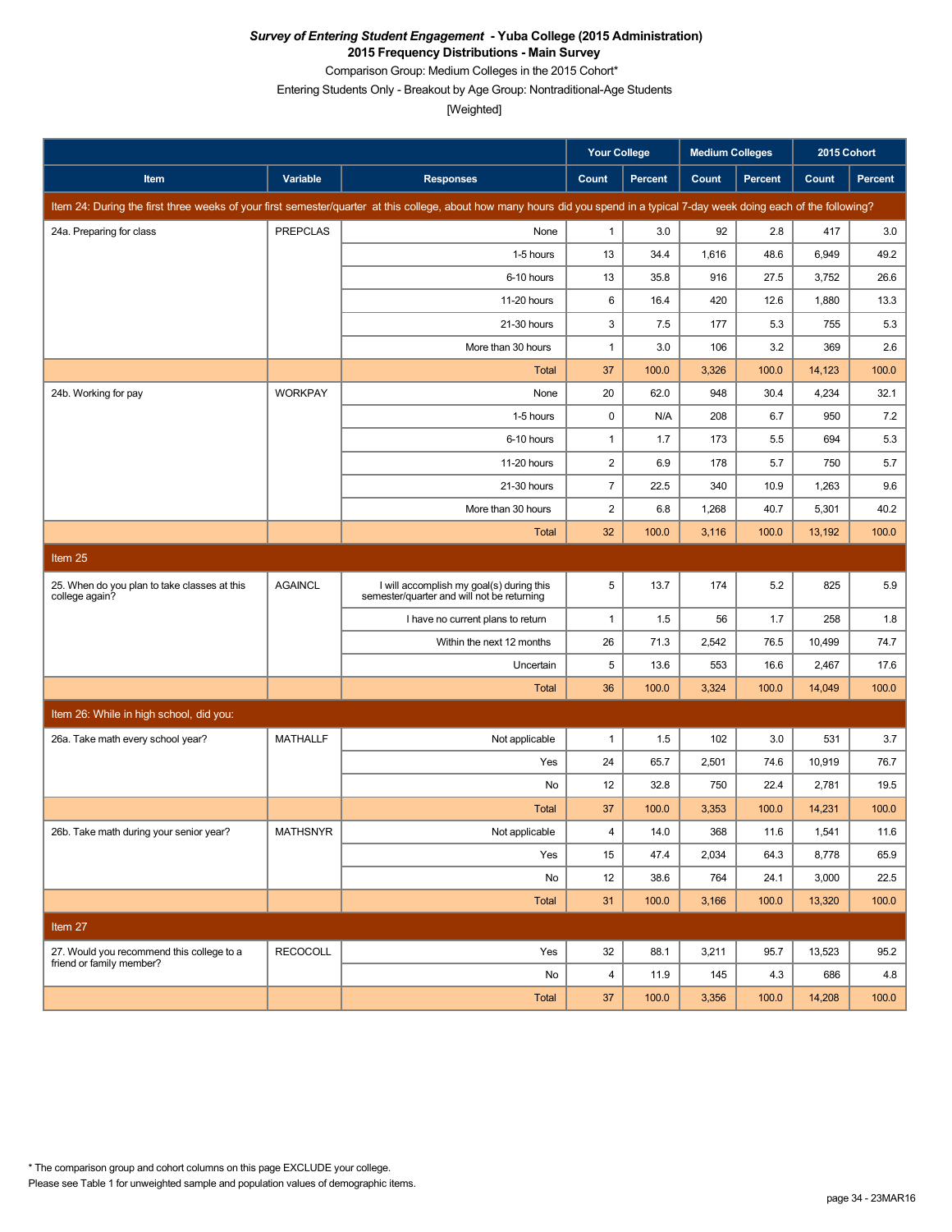Comparison Group: Medium Colleges in the 2015 Cohort\*

Entering Students Only - Breakout by Age Group: Nontraditional-Age Students

|                                                                |                 |                                                                                                                                                                               | <b>Your College</b> |                | <b>Medium Colleges</b> |         | 2015 Cohort |         |
|----------------------------------------------------------------|-----------------|-------------------------------------------------------------------------------------------------------------------------------------------------------------------------------|---------------------|----------------|------------------------|---------|-------------|---------|
| Item                                                           | Variable        | <b>Responses</b>                                                                                                                                                              | Count               | <b>Percent</b> | Count                  | Percent | Count       | Percent |
|                                                                |                 | Item 24: During the first three weeks of your first semester/quarter at this college, about how many hours did you spend in a typical 7-day week doing each of the following? |                     |                |                        |         |             |         |
| 24a. Preparing for class                                       | <b>PREPCLAS</b> | None                                                                                                                                                                          | 1                   | 3.0            | 92                     | 2.8     | 417         | 3.0     |
|                                                                |                 | 1-5 hours                                                                                                                                                                     | 13                  | 34.4           | 1,616                  | 48.6    | 6,949       | 49.2    |
|                                                                |                 | 6-10 hours                                                                                                                                                                    | 13                  | 35.8           | 916                    | 27.5    | 3,752       | 26.6    |
|                                                                |                 | 11-20 hours                                                                                                                                                                   | 6                   | 16.4           | 420                    | 12.6    | 1,880       | 13.3    |
|                                                                |                 | 21-30 hours                                                                                                                                                                   | 3                   | 7.5            | 177                    | 5.3     | 755         | 5.3     |
|                                                                |                 | More than 30 hours                                                                                                                                                            | $\mathbf{1}$        | 3.0            | 106                    | 3.2     | 369         | 2.6     |
|                                                                |                 | <b>Total</b>                                                                                                                                                                  | 37                  | 100.0          | 3,326                  | 100.0   | 14,123      | 100.0   |
| 24b. Working for pay                                           | <b>WORKPAY</b>  | None                                                                                                                                                                          | 20                  | 62.0           | 948                    | 30.4    | 4,234       | 32.1    |
|                                                                |                 | 1-5 hours                                                                                                                                                                     | 0                   | N/A            | 208                    | 6.7     | 950         | 7.2     |
|                                                                |                 | 6-10 hours                                                                                                                                                                    | 1                   | 1.7            | 173                    | 5.5     | 694         | 5.3     |
|                                                                |                 | 11-20 hours                                                                                                                                                                   | $\overline{c}$      | 6.9            | 178                    | 5.7     | 750         | 5.7     |
|                                                                |                 | 21-30 hours                                                                                                                                                                   | $\overline{7}$      | 22.5           | 340                    | 10.9    | 1,263       | 9.6     |
|                                                                |                 | More than 30 hours                                                                                                                                                            | $\overline{c}$      | 6.8            | 1,268                  | 40.7    | 5,301       | 40.2    |
|                                                                |                 | <b>Total</b>                                                                                                                                                                  | 32                  | 100.0          | 3,116                  | 100.0   | 13,192      | 100.0   |
| Item 25                                                        |                 |                                                                                                                                                                               |                     |                |                        |         |             |         |
| 25. When do you plan to take classes at this<br>college again? | <b>AGAINCL</b>  | I will accomplish my goal(s) during this<br>semester/quarter and will not be returning                                                                                        | 5                   | 13.7           | 174                    | 5.2     | 825         | 5.9     |
|                                                                |                 | I have no current plans to return                                                                                                                                             | 1                   | 1.5            | 56                     | 1.7     | 258         | 1.8     |
|                                                                |                 | Within the next 12 months                                                                                                                                                     | 26                  | 71.3           | 2,542                  | 76.5    | 10,499      | 74.7    |
|                                                                |                 | Uncertain                                                                                                                                                                     | 5                   | 13.6           | 553                    | 16.6    | 2,467       | 17.6    |
|                                                                |                 | <b>Total</b>                                                                                                                                                                  | 36                  | 100.0          | 3,324                  | 100.0   | 14,049      | 100.0   |
| Item 26: While in high school, did you:                        |                 |                                                                                                                                                                               |                     |                |                        |         |             |         |
| 26a. Take math every school year?                              | <b>MATHALLF</b> | Not applicable                                                                                                                                                                | $\mathbf{1}$        | 1.5            | 102                    | 3.0     | 531         | 3.7     |
|                                                                |                 | Yes                                                                                                                                                                           | 24                  | 65.7           | 2,501                  | 74.6    | 10,919      | 76.7    |
|                                                                |                 | No                                                                                                                                                                            | 12                  | 32.8           | 750                    | 22.4    | 2,781       | 19.5    |
|                                                                |                 | <b>Total</b>                                                                                                                                                                  | 37                  | 100.0          | 3,353                  | 100.0   | 14,231      | 100.0   |
| 26b. Take math during your senior year?                        | <b>MATHSNYR</b> | Not applicable                                                                                                                                                                | $\overline{4}$      | 14.0           | 368                    | 11.6    | 1,541       | 11.6    |
|                                                                |                 | Yes                                                                                                                                                                           | 15                  | 47.4           | 2,034                  | 64.3    | 8,778       | 65.9    |
|                                                                |                 | No                                                                                                                                                                            | 12                  | 38.6           | 764                    | 24.1    | 3,000       | 22.5    |
|                                                                |                 | <b>Total</b>                                                                                                                                                                  | 31                  | 100.0          | 3,166                  | 100.0   | 13,320      | 100.0   |
| Item 27                                                        |                 |                                                                                                                                                                               |                     |                |                        |         |             |         |
| 27. Would you recommend this college to a                      | <b>RECOCOLL</b> | Yes                                                                                                                                                                           | 32                  | 88.1           | 3,211                  | 95.7    | 13,523      | 95.2    |
| friend or family member?                                       |                 | No                                                                                                                                                                            | $\overline{4}$      | 11.9           | 145                    | 4.3     | 686         | 4.8     |
|                                                                |                 | Total                                                                                                                                                                         | 37                  | 100.0          | 3,356                  | 100.0   | 14,208      | 100.0   |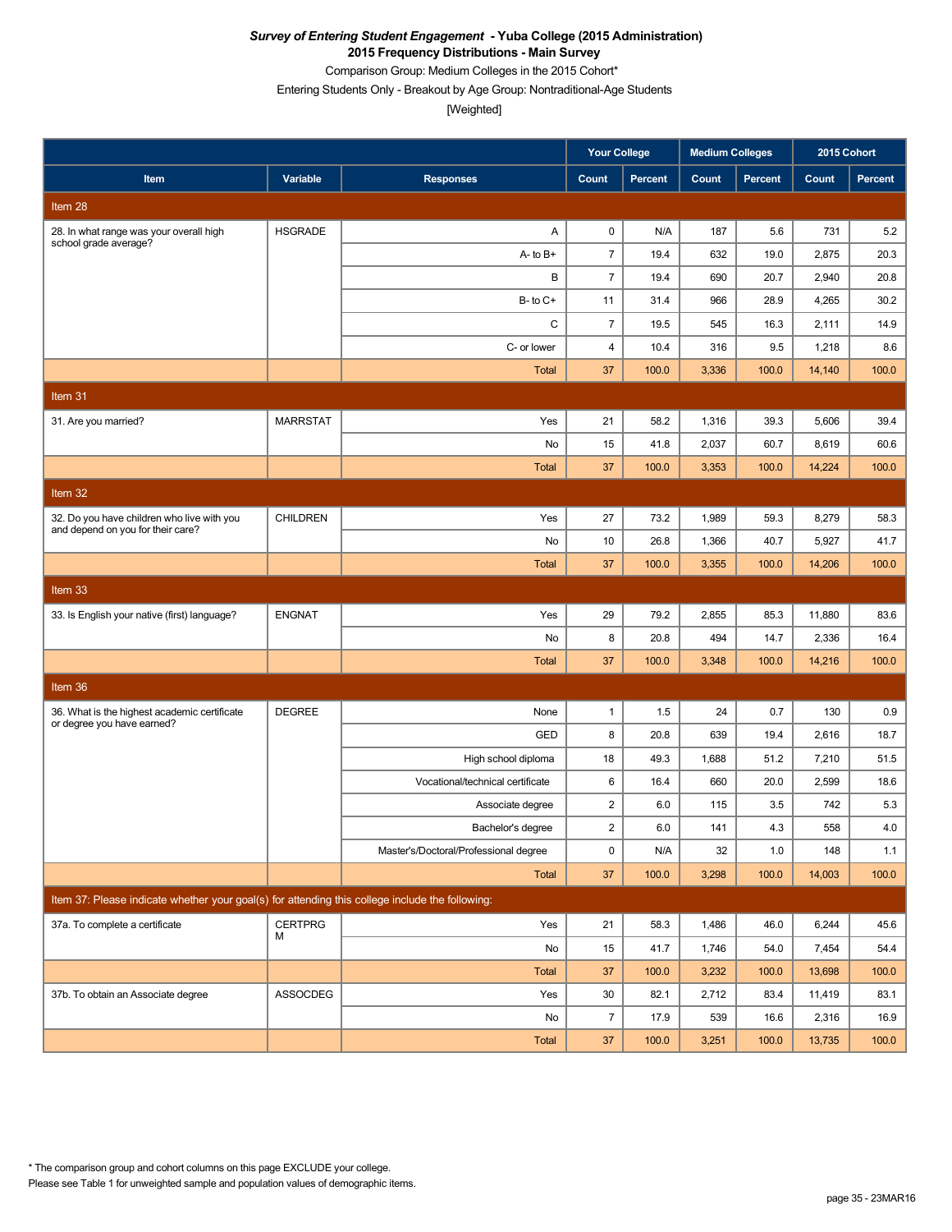Comparison Group: Medium Colleges in the 2015 Cohort\*

Entering Students Only - Breakout by Age Group: Nontraditional-Age Students

|                                                                                                 |                 |                                       | <b>Your College</b> |                | <b>Medium Colleges</b> |                | 2015 Cohort |                |
|-------------------------------------------------------------------------------------------------|-----------------|---------------------------------------|---------------------|----------------|------------------------|----------------|-------------|----------------|
| Item                                                                                            | Variable        | <b>Responses</b>                      | Count               | <b>Percent</b> | Count                  | <b>Percent</b> | Count       | <b>Percent</b> |
| Item 28                                                                                         |                 |                                       |                     |                |                        |                |             |                |
| 28. In what range was your overall high<br>school grade average?                                | <b>HSGRADE</b>  | Α                                     | 0                   | N/A            | 187                    | 5.6            | 731         | 5.2            |
|                                                                                                 |                 | $A - to B +$                          | $\overline{7}$      | 19.4           | 632                    | 19.0           | 2,875       | 20.3           |
|                                                                                                 |                 | В                                     | $\overline{7}$      | 19.4           | 690                    | 20.7           | 2,940       | 20.8           |
|                                                                                                 |                 | $B - to C +$                          | 11                  | 31.4           | 966                    | 28.9           | 4,265       | 30.2           |
|                                                                                                 |                 | С                                     | $\overline{7}$      | 19.5           | 545                    | 16.3           | 2,111       | 14.9           |
|                                                                                                 |                 | C- or lower                           | 4                   | 10.4           | 316                    | 9.5            | 1,218       | 8.6            |
|                                                                                                 |                 | <b>Total</b>                          | 37                  | 100.0          | 3,336                  | 100.0          | 14,140      | 100.0          |
| Item 31                                                                                         |                 |                                       |                     |                |                        |                |             |                |
| 31. Are you married?                                                                            | <b>MARRSTAT</b> | Yes                                   | 21                  | 58.2           | 1,316                  | 39.3           | 5,606       | 39.4           |
|                                                                                                 |                 | No                                    | 15                  | 41.8           | 2,037                  | 60.7           | 8,619       | 60.6           |
|                                                                                                 |                 | <b>Total</b>                          | 37                  | 100.0          | 3,353                  | 100.0          | 14,224      | 100.0          |
| Item 32                                                                                         |                 |                                       |                     |                |                        |                |             |                |
| 32. Do you have children who live with you                                                      | <b>CHILDREN</b> | Yes                                   | 27                  | 73.2           | 1,989                  | 59.3           | 8,279       | 58.3           |
| and depend on you for their care?                                                               |                 | No                                    | 10                  | 26.8           | 1,366                  | 40.7           | 5,927       | 41.7           |
|                                                                                                 |                 | <b>Total</b>                          | 37                  | 100.0          | 3,355                  | 100.0          | 14,206      | 100.0          |
| Item 33                                                                                         |                 |                                       |                     |                |                        |                |             |                |
| 33. Is English your native (first) language?                                                    | <b>ENGNAT</b>   | Yes                                   | 29                  | 79.2           | 2,855                  | 85.3           | 11,880      | 83.6           |
|                                                                                                 |                 | No                                    | 8                   | 20.8           | 494                    | 14.7           | 2,336       | 16.4           |
|                                                                                                 |                 | <b>Total</b>                          | 37                  | 100.0          | 3,348                  | 100.0          | 14,216      | 100.0          |
| Item 36                                                                                         |                 |                                       |                     |                |                        |                |             |                |
| 36. What is the highest academic certificate                                                    | <b>DEGREE</b>   | None                                  | $\mathbf{1}$        | 1.5            | 24                     | 0.7            | 130         | 0.9            |
| or degree you have earned?                                                                      |                 | GED                                   | 8                   | 20.8           | 639                    | 19.4           | 2,616       | 18.7           |
|                                                                                                 |                 | High school diploma                   | 18                  | 49.3           | 1,688                  | 51.2           | 7,210       | 51.5           |
|                                                                                                 |                 | Vocational/technical certificate      | 6                   | 16.4           | 660                    | 20.0           | 2,599       | 18.6           |
|                                                                                                 |                 | Associate degree                      | $\overline{c}$      | 6.0            | 115                    | 3.5            | 742         | 5.3            |
|                                                                                                 |                 | Bachelor's degree                     | 2                   | 6.0            | 141                    | 4.3            | 558         | 4.0            |
|                                                                                                 |                 | Master's/Doctoral/Professional degree | 0                   | N/A            | 32                     | 1.0            | 148         | 1.1            |
|                                                                                                 |                 | Total                                 | 37                  | 100.0          | 3,298                  | 100.0          | 14,003      | 100.0          |
| Item 37: Please indicate whether your goal(s) for attending this college include the following: |                 |                                       |                     |                |                        |                |             |                |
| 37a. To complete a certificate                                                                  | <b>CERTPRG</b>  | Yes                                   | 21                  | 58.3           | 1,486                  | 46.0           | 6,244       | 45.6           |
|                                                                                                 | м               | No                                    | 15                  | 41.7           | 1,746                  | 54.0           | 7,454       | 54.4           |
|                                                                                                 |                 | Total                                 | 37                  | 100.0          | 3,232                  | 100.0          | 13,698      | 100.0          |
| 37b. To obtain an Associate degree                                                              | ASSOCDEG        | Yes                                   | 30                  | 82.1           | 2,712                  | 83.4           | 11,419      | 83.1           |
|                                                                                                 |                 | No                                    | $\overline{7}$      | 17.9           | 539                    | 16.6           | 2,316       | 16.9           |
|                                                                                                 |                 | Total                                 | 37                  | 100.0          | 3,251                  | 100.0          | 13,735      | 100.0          |